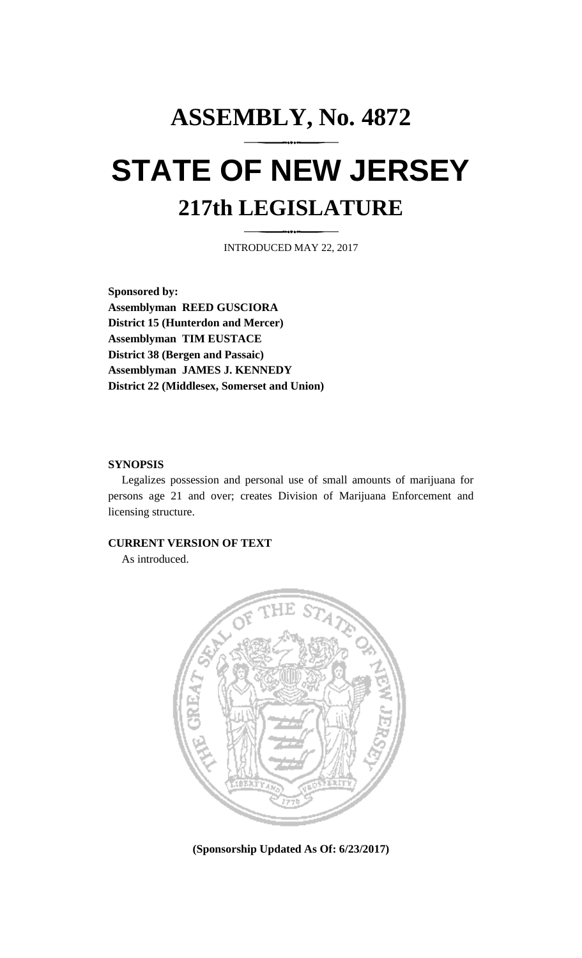# **ASSEMBLY, No. 4872 STATE OF NEW JERSEY 217th LEGISLATURE**

INTRODUCED MAY 22, 2017

**Sponsored by: Assemblyman REED GUSCIORA District 15 (Hunterdon and Mercer) Assemblyman TIM EUSTACE District 38 (Bergen and Passaic) Assemblyman JAMES J. KENNEDY District 22 (Middlesex, Somerset and Union)**

### **SYNOPSIS**

Legalizes possession and personal use of small amounts of marijuana for persons age 21 and over; creates Division of Marijuana Enforcement and licensing structure.

### **CURRENT VERSION OF TEXT**

As introduced.



**(Sponsorship Updated As Of: 6/23/2017)**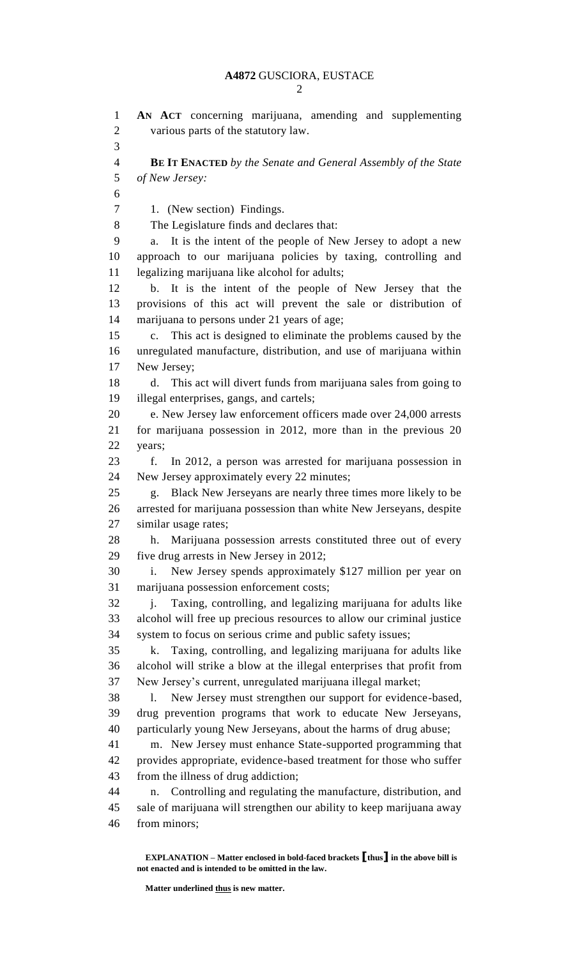| M.<br>I |
|---------|
| i<br>I  |

 **AN ACT** concerning marijuana, amending and supplementing various parts of the statutory law. **BE IT ENACTED** *by the Senate and General Assembly of the State of New Jersey:* 1. (New section) Findings. The Legislature finds and declares that: a. It is the intent of the people of New Jersey to adopt a new approach to our marijuana policies by taxing, controlling and legalizing marijuana like alcohol for adults; b. It is the intent of the people of New Jersey that the provisions of this act will prevent the sale or distribution of marijuana to persons under 21 years of age; c. This act is designed to eliminate the problems caused by the unregulated manufacture, distribution, and use of marijuana within New Jersey; d. This act will divert funds from marijuana sales from going to illegal enterprises, gangs, and cartels; e. New Jersey law enforcement officers made over 24,000 arrests for marijuana possession in 2012, more than in the previous 20 years; f. In 2012, a person was arrested for marijuana possession in New Jersey approximately every 22 minutes; g. Black New Jerseyans are nearly three times more likely to be arrested for marijuana possession than white New Jerseyans, despite similar usage rates; h. Marijuana possession arrests constituted three out of every five drug arrests in New Jersey in 2012; i. New Jersey spends approximately \$127 million per year on marijuana possession enforcement costs; j. Taxing, controlling, and legalizing marijuana for adults like alcohol will free up precious resources to allow our criminal justice system to focus on serious crime and public safety issues; k. Taxing, controlling, and legalizing marijuana for adults like alcohol will strike a blow at the illegal enterprises that profit from New Jersey's current, unregulated marijuana illegal market; l. New Jersey must strengthen our support for evidence-based, drug prevention programs that work to educate New Jerseyans, particularly young New Jerseyans, about the harms of drug abuse; m. New Jersey must enhance State-supported programming that provides appropriate, evidence-based treatment for those who suffer from the illness of drug addiction; n. Controlling and regulating the manufacture, distribution, and sale of marijuana will strengthen our ability to keep marijuana away from minors;

**EXPLANATION – Matter enclosed in bold-faced brackets [thus] in the above bill is not enacted and is intended to be omitted in the law.**

**Matter underlined thus is new matter.**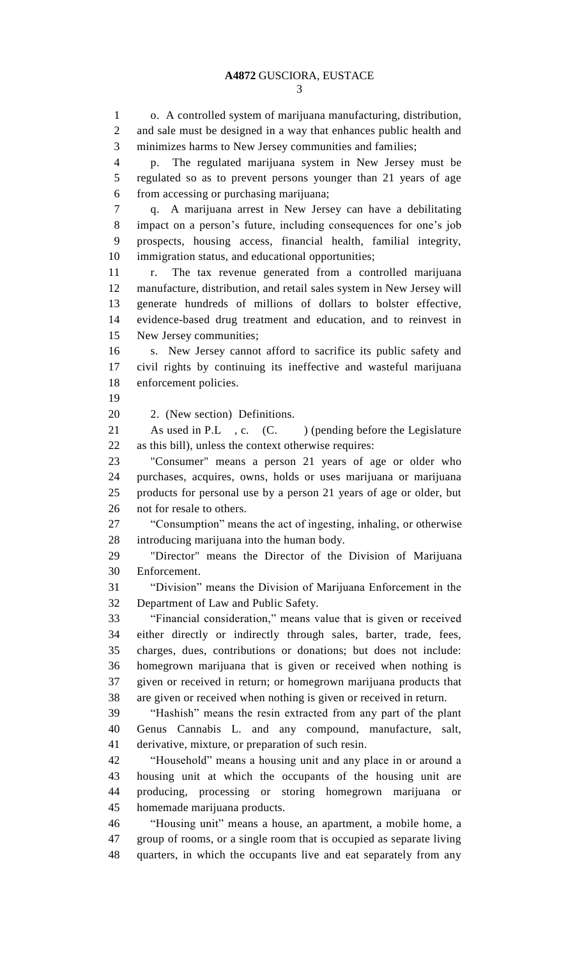o. A controlled system of marijuana manufacturing, distribution, and sale must be designed in a way that enhances public health and minimizes harms to New Jersey communities and families; p. The regulated marijuana system in New Jersey must be regulated so as to prevent persons younger than 21 years of age from accessing or purchasing marijuana; q. A marijuana arrest in New Jersey can have a debilitating impact on a person's future, including consequences for one's job prospects, housing access, financial health, familial integrity, immigration status, and educational opportunities; r. The tax revenue generated from a controlled marijuana manufacture, distribution, and retail sales system in New Jersey will generate hundreds of millions of dollars to bolster effective, evidence-based drug treatment and education, and to reinvest in New Jersey communities; s. New Jersey cannot afford to sacrifice its public safety and civil rights by continuing its ineffective and wasteful marijuana enforcement policies. 2. (New section) Definitions. 21 As used in P.L , c. (C. ) (pending before the Legislature as this bill), unless the context otherwise requires: "Consumer" means a person 21 years of age or older who purchases, acquires, owns, holds or uses marijuana or marijuana products for personal use by a person 21 years of age or older, but not for resale to others. "Consumption" means the act of ingesting, inhaling, or otherwise introducing marijuana into the human body. "Director" means the Director of the Division of Marijuana Enforcement. "Division" means the Division of Marijuana Enforcement in the Department of Law and Public Safety. "Financial consideration," means value that is given or received either directly or indirectly through sales, barter, trade, fees, charges, dues, contributions or donations; but does not include: homegrown marijuana that is given or received when nothing is given or received in return; or homegrown marijuana products that are given or received when nothing is given or received in return. "Hashish" means the resin extracted from any part of the plant Genus Cannabis L. and any compound, manufacture, salt, derivative, mixture, or preparation of such resin. "Household" means a housing unit and any place in or around a housing unit at which the occupants of the housing unit are producing, processing or storing homegrown marijuana or homemade marijuana products. "Housing unit" means a house, an apartment, a mobile home, a group of rooms, or a single room that is occupied as separate living quarters, in which the occupants live and eat separately from any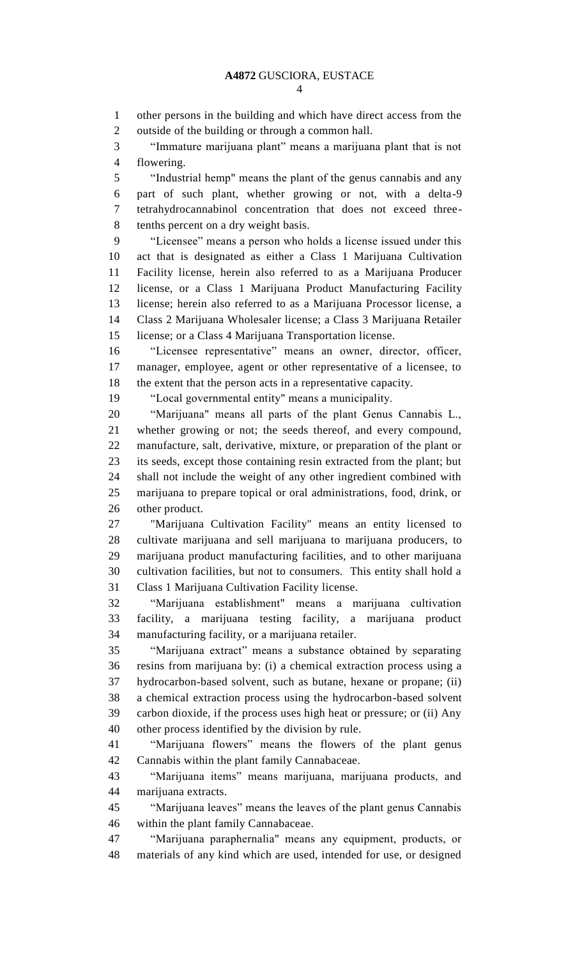other persons in the building and which have direct access from the outside of the building or through a common hall.

 "Immature marijuana plant" means a marijuana plant that is not flowering.

 "Industrial hemp" means the plant of the genus cannabis and any part of such plant, whether growing or not, with a delta-9 tetrahydrocannabinol concentration that does not exceed three-tenths percent on a dry weight basis.

 "Licensee" means a person who holds a license issued under this act that is designated as either a Class 1 Marijuana Cultivation Facility license, herein also referred to as a Marijuana Producer license, or a Class 1 Marijuana Product Manufacturing Facility license; herein also referred to as a Marijuana Processor license, a Class 2 Marijuana Wholesaler license; a Class 3 Marijuana Retailer license; or a Class 4 Marijuana Transportation license.

 "Licensee representative" means an owner, director, officer, manager, employee, agent or other representative of a licensee, to the extent that the person acts in a representative capacity.

"Local governmental entity" means a municipality.

 "Marijuana" means all parts of the plant Genus Cannabis L., whether growing or not; the seeds thereof, and every compound, manufacture, salt, derivative, mixture, or preparation of the plant or its seeds, except those containing resin extracted from the plant; but shall not include the weight of any other ingredient combined with marijuana to prepare topical or oral administrations, food, drink, or other product.

 "Marijuana Cultivation Facility" means an entity licensed to cultivate marijuana and sell marijuana to marijuana producers, to marijuana product manufacturing facilities, and to other marijuana cultivation facilities, but not to consumers. This entity shall hold a Class 1 Marijuana Cultivation Facility license.

 "Marijuana establishment" means a marijuana cultivation facility, a marijuana testing facility, a marijuana product manufacturing facility, or a marijuana retailer.

 "Marijuana extract" means a substance obtained by separating resins from marijuana by: (i) a chemical extraction process using a hydrocarbon-based solvent, such as butane, hexane or propane; (ii) a chemical extraction process using the hydrocarbon-based solvent carbon dioxide, if the process uses high heat or pressure; or (ii) Any other process identified by the division by rule.

 "Marijuana flowers" means the flowers of the plant genus Cannabis within the plant family Cannabaceae.

 "Marijuana items" means marijuana, marijuana products, and marijuana extracts.

 "Marijuana leaves" means the leaves of the plant genus Cannabis within the plant family Cannabaceae.

 "Marijuana paraphernalia" means any equipment, products, or materials of any kind which are used, intended for use, or designed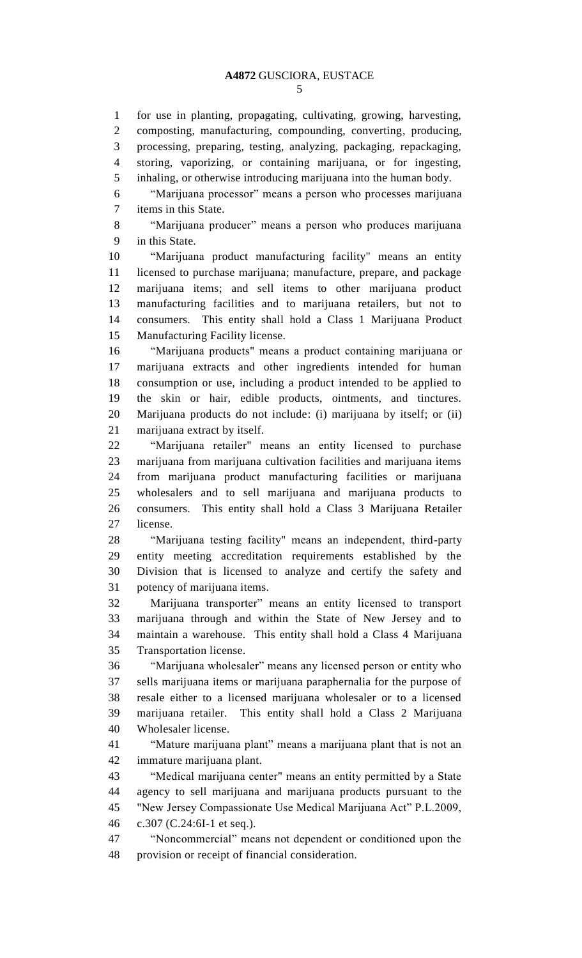for use in planting, propagating, cultivating, growing, harvesting, composting, manufacturing, compounding, converting, producing, processing, preparing, testing, analyzing, packaging, repackaging, storing, vaporizing, or containing marijuana, or for ingesting, inhaling, or otherwise introducing marijuana into the human body. "Marijuana processor" means a person who processes marijuana items in this State.

 "Marijuana producer" means a person who produces marijuana in this State.

 "Marijuana product manufacturing facility" means an entity licensed to purchase marijuana; manufacture, prepare, and package marijuana items; and sell items to other marijuana product manufacturing facilities and to marijuana retailers, but not to consumers. This entity shall hold a Class 1 Marijuana Product Manufacturing Facility license.

 "Marijuana products" means a product containing marijuana or marijuana extracts and other ingredients intended for human consumption or use, including a product intended to be applied to the skin or hair, edible products, ointments, and tinctures. Marijuana products do not include: (i) marijuana by itself; or (ii) marijuana extract by itself.

 "Marijuana retailer" means an entity licensed to purchase marijuana from marijuana cultivation facilities and marijuana items from marijuana product manufacturing facilities or marijuana wholesalers and to sell marijuana and marijuana products to consumers. This entity shall hold a Class 3 Marijuana Retailer license.

 "Marijuana testing facility" means an independent, third-party entity meeting accreditation requirements established by the Division that is licensed to analyze and certify the safety and potency of marijuana items.

 Marijuana transporter" means an entity licensed to transport marijuana through and within the State of New Jersey and to maintain a warehouse. This entity shall hold a Class 4 Marijuana Transportation license.

 "Marijuana wholesaler" means any licensed person or entity who sells marijuana items or marijuana paraphernalia for the purpose of resale either to a licensed marijuana wholesaler or to a licensed marijuana retailer. This entity shall hold a Class 2 Marijuana Wholesaler license.

 "Mature marijuana plant" means a marijuana plant that is not an immature marijuana plant.

 "Medical marijuana center" means an entity permitted by a State agency to sell marijuana and marijuana products pursuant to the "New Jersey Compassionate Use Medical Marijuana Act" P.L.2009, c.307 (C.24:6I-1 et seq.).

 "Noncommercial" means not dependent or conditioned upon the provision or receipt of financial consideration.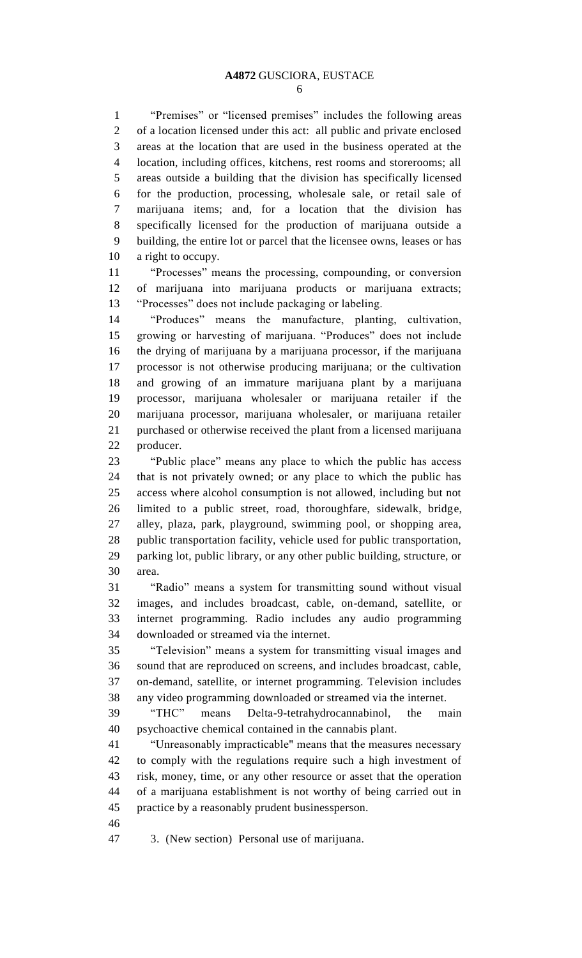"Premises" or "licensed premises" includes the following areas of a location licensed under this act: all public and private enclosed areas at the location that are used in the business operated at the location, including offices, kitchens, rest rooms and storerooms; all areas outside a building that the division has specifically licensed for the production, processing, wholesale sale, or retail sale of marijuana items; and, for a location that the division has specifically licensed for the production of marijuana outside a building, the entire lot or parcel that the licensee owns, leases or has a right to occupy.

 "Processes" means the processing, compounding, or conversion of marijuana into marijuana products or marijuana extracts; "Processes" does not include packaging or labeling.

 "Produces" means the manufacture, planting, cultivation, growing or harvesting of marijuana. "Produces" does not include the drying of marijuana by a marijuana processor, if the marijuana processor is not otherwise producing marijuana; or the cultivation and growing of an immature marijuana plant by a marijuana processor, marijuana wholesaler or marijuana retailer if the marijuana processor, marijuana wholesaler, or marijuana retailer purchased or otherwise received the plant from a licensed marijuana producer.

 "Public place" means any place to which the public has access that is not privately owned; or any place to which the public has access where alcohol consumption is not allowed, including but not limited to a public street, road, thoroughfare, sidewalk, bridge, alley, plaza, park, playground, swimming pool, or shopping area, public transportation facility, vehicle used for public transportation, parking lot, public library, or any other public building, structure, or area.

 "Radio" means a system for transmitting sound without visual images, and includes broadcast, cable, on-demand, satellite, or internet programming. Radio includes any audio programming downloaded or streamed via the internet.

 "Television" means a system for transmitting visual images and sound that are reproduced on screens, and includes broadcast, cable, on-demand, satellite, or internet programming. Television includes any video programming downloaded or streamed via the internet.

 "THC" means Delta-9-tetrahydrocannabinol, the main psychoactive chemical contained in the cannabis plant.

 "Unreasonably impracticable" means that the measures necessary to comply with the regulations require such a high investment of risk, money, time, or any other resource or asset that the operation of a marijuana establishment is not worthy of being carried out in practice by a reasonably prudent businessperson.

3. (New section) Personal use of marijuana.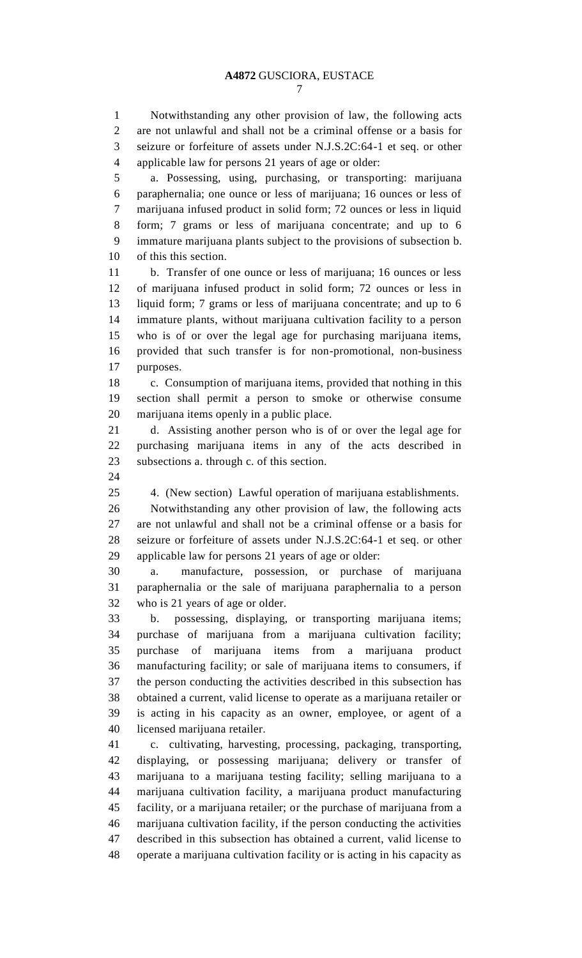Notwithstanding any other provision of law, the following acts are not unlawful and shall not be a criminal offense or a basis for seizure or forfeiture of assets under N.J.S.2C:64-1 et seq. or other applicable law for persons 21 years of age or older:

 a. Possessing, using, purchasing, or transporting: marijuana paraphernalia; one ounce or less of marijuana; 16 ounces or less of marijuana infused product in solid form; 72 ounces or less in liquid form; 7 grams or less of marijuana concentrate; and up to 6 immature marijuana plants subject to the provisions of subsection b. of this this section.

 b. Transfer of one ounce or less of marijuana; 16 ounces or less of marijuana infused product in solid form; 72 ounces or less in liquid form; 7 grams or less of marijuana concentrate; and up to 6 immature plants, without marijuana cultivation facility to a person who is of or over the legal age for purchasing marijuana items, provided that such transfer is for non-promotional, non-business purposes.

 c. Consumption of marijuana items, provided that nothing in this section shall permit a person to smoke or otherwise consume marijuana items openly in a public place.

 d. Assisting another person who is of or over the legal age for purchasing marijuana items in any of the acts described in subsections a. through c. of this section.

4. (New section) Lawful operation of marijuana establishments.

 Notwithstanding any other provision of law, the following acts are not unlawful and shall not be a criminal offense or a basis for seizure or forfeiture of assets under N.J.S.2C:64-1 et seq. or other applicable law for persons 21 years of age or older:

 a. manufacture, possession, or purchase of marijuana paraphernalia or the sale of marijuana paraphernalia to a person who is 21 years of age or older.

 b. possessing, displaying, or transporting marijuana items; purchase of marijuana from a marijuana cultivation facility; purchase of marijuana items from a marijuana product manufacturing facility; or sale of marijuana items to consumers, if the person conducting the activities described in this subsection has obtained a current, valid license to operate as a marijuana retailer or is acting in his capacity as an owner, employee, or agent of a licensed marijuana retailer.

 c. cultivating, harvesting, processing, packaging, transporting, displaying, or possessing marijuana; delivery or transfer of marijuana to a marijuana testing facility; selling marijuana to a marijuana cultivation facility, a marijuana product manufacturing facility, or a marijuana retailer; or the purchase of marijuana from a marijuana cultivation facility, if the person conducting the activities described in this subsection has obtained a current, valid license to operate a marijuana cultivation facility or is acting in his capacity as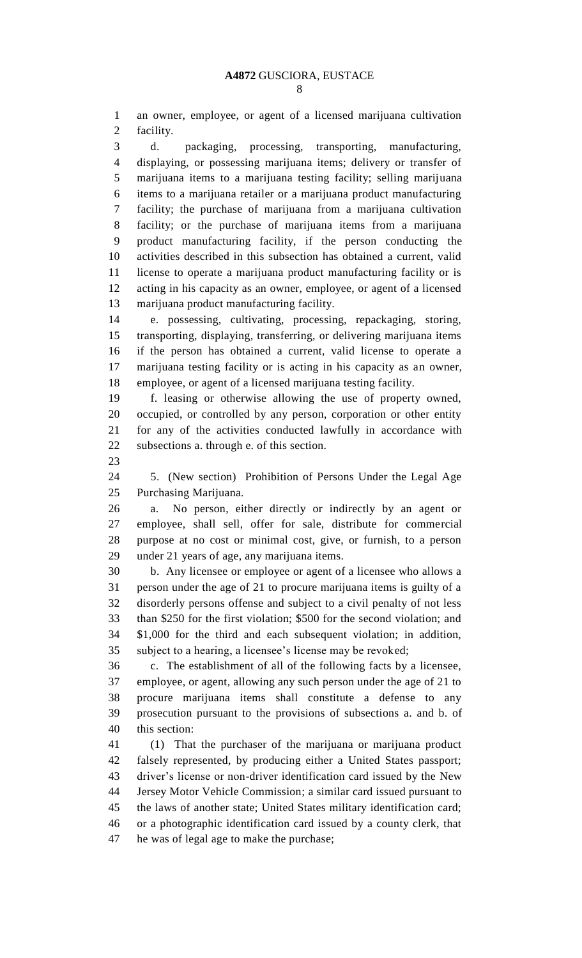an owner, employee, or agent of a licensed marijuana cultivation facility. d. packaging, processing, transporting, manufacturing, displaying, or possessing marijuana items; delivery or transfer of marijuana items to a marijuana testing facility; selling marijuana items to a marijuana retailer or a marijuana product manufacturing facility; the purchase of marijuana from a marijuana cultivation facility; or the purchase of marijuana items from a marijuana product manufacturing facility, if the person conducting the activities described in this subsection has obtained a current, valid license to operate a marijuana product manufacturing facility or is acting in his capacity as an owner, employee, or agent of a licensed marijuana product manufacturing facility. e. possessing, cultivating, processing, repackaging, storing, transporting, displaying, transferring, or delivering marijuana items if the person has obtained a current, valid license to operate a marijuana testing facility or is acting in his capacity as an owner, employee, or agent of a licensed marijuana testing facility. f. leasing or otherwise allowing the use of property owned, occupied, or controlled by any person, corporation or other entity for any of the activities conducted lawfully in accordance with subsections a. through e. of this section. 5. (New section) Prohibition of Persons Under the Legal Age Purchasing Marijuana. a. No person, either directly or indirectly by an agent or employee, shall sell, offer for sale, distribute for commercial purpose at no cost or minimal cost, give, or furnish, to a person under 21 years of age, any marijuana items. b. Any licensee or employee or agent of a licensee who allows a person under the age of 21 to procure marijuana items is guilty of a disorderly persons offense and subject to a civil penalty of not less than \$250 for the first violation; \$500 for the second violation; and \$1,000 for the third and each subsequent violation; in addition, subject to a hearing, a licensee's license may be revoked; c. The establishment of all of the following facts by a licensee, employee, or agent, allowing any such person under the age of 21 to procure marijuana items shall constitute a defense to any prosecution pursuant to the provisions of subsections a. and b. of this section: (1) That the purchaser of the marijuana or marijuana product falsely represented, by producing either a United States passport; driver's license or non-driver identification card issued by the New Jersey Motor Vehicle Commission; a similar card issued pursuant to the laws of another state; United States military identification card; or a photographic identification card issued by a county clerk, that

he was of legal age to make the purchase;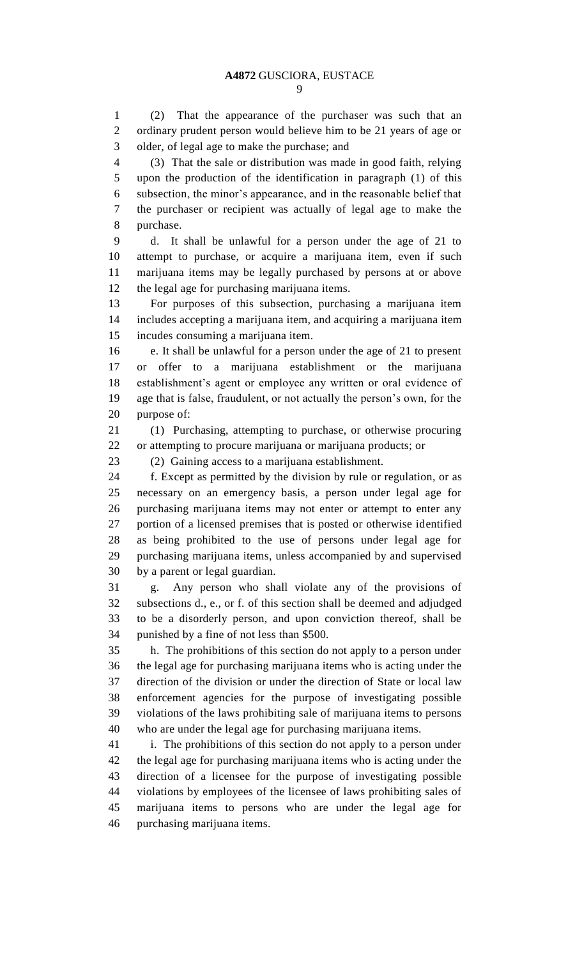(2) That the appearance of the purchaser was such that an ordinary prudent person would believe him to be 21 years of age or older, of legal age to make the purchase; and

 (3) That the sale or distribution was made in good faith, relying upon the production of the identification in paragraph (1) of this subsection, the minor's appearance, and in the reasonable belief that the purchaser or recipient was actually of legal age to make the purchase.

 d. It shall be unlawful for a person under the age of 21 to attempt to purchase, or acquire a marijuana item, even if such marijuana items may be legally purchased by persons at or above the legal age for purchasing marijuana items.

 For purposes of this subsection, purchasing a marijuana item includes accepting a marijuana item, and acquiring a marijuana item incudes consuming a marijuana item.

 e. It shall be unlawful for a person under the age of 21 to present or offer to a marijuana establishment or the marijuana establishment's agent or employee any written or oral evidence of age that is false, fraudulent, or not actually the person's own, for the purpose of:

 (1) Purchasing, attempting to purchase, or otherwise procuring or attempting to procure marijuana or marijuana products; or

(2) Gaining access to a marijuana establishment.

 f. Except as permitted by the division by rule or regulation, or as necessary on an emergency basis, a person under legal age for purchasing marijuana items may not enter or attempt to enter any portion of a licensed premises that is posted or otherwise identified as being prohibited to the use of persons under legal age for purchasing marijuana items, unless accompanied by and supervised by a parent or legal guardian.

 g. Any person who shall violate any of the provisions of subsections d., e., or f. of this section shall be deemed and adjudged to be a disorderly person, and upon conviction thereof, shall be punished by a fine of not less than \$500.

 h. The prohibitions of this section do not apply to a person under the legal age for purchasing marijuana items who is acting under the direction of the division or under the direction of State or local law enforcement agencies for the purpose of investigating possible violations of the laws prohibiting sale of marijuana items to persons who are under the legal age for purchasing marijuana items.

 i. The prohibitions of this section do not apply to a person under the legal age for purchasing marijuana items who is acting under the direction of a licensee for the purpose of investigating possible violations by employees of the licensee of laws prohibiting sales of marijuana items to persons who are under the legal age for purchasing marijuana items.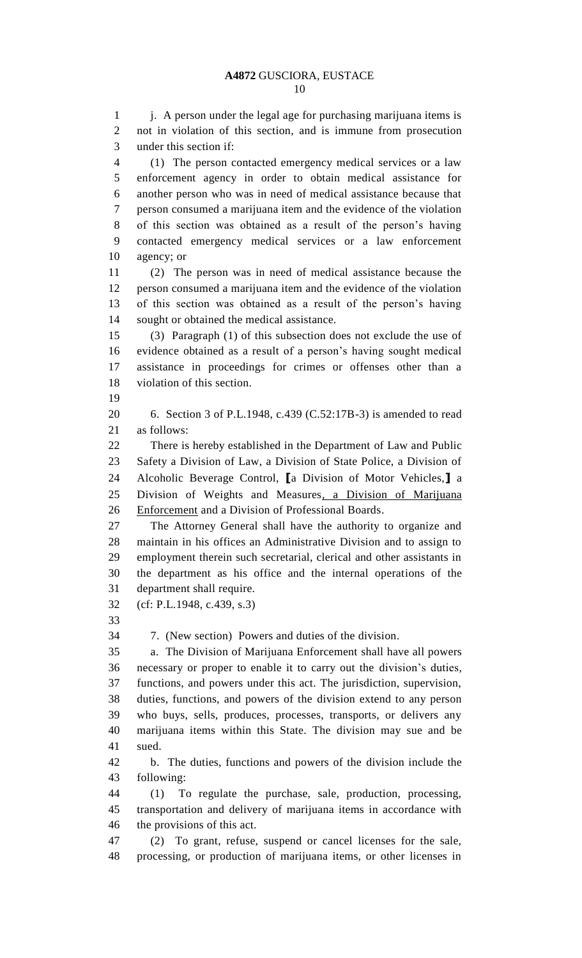1 j. A person under the legal age for purchasing marijuana items is not in violation of this section, and is immune from prosecution under this section if:

 (1) The person contacted emergency medical services or a law enforcement agency in order to obtain medical assistance for another person who was in need of medical assistance because that person consumed a marijuana item and the evidence of the violation of this section was obtained as a result of the person's having contacted emergency medical services or a law enforcement agency; or

 (2) The person was in need of medical assistance because the person consumed a marijuana item and the evidence of the violation of this section was obtained as a result of the person's having sought or obtained the medical assistance.

 (3) Paragraph (1) of this subsection does not exclude the use of evidence obtained as a result of a person's having sought medical assistance in proceedings for crimes or offenses other than a violation of this section.

 6. Section 3 of P.L.1948, c.439 (C.52:17B-3) is amended to read as follows:

 There is hereby established in the Department of Law and Public Safety a Division of Law, a Division of State Police, a Division of Alcoholic Beverage Control, **[**a Division of Motor Vehicles,**]** a Division of Weights and Measures, a Division of Marijuana Enforcement and a Division of Professional Boards.

 The Attorney General shall have the authority to organize and maintain in his offices an Administrative Division and to assign to employment therein such secretarial, clerical and other assistants in the department as his office and the internal operations of the department shall require.

(cf: P.L.1948, c.439, s.3)

7. (New section) Powers and duties of the division.

 a. The Division of Marijuana Enforcement shall have all powers necessary or proper to enable it to carry out the division's duties, functions, and powers under this act. The jurisdiction, supervision, duties, functions, and powers of the division extend to any person who buys, sells, produces, processes, transports, or delivers any marijuana items within this State. The division may sue and be sued.

 b. The duties, functions and powers of the division include the following:

 (1) To regulate the purchase, sale, production, processing, transportation and delivery of marijuana items in accordance with the provisions of this act.

 (2) To grant, refuse, suspend or cancel licenses for the sale, processing, or production of marijuana items, or other licenses in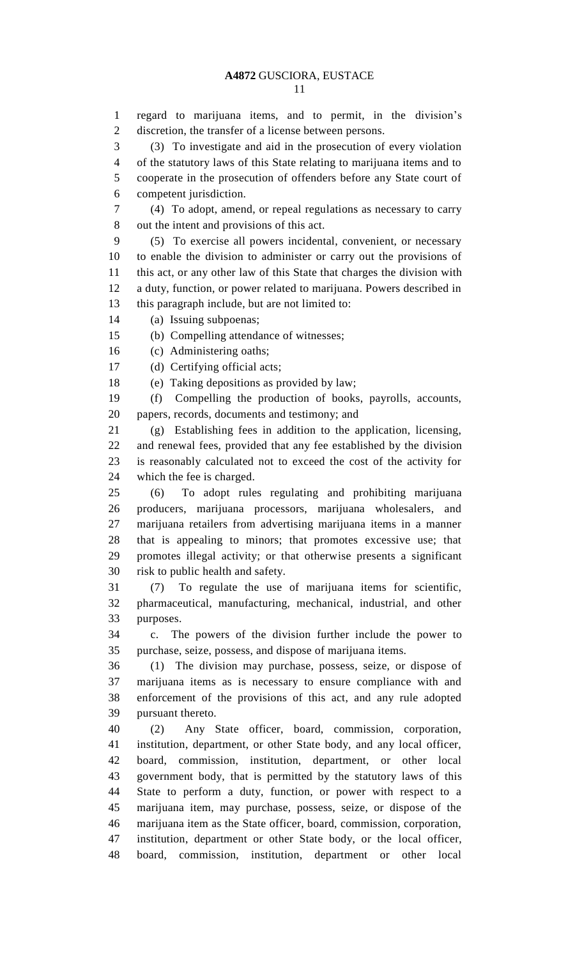regard to marijuana items, and to permit, in the division's discretion, the transfer of a license between persons.

(3) To investigate and aid in the prosecution of every violation

 of the statutory laws of this State relating to marijuana items and to cooperate in the prosecution of offenders before any State court of competent jurisdiction.

 (4) To adopt, amend, or repeal regulations as necessary to carry out the intent and provisions of this act.

 (5) To exercise all powers incidental, convenient, or necessary to enable the division to administer or carry out the provisions of this act, or any other law of this State that charges the division with a duty, function, or power related to marijuana. Powers described in this paragraph include, but are not limited to:

(a) Issuing subpoenas;

(b) Compelling attendance of witnesses;

(c) Administering oaths;

(d) Certifying official acts;

(e) Taking depositions as provided by law;

 (f) Compelling the production of books, payrolls, accounts, papers, records, documents and testimony; and

 (g) Establishing fees in addition to the application, licensing, and renewal fees, provided that any fee established by the division is reasonably calculated not to exceed the cost of the activity for which the fee is charged.

 (6) To adopt rules regulating and prohibiting marijuana producers, marijuana processors, marijuana wholesalers, and marijuana retailers from advertising marijuana items in a manner that is appealing to minors; that promotes excessive use; that promotes illegal activity; or that otherwise presents a significant risk to public health and safety.

 (7) To regulate the use of marijuana items for scientific, pharmaceutical, manufacturing, mechanical, industrial, and other purposes.

 c. The powers of the division further include the power to purchase, seize, possess, and dispose of marijuana items.

 (1) The division may purchase, possess, seize, or dispose of marijuana items as is necessary to ensure compliance with and enforcement of the provisions of this act, and any rule adopted pursuant thereto.

 (2) Any State officer, board, commission, corporation, institution, department, or other State body, and any local officer, board, commission, institution, department, or other local government body, that is permitted by the statutory laws of this State to perform a duty, function, or power with respect to a marijuana item, may purchase, possess, seize, or dispose of the marijuana item as the State officer, board, commission, corporation, institution, department or other State body, or the local officer, board, commission, institution, department or other local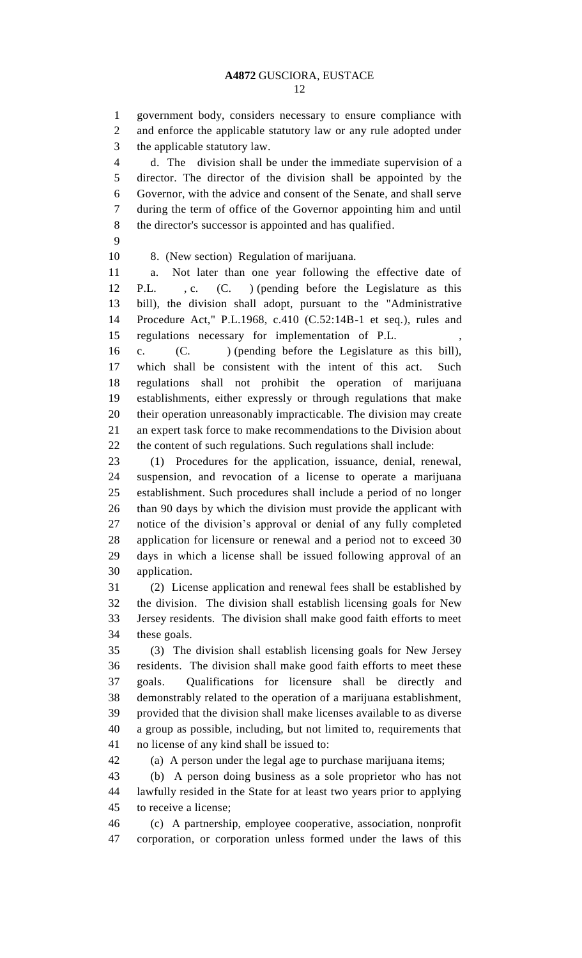government body, considers necessary to ensure compliance with and enforce the applicable statutory law or any rule adopted under the applicable statutory law.

 d. The division shall be under the immediate supervision of a director. The director of the division shall be appointed by the Governor, with the advice and consent of the Senate, and shall serve during the term of office of the Governor appointing him and until the director's successor is appointed and has qualified.

8. (New section) Regulation of marijuana.

 a. Not later than one year following the effective date of P.L. , c. (C. ) (pending before the Legislature as this bill), the division shall adopt, pursuant to the "Administrative Procedure Act," P.L.1968, c.410 (C.52:14B-1 et seq.), rules and regulations necessary for implementation of P.L. ,

 c. (C. ) (pending before the Legislature as this bill), which shall be consistent with the intent of this act. Such regulations shall not prohibit the operation of marijuana establishments, either expressly or through regulations that make their operation unreasonably impracticable. The division may create an expert task force to make recommendations to the Division about the content of such regulations. Such regulations shall include:

 (1) Procedures for the application, issuance, denial, renewal, suspension, and revocation of a license to operate a marijuana establishment. Such procedures shall include a period of no longer than 90 days by which the division must provide the applicant with notice of the division's approval or denial of any fully completed application for licensure or renewal and a period not to exceed 30 days in which a license shall be issued following approval of an application.

 (2) License application and renewal fees shall be established by the division. The division shall establish licensing goals for New Jersey residents. The division shall make good faith efforts to meet these goals.

 (3) The division shall establish licensing goals for New Jersey residents. The division shall make good faith efforts to meet these goals. Qualifications for licensure shall be directly and demonstrably related to the operation of a marijuana establishment, provided that the division shall make licenses available to as diverse a group as possible, including, but not limited to, requirements that no license of any kind shall be issued to:

(a) A person under the legal age to purchase marijuana items;

 (b) A person doing business as a sole proprietor who has not lawfully resided in the State for at least two years prior to applying to receive a license;

 (c) A partnership, employee cooperative, association, nonprofit corporation, or corporation unless formed under the laws of this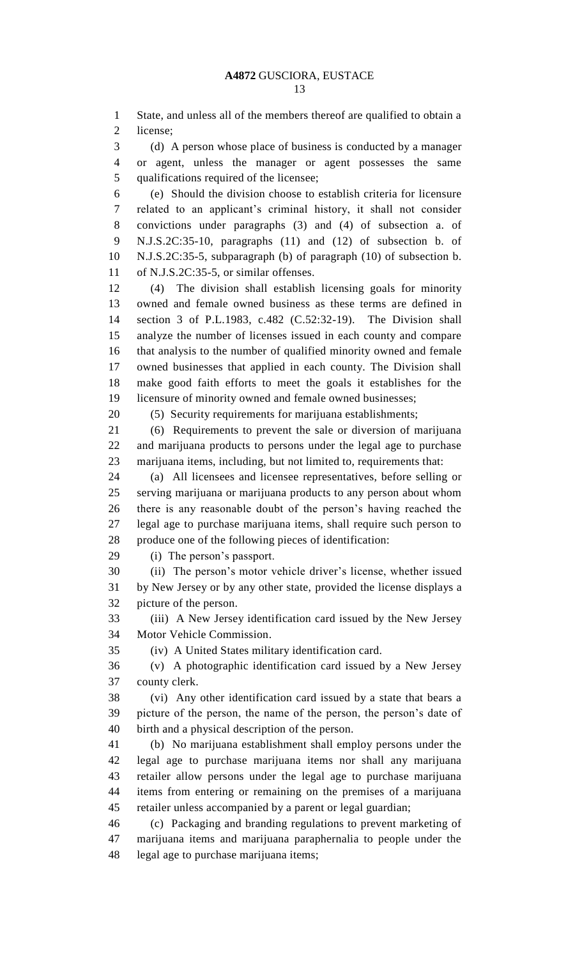State, and unless all of the members thereof are qualified to obtain a license;

 (d) A person whose place of business is conducted by a manager or agent, unless the manager or agent possesses the same qualifications required of the licensee;

 (e) Should the division choose to establish criteria for licensure related to an applicant's criminal history, it shall not consider convictions under paragraphs (3) and (4) of subsection a. of N.J.S.2C:35-10, paragraphs (11) and (12) of subsection b. of N.J.S.2C:35-5, subparagraph (b) of paragraph (10) of subsection b. of N.J.S.2C:35-5, or similar offenses.

 (4) The division shall establish licensing goals for minority owned and female owned business as these terms are defined in section 3 of P.L.1983, c.482 (C.52:32-19). The Division shall analyze the number of licenses issued in each county and compare that analysis to the number of qualified minority owned and female owned businesses that applied in each county. The Division shall make good faith efforts to meet the goals it establishes for the licensure of minority owned and female owned businesses;

(5) Security requirements for marijuana establishments;

 (6) Requirements to prevent the sale or diversion of marijuana and marijuana products to persons under the legal age to purchase marijuana items, including, but not limited to, requirements that:

 (a) All licensees and licensee representatives, before selling or serving marijuana or marijuana products to any person about whom there is any reasonable doubt of the person's having reached the legal age to purchase marijuana items, shall require such person to produce one of the following pieces of identification:

(i) The person's passport.

 (ii) The person's motor vehicle driver's license, whether issued by New Jersey or by any other state, provided the license displays a picture of the person.

 (iii) A New Jersey identification card issued by the New Jersey Motor Vehicle Commission.

(iv) A United States military identification card.

 (v) A photographic identification card issued by a New Jersey county clerk.

 (vi) Any other identification card issued by a state that bears a picture of the person, the name of the person, the person's date of birth and a physical description of the person.

 (b) No marijuana establishment shall employ persons under the legal age to purchase marijuana items nor shall any marijuana retailer allow persons under the legal age to purchase marijuana items from entering or remaining on the premises of a marijuana retailer unless accompanied by a parent or legal guardian;

 (c) Packaging and branding regulations to prevent marketing of marijuana items and marijuana paraphernalia to people under the legal age to purchase marijuana items;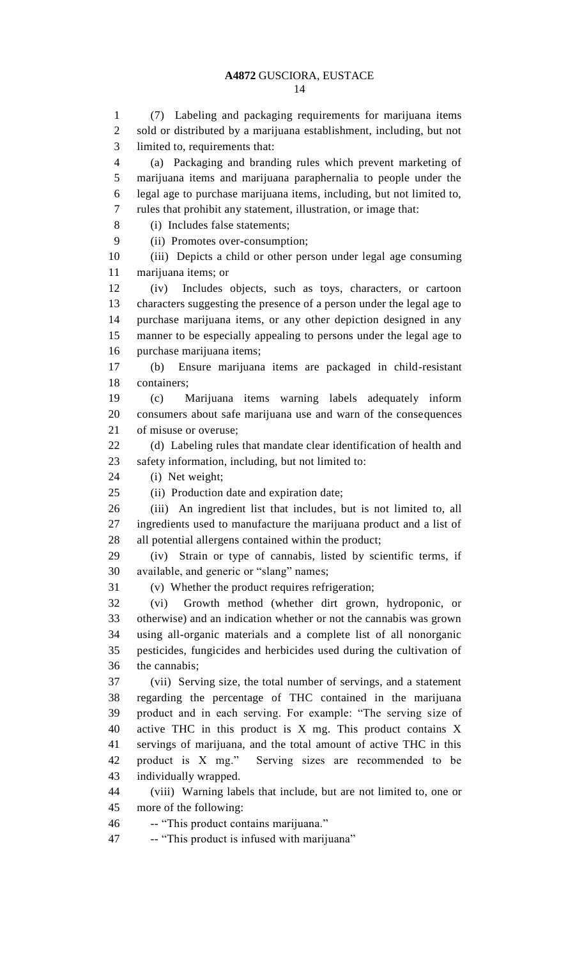(7) Labeling and packaging requirements for marijuana items sold or distributed by a marijuana establishment, including, but not limited to, requirements that:

 (a) Packaging and branding rules which prevent marketing of marijuana items and marijuana paraphernalia to people under the legal age to purchase marijuana items, including, but not limited to, rules that prohibit any statement, illustration, or image that:

(i) Includes false statements;

(ii) Promotes over-consumption;

 (iii) Depicts a child or other person under legal age consuming marijuana items; or

 (iv) Includes objects, such as toys, characters, or cartoon characters suggesting the presence of a person under the legal age to purchase marijuana items, or any other depiction designed in any manner to be especially appealing to persons under the legal age to purchase marijuana items;

 (b) Ensure marijuana items are packaged in child-resistant containers;

 (c) Marijuana items warning labels adequately inform consumers about safe marijuana use and warn of the consequences of misuse or overuse;

 (d) Labeling rules that mandate clear identification of health and safety information, including, but not limited to:

(i) Net weight;

(ii) Production date and expiration date;

 (iii) An ingredient list that includes, but is not limited to, all ingredients used to manufacture the marijuana product and a list of all potential allergens contained within the product;

 (iv) Strain or type of cannabis, listed by scientific terms, if available, and generic or "slang" names;

(v) Whether the product requires refrigeration;

 (vi) Growth method (whether dirt grown, hydroponic, or otherwise) and an indication whether or not the cannabis was grown using all-organic materials and a complete list of all nonorganic pesticides, fungicides and herbicides used during the cultivation of the cannabis;

 (vii) Serving size, the total number of servings, and a statement regarding the percentage of THC contained in the marijuana product and in each serving. For example: "The serving size of active THC in this product is X mg. This product contains X servings of marijuana, and the total amount of active THC in this product is X mg." Serving sizes are recommended to be individually wrapped.

 (viii) Warning labels that include, but are not limited to, one or more of the following:

-- "This product contains marijuana."

47 -- "This product is infused with marijuana"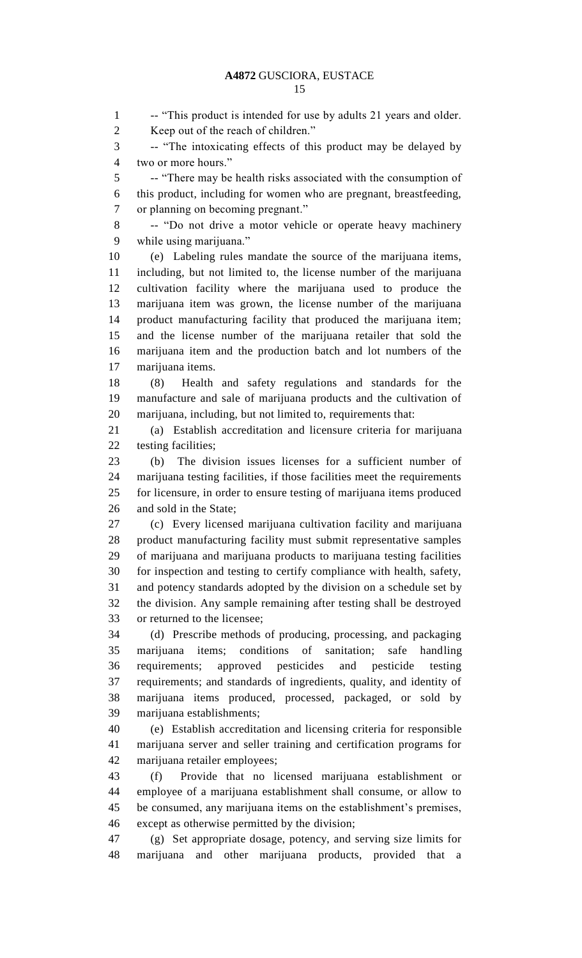-- "This product is intended for use by adults 21 years and older. Keep out of the reach of children." -- "The intoxicating effects of this product may be delayed by two or more hours." -- "There may be health risks associated with the consumption of this product, including for women who are pregnant, breastfeeding, or planning on becoming pregnant." -- "Do not drive a motor vehicle or operate heavy machinery while using marijuana." (e) Labeling rules mandate the source of the marijuana items, including, but not limited to, the license number of the marijuana cultivation facility where the marijuana used to produce the marijuana item was grown, the license number of the marijuana product manufacturing facility that produced the marijuana item; and the license number of the marijuana retailer that sold the marijuana item and the production batch and lot numbers of the marijuana items. (8) Health and safety regulations and standards for the manufacture and sale of marijuana products and the cultivation of marijuana, including, but not limited to, requirements that: (a) Establish accreditation and licensure criteria for marijuana 22 testing facilities; (b) The division issues licenses for a sufficient number of marijuana testing facilities, if those facilities meet the requirements for licensure, in order to ensure testing of marijuana items produced and sold in the State; (c) Every licensed marijuana cultivation facility and marijuana product manufacturing facility must submit representative samples of marijuana and marijuana products to marijuana testing facilities for inspection and testing to certify compliance with health, safety, and potency standards adopted by the division on a schedule set by the division. Any sample remaining after testing shall be destroyed or returned to the licensee; (d) Prescribe methods of producing, processing, and packaging marijuana items; conditions of sanitation; safe handling requirements; approved pesticides and pesticide testing requirements; and standards of ingredients, quality, and identity of marijuana items produced, processed, packaged, or sold by marijuana establishments; (e) Establish accreditation and licensing criteria for responsible marijuana server and seller training and certification programs for marijuana retailer employees; (f) Provide that no licensed marijuana establishment or employee of a marijuana establishment shall consume, or allow to be consumed, any marijuana items on the establishment's premises, except as otherwise permitted by the division; (g) Set appropriate dosage, potency, and serving size limits for marijuana and other marijuana products, provided that a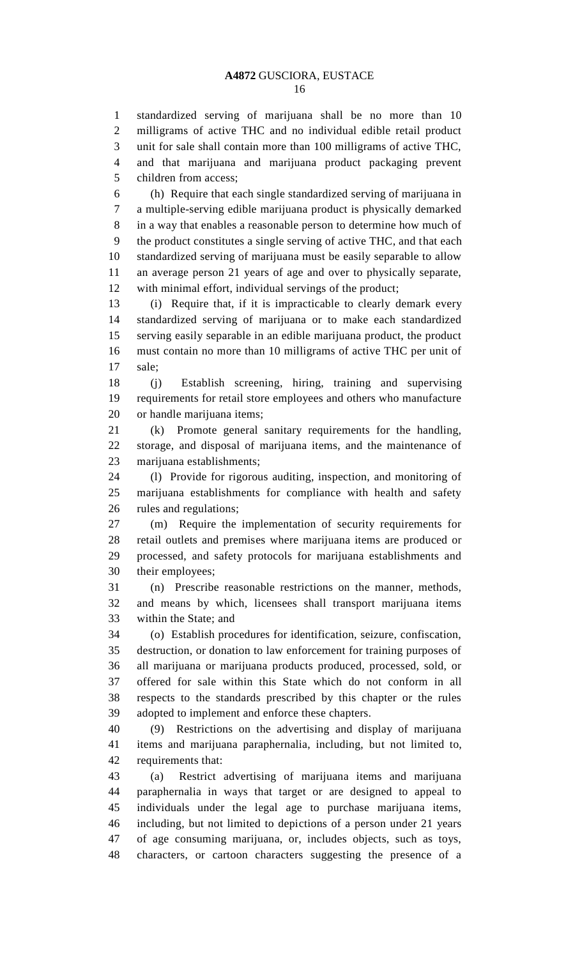standardized serving of marijuana shall be no more than 10 milligrams of active THC and no individual edible retail product unit for sale shall contain more than 100 milligrams of active THC, and that marijuana and marijuana product packaging prevent children from access;

 (h) Require that each single standardized serving of marijuana in a multiple-serving edible marijuana product is physically demarked in a way that enables a reasonable person to determine how much of the product constitutes a single serving of active THC, and that each standardized serving of marijuana must be easily separable to allow an average person 21 years of age and over to physically separate, with minimal effort, individual servings of the product;

 (i) Require that, if it is impracticable to clearly demark every standardized serving of marijuana or to make each standardized serving easily separable in an edible marijuana product, the product must contain no more than 10 milligrams of active THC per unit of sale;

 (j) Establish screening, hiring, training and supervising requirements for retail store employees and others who manufacture or handle marijuana items;

 (k) Promote general sanitary requirements for the handling, storage, and disposal of marijuana items, and the maintenance of marijuana establishments;

 (l) Provide for rigorous auditing, inspection, and monitoring of marijuana establishments for compliance with health and safety rules and regulations;

 (m) Require the implementation of security requirements for retail outlets and premises where marijuana items are produced or processed, and safety protocols for marijuana establishments and their employees;

 (n) Prescribe reasonable restrictions on the manner, methods, and means by which, licensees shall transport marijuana items within the State; and

 (o) Establish procedures for identification, seizure, confiscation, destruction, or donation to law enforcement for training purposes of all marijuana or marijuana products produced, processed, sold, or offered for sale within this State which do not conform in all respects to the standards prescribed by this chapter or the rules adopted to implement and enforce these chapters.

 (9) Restrictions on the advertising and display of marijuana items and marijuana paraphernalia, including, but not limited to, requirements that:

 (a) Restrict advertising of marijuana items and marijuana paraphernalia in ways that target or are designed to appeal to individuals under the legal age to purchase marijuana items, including, but not limited to depictions of a person under 21 years of age consuming marijuana, or, includes objects, such as toys, characters, or cartoon characters suggesting the presence of a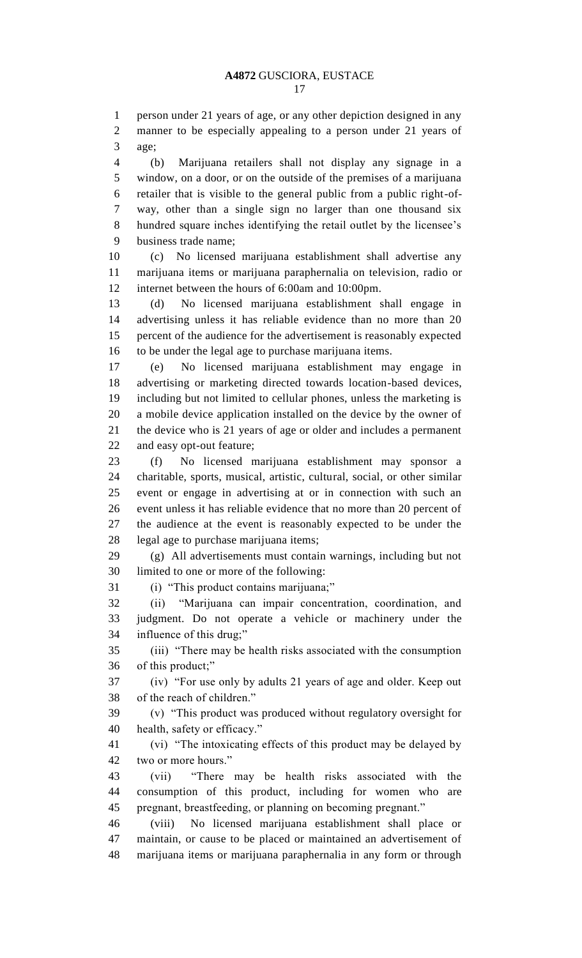person under 21 years of age, or any other depiction designed in any manner to be especially appealing to a person under 21 years of age;

 (b) Marijuana retailers shall not display any signage in a window, on a door, or on the outside of the premises of a marijuana retailer that is visible to the general public from a public right-of- way, other than a single sign no larger than one thousand six hundred square inches identifying the retail outlet by the licensee's business trade name;

 (c) No licensed marijuana establishment shall advertise any marijuana items or marijuana paraphernalia on television, radio or internet between the hours of 6:00am and 10:00pm.

 (d) No licensed marijuana establishment shall engage in advertising unless it has reliable evidence than no more than 20 percent of the audience for the advertisement is reasonably expected to be under the legal age to purchase marijuana items.

 (e) No licensed marijuana establishment may engage in advertising or marketing directed towards location-based devices, including but not limited to cellular phones, unless the marketing is a mobile device application installed on the device by the owner of the device who is 21 years of age or older and includes a permanent and easy opt-out feature;

 (f) No licensed marijuana establishment may sponsor a charitable, sports, musical, artistic, cultural, social, or other similar event or engage in advertising at or in connection with such an event unless it has reliable evidence that no more than 20 percent of the audience at the event is reasonably expected to be under the legal age to purchase marijuana items;

 (g) All advertisements must contain warnings, including but not limited to one or more of the following:

(i) "This product contains marijuana;"

 (ii) "Marijuana can impair concentration, coordination, and judgment. Do not operate a vehicle or machinery under the influence of this drug;"

 (iii) "There may be health risks associated with the consumption of this product;"

 (iv) "For use only by adults 21 years of age and older. Keep out of the reach of children."

 (v) "This product was produced without regulatory oversight for health, safety or efficacy."

 (vi) "The intoxicating effects of this product may be delayed by two or more hours."

 (vii) "There may be health risks associated with the consumption of this product, including for women who are pregnant, breastfeeding, or planning on becoming pregnant."

 (viii) No licensed marijuana establishment shall place or maintain, or cause to be placed or maintained an advertisement of marijuana items or marijuana paraphernalia in any form or through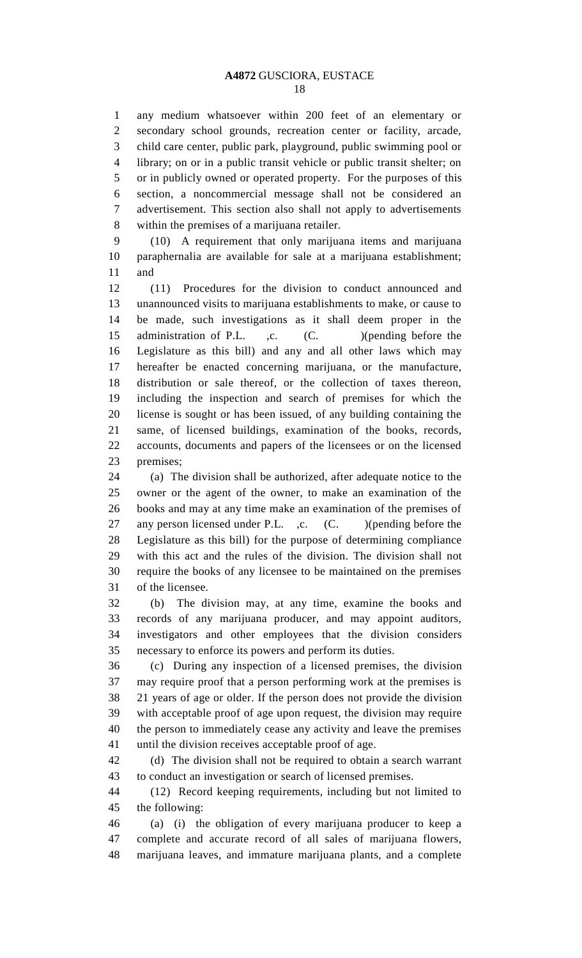any medium whatsoever within 200 feet of an elementary or secondary school grounds, recreation center or facility, arcade, child care center, public park, playground, public swimming pool or library; on or in a public transit vehicle or public transit shelter; on or in publicly owned or operated property. For the purposes of this section, a noncommercial message shall not be considered an advertisement. This section also shall not apply to advertisements within the premises of a marijuana retailer.

 (10) A requirement that only marijuana items and marijuana paraphernalia are available for sale at a marijuana establishment; and

 (11) Procedures for the division to conduct announced and unannounced visits to marijuana establishments to make, or cause to be made, such investigations as it shall deem proper in the 15 administration of P.L. ,c. (C. )(pending before the Legislature as this bill) and any and all other laws which may hereafter be enacted concerning marijuana, or the manufacture, distribution or sale thereof, or the collection of taxes thereon, including the inspection and search of premises for which the license is sought or has been issued, of any building containing the same, of licensed buildings, examination of the books, records, accounts, documents and papers of the licensees or on the licensed premises;

 (a) The division shall be authorized, after adequate notice to the owner or the agent of the owner, to make an examination of the books and may at any time make an examination of the premises of 27 any person licensed under P.L. ,c. (C. ) (pending before the Legislature as this bill) for the purpose of determining compliance with this act and the rules of the division. The division shall not require the books of any licensee to be maintained on the premises of the licensee.

 (b) The division may, at any time, examine the books and records of any marijuana producer, and may appoint auditors, investigators and other employees that the division considers necessary to enforce its powers and perform its duties.

 (c) During any inspection of a licensed premises, the division may require proof that a person performing work at the premises is 21 years of age or older. If the person does not provide the division with acceptable proof of age upon request, the division may require the person to immediately cease any activity and leave the premises until the division receives acceptable proof of age.

 (d) The division shall not be required to obtain a search warrant to conduct an investigation or search of licensed premises.

 (12) Record keeping requirements, including but not limited to the following:

 (a) (i) the obligation of every marijuana producer to keep a complete and accurate record of all sales of marijuana flowers, marijuana leaves, and immature marijuana plants, and a complete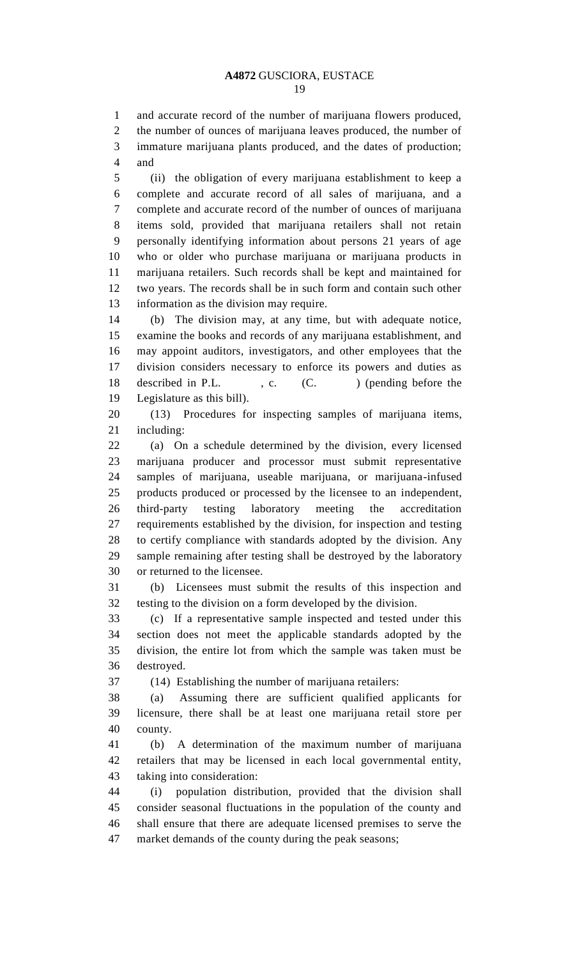and accurate record of the number of marijuana flowers produced, the number of ounces of marijuana leaves produced, the number of immature marijuana plants produced, and the dates of production;

and

 (ii) the obligation of every marijuana establishment to keep a complete and accurate record of all sales of marijuana, and a complete and accurate record of the number of ounces of marijuana items sold, provided that marijuana retailers shall not retain personally identifying information about persons 21 years of age who or older who purchase marijuana or marijuana products in marijuana retailers. Such records shall be kept and maintained for two years. The records shall be in such form and contain such other information as the division may require.

 (b) The division may, at any time, but with adequate notice, examine the books and records of any marijuana establishment, and may appoint auditors, investigators, and other employees that the division considers necessary to enforce its powers and duties as 18 described in P.L. , c. (C. ) (pending before the Legislature as this bill).

 (13) Procedures for inspecting samples of marijuana items, including:

 (a) On a schedule determined by the division, every licensed marijuana producer and processor must submit representative samples of marijuana, useable marijuana, or marijuana-infused products produced or processed by the licensee to an independent, third-party testing laboratory meeting the accreditation requirements established by the division, for inspection and testing to certify compliance with standards adopted by the division. Any sample remaining after testing shall be destroyed by the laboratory or returned to the licensee.

 (b) Licensees must submit the results of this inspection and testing to the division on a form developed by the division.

 (c) If a representative sample inspected and tested under this section does not meet the applicable standards adopted by the division, the entire lot from which the sample was taken must be destroyed.

(14) Establishing the number of marijuana retailers:

 (a) Assuming there are sufficient qualified applicants for licensure, there shall be at least one marijuana retail store per county.

 (b) A determination of the maximum number of marijuana retailers that may be licensed in each local governmental entity, taking into consideration:

 (i) population distribution, provided that the division shall consider seasonal fluctuations in the population of the county and shall ensure that there are adequate licensed premises to serve the market demands of the county during the peak seasons;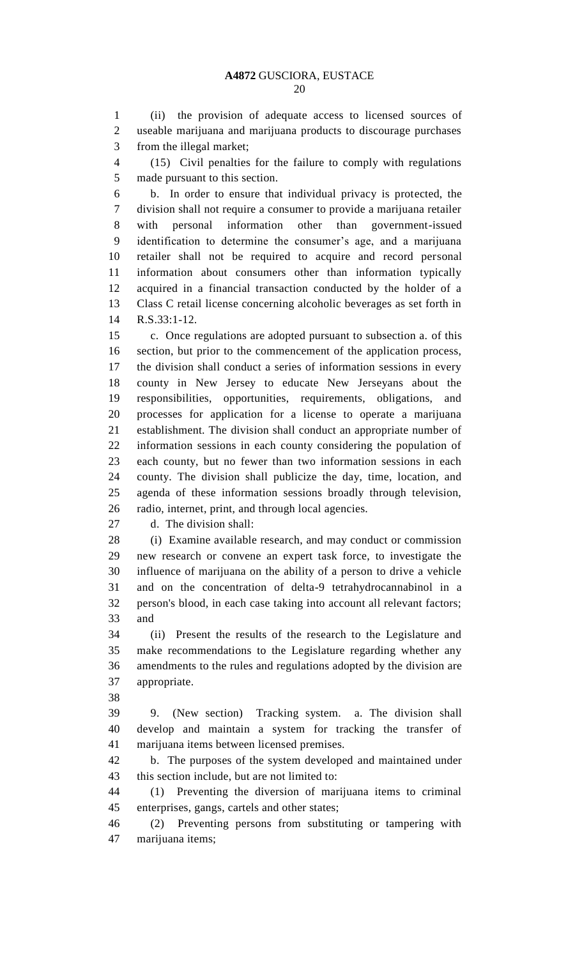(ii) the provision of adequate access to licensed sources of useable marijuana and marijuana products to discourage purchases from the illegal market;

 (15) Civil penalties for the failure to comply with regulations made pursuant to this section.

 b. In order to ensure that individual privacy is protected, the division shall not require a consumer to provide a marijuana retailer with personal information other than government-issued identification to determine the consumer's age, and a marijuana retailer shall not be required to acquire and record personal information about consumers other than information typically acquired in a financial transaction conducted by the holder of a Class C retail license concerning alcoholic beverages as set forth in R.S.33:1-12.

 c. Once regulations are adopted pursuant to subsection a. of this section, but prior to the commencement of the application process, the division shall conduct a series of information sessions in every county in New Jersey to educate New Jerseyans about the responsibilities, opportunities, requirements, obligations, and processes for application for a license to operate a marijuana establishment. The division shall conduct an appropriate number of information sessions in each county considering the population of each county, but no fewer than two information sessions in each county. The division shall publicize the day, time, location, and agenda of these information sessions broadly through television, radio, internet, print, and through local agencies.

d. The division shall:

 (i) Examine available research, and may conduct or commission new research or convene an expert task force, to investigate the influence of marijuana on the ability of a person to drive a vehicle and on the concentration of delta-9 tetrahydrocannabinol in a person's blood, in each case taking into account all relevant factors; and

 (ii) Present the results of the research to the Legislature and make recommendations to the Legislature regarding whether any amendments to the rules and regulations adopted by the division are appropriate.

 9. (New section) Tracking system. a. The division shall develop and maintain a system for tracking the transfer of marijuana items between licensed premises.

 b. The purposes of the system developed and maintained under this section include, but are not limited to:

 (1) Preventing the diversion of marijuana items to criminal enterprises, gangs, cartels and other states;

 (2) Preventing persons from substituting or tampering with marijuana items;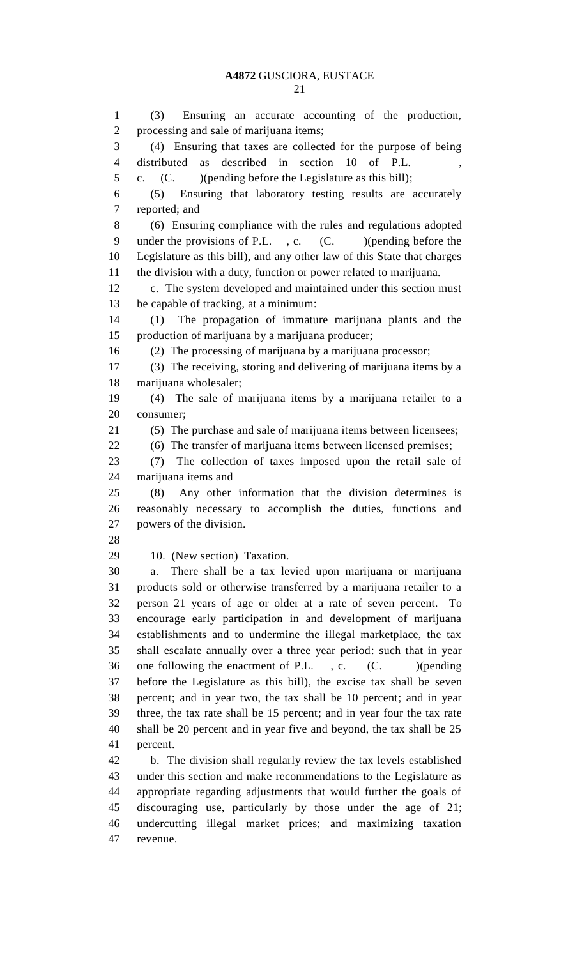(3) Ensuring an accurate accounting of the production, processing and sale of marijuana items; (4) Ensuring that taxes are collected for the purpose of being distributed as described in section 10 of P.L. , c. (C. )(pending before the Legislature as this bill); (5) Ensuring that laboratory testing results are accurately reported; and (6) Ensuring compliance with the rules and regulations adopted 9 under the provisions of P.L., c. (C. )(pending before the Legislature as this bill), and any other law of this State that charges the division with a duty, function or power related to marijuana. c. The system developed and maintained under this section must be capable of tracking, at a minimum: (1) The propagation of immature marijuana plants and the production of marijuana by a marijuana producer; (2) The processing of marijuana by a marijuana processor; (3) The receiving, storing and delivering of marijuana items by a marijuana wholesaler; (4) The sale of marijuana items by a marijuana retailer to a consumer; (5) The purchase and sale of marijuana items between licensees; (6) The transfer of marijuana items between licensed premises; (7) The collection of taxes imposed upon the retail sale of marijuana items and (8) Any other information that the division determines is reasonably necessary to accomplish the duties, functions and powers of the division. 10. (New section) Taxation. a. There shall be a tax levied upon marijuana or marijuana products sold or otherwise transferred by a marijuana retailer to a person 21 years of age or older at a rate of seven percent. To encourage early participation in and development of marijuana establishments and to undermine the illegal marketplace, the tax shall escalate annually over a three year period: such that in year 36 one following the enactment of P.L., c. (C. )(pending before the Legislature as this bill), the excise tax shall be seven percent; and in year two, the tax shall be 10 percent; and in year three, the tax rate shall be 15 percent; and in year four the tax rate shall be 20 percent and in year five and beyond, the tax shall be 25 percent. b. The division shall regularly review the tax levels established under this section and make recommendations to the Legislature as appropriate regarding adjustments that would further the goals of discouraging use, particularly by those under the age of 21; undercutting illegal market prices; and maximizing taxation revenue.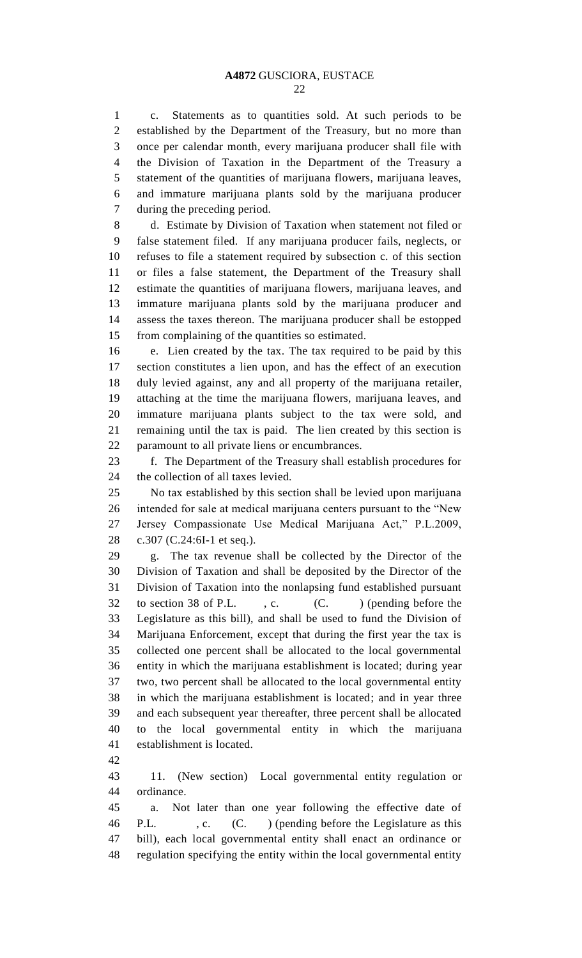c. Statements as to quantities sold. At such periods to be established by the Department of the Treasury, but no more than once per calendar month, every marijuana producer shall file with the Division of Taxation in the Department of the Treasury a statement of the quantities of marijuana flowers, marijuana leaves, and immature marijuana plants sold by the marijuana producer during the preceding period.

 d. Estimate by Division of Taxation when statement not filed or false statement filed. If any marijuana producer fails, neglects, or refuses to file a statement required by subsection c. of this section or files a false statement, the Department of the Treasury shall estimate the quantities of marijuana flowers, marijuana leaves, and immature marijuana plants sold by the marijuana producer and assess the taxes thereon. The marijuana producer shall be estopped from complaining of the quantities so estimated.

 e. Lien created by the tax. The tax required to be paid by this section constitutes a lien upon, and has the effect of an execution duly levied against, any and all property of the marijuana retailer, attaching at the time the marijuana flowers, marijuana leaves, and immature marijuana plants subject to the tax were sold, and remaining until the tax is paid. The lien created by this section is paramount to all private liens or encumbrances.

 f. The Department of the Treasury shall establish procedures for the collection of all taxes levied.

 No tax established by this section shall be levied upon marijuana intended for sale at medical marijuana centers pursuant to the "New Jersey Compassionate Use Medical Marijuana Act," P.L.2009, c.307 (C.24:6I-1 et seq.).

 g. The tax revenue shall be collected by the Director of the Division of Taxation and shall be deposited by the Director of the Division of Taxation into the nonlapsing fund established pursuant 32 to section 38 of P.L., c. (C. ) (pending before the Legislature as this bill), and shall be used to fund the Division of Marijuana Enforcement, except that during the first year the tax is collected one percent shall be allocated to the local governmental entity in which the marijuana establishment is located; during year two, two percent shall be allocated to the local governmental entity in which the marijuana establishment is located; and in year three and each subsequent year thereafter, three percent shall be allocated to the local governmental entity in which the marijuana establishment is located.

 11. (New section) Local governmental entity regulation or ordinance.

 a. Not later than one year following the effective date of 46 P.L. , c. (C. ) (pending before the Legislature as this bill), each local governmental entity shall enact an ordinance or regulation specifying the entity within the local governmental entity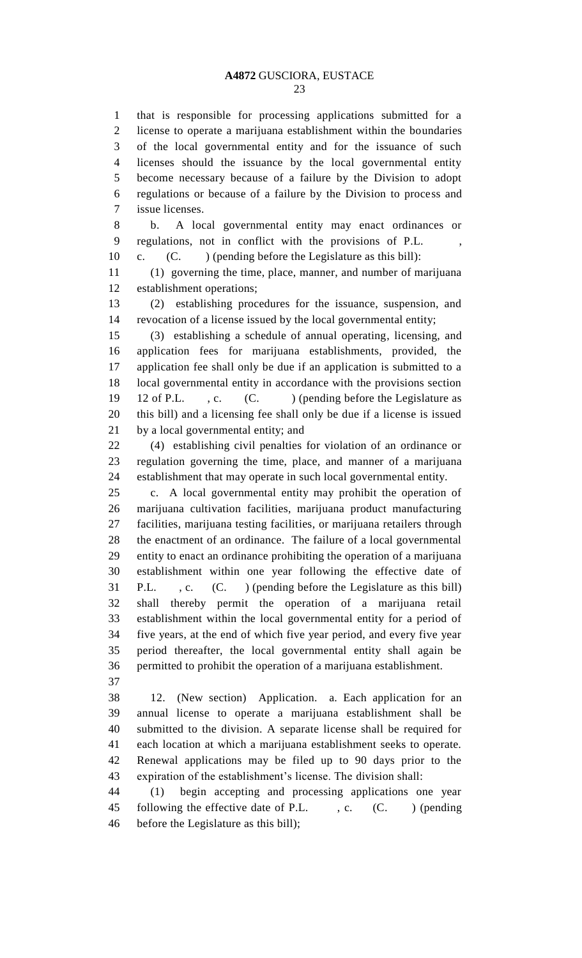that is responsible for processing applications submitted for a license to operate a marijuana establishment within the boundaries of the local governmental entity and for the issuance of such licenses should the issuance by the local governmental entity become necessary because of a failure by the Division to adopt regulations or because of a failure by the Division to process and issue licenses.

 b. A local governmental entity may enact ordinances or regulations, not in conflict with the provisions of P.L. ,

c. (C. ) (pending before the Legislature as this bill):

 (1) governing the time, place, manner, and number of marijuana establishment operations;

 (2) establishing procedures for the issuance, suspension, and revocation of a license issued by the local governmental entity;

 (3) establishing a schedule of annual operating, licensing, and application fees for marijuana establishments, provided, the application fee shall only be due if an application is submitted to a local governmental entity in accordance with the provisions section 19 12 of P.L. , c. (C. ) (pending before the Legislature as this bill) and a licensing fee shall only be due if a license is issued by a local governmental entity; and

 (4) establishing civil penalties for violation of an ordinance or regulation governing the time, place, and manner of a marijuana establishment that may operate in such local governmental entity.

 c. A local governmental entity may prohibit the operation of marijuana cultivation facilities, marijuana product manufacturing facilities, marijuana testing facilities, or marijuana retailers through the enactment of an ordinance. The failure of a local governmental entity to enact an ordinance prohibiting the operation of a marijuana establishment within one year following the effective date of P.L. , c. (C. ) (pending before the Legislature as this bill) shall thereby permit the operation of a marijuana retail establishment within the local governmental entity for a period of five years, at the end of which five year period, and every five year period thereafter, the local governmental entity shall again be permitted to prohibit the operation of a marijuana establishment.

 12. (New section) Application. a. Each application for an annual license to operate a marijuana establishment shall be submitted to the division. A separate license shall be required for each location at which a marijuana establishment seeks to operate. Renewal applications may be filed up to 90 days prior to the expiration of the establishment's license. The division shall:

 (1) begin accepting and processing applications one year 45 following the effective date of P.L. , c. (C. ) (pending before the Legislature as this bill);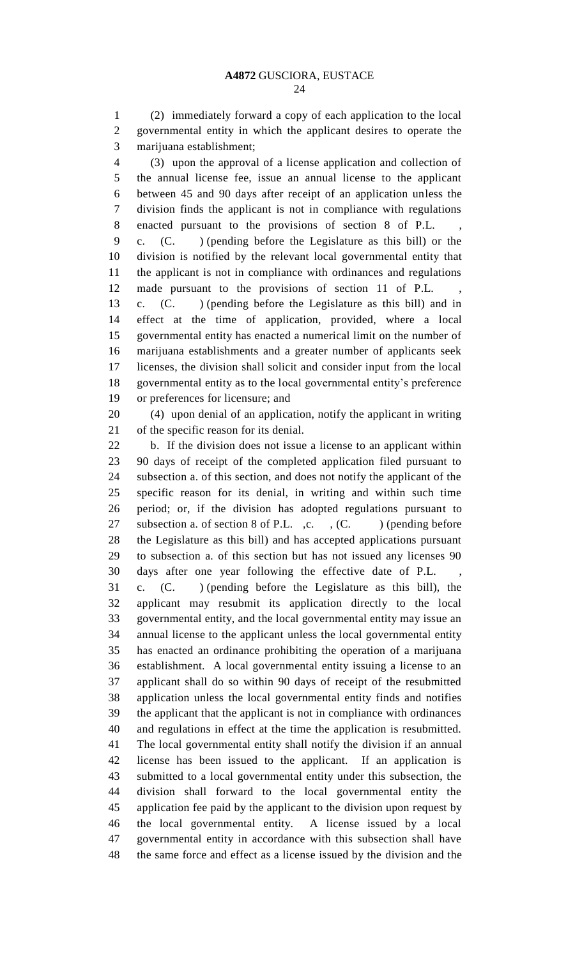(2) immediately forward a copy of each application to the local governmental entity in which the applicant desires to operate the marijuana establishment;

 (3) upon the approval of a license application and collection of the annual license fee, issue an annual license to the applicant between 45 and 90 days after receipt of an application unless the division finds the applicant is not in compliance with regulations enacted pursuant to the provisions of section 8 of P.L. , c. (C. ) (pending before the Legislature as this bill) or the division is notified by the relevant local governmental entity that the applicant is not in compliance with ordinances and regulations 12 made pursuant to the provisions of section 11 of P.L. c. (C. ) (pending before the Legislature as this bill) and in effect at the time of application, provided, where a local governmental entity has enacted a numerical limit on the number of marijuana establishments and a greater number of applicants seek licenses, the division shall solicit and consider input from the local governmental entity as to the local governmental entity's preference or preferences for licensure; and

 (4) upon denial of an application, notify the applicant in writing of the specific reason for its denial.

 b. If the division does not issue a license to an applicant within 90 days of receipt of the completed application filed pursuant to subsection a. of this section, and does not notify the applicant of the specific reason for its denial, in writing and within such time period; or, if the division has adopted regulations pursuant to 27 subsection a. of section 8 of P.L., c., C. (C. ) (pending before the Legislature as this bill) and has accepted applications pursuant to subsection a. of this section but has not issued any licenses 90 days after one year following the effective date of P.L. ,

 c. (C. ) (pending before the Legislature as this bill), the applicant may resubmit its application directly to the local governmental entity, and the local governmental entity may issue an annual license to the applicant unless the local governmental entity has enacted an ordinance prohibiting the operation of a marijuana establishment. A local governmental entity issuing a license to an applicant shall do so within 90 days of receipt of the resubmitted application unless the local governmental entity finds and notifies the applicant that the applicant is not in compliance with ordinances and regulations in effect at the time the application is resubmitted. The local governmental entity shall notify the division if an annual license has been issued to the applicant. If an application is submitted to a local governmental entity under this subsection, the division shall forward to the local governmental entity the application fee paid by the applicant to the division upon request by the local governmental entity. A license issued by a local governmental entity in accordance with this subsection shall have the same force and effect as a license issued by the division and the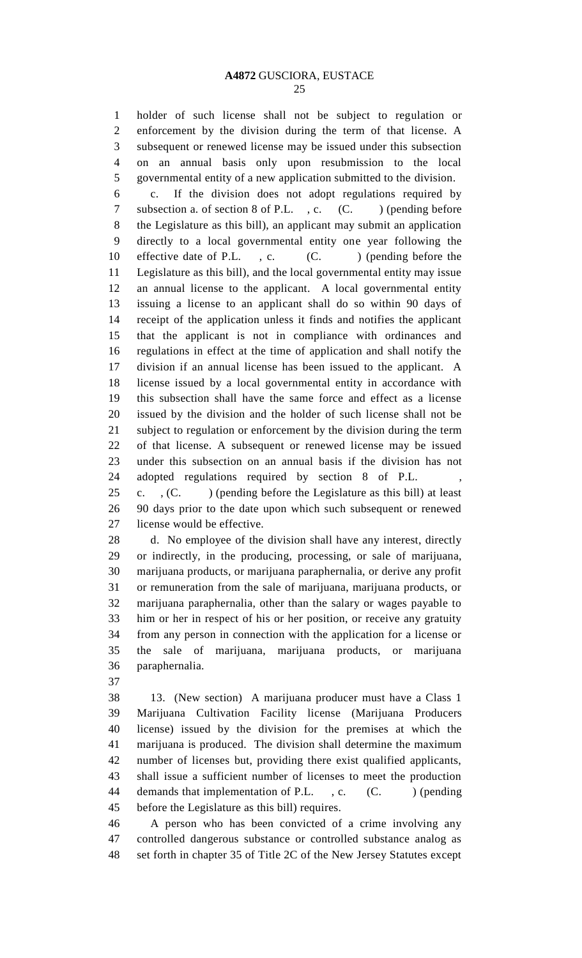holder of such license shall not be subject to regulation or enforcement by the division during the term of that license. A subsequent or renewed license may be issued under this subsection on an annual basis only upon resubmission to the local governmental entity of a new application submitted to the division.

 c. If the division does not adopt regulations required by 7 subsection a. of section 8 of P.L., c. (C. ) (pending before the Legislature as this bill), an applicant may submit an application directly to a local governmental entity one year following the 10 effective date of P.L., c. (C. ) (pending before the Legislature as this bill), and the local governmental entity may issue an annual license to the applicant. A local governmental entity issuing a license to an applicant shall do so within 90 days of receipt of the application unless it finds and notifies the applicant that the applicant is not in compliance with ordinances and regulations in effect at the time of application and shall notify the division if an annual license has been issued to the applicant. A license issued by a local governmental entity in accordance with this subsection shall have the same force and effect as a license issued by the division and the holder of such license shall not be subject to regulation or enforcement by the division during the term of that license. A subsequent or renewed license may be issued under this subsection on an annual basis if the division has not 24 adopted regulations required by section 8 of P.L.

 c. , (C. ) (pending before the Legislature as this bill) at least 90 days prior to the date upon which such subsequent or renewed license would be effective.

 d. No employee of the division shall have any interest, directly or indirectly, in the producing, processing, or sale of marijuana, marijuana products, or marijuana paraphernalia, or derive any profit or remuneration from the sale of marijuana, marijuana products, or marijuana paraphernalia, other than the salary or wages payable to him or her in respect of his or her position, or receive any gratuity from any person in connection with the application for a license or the sale of marijuana, marijuana products, or marijuana paraphernalia.

38 13. (New section) A marijuana producer must have a Class 1 Marijuana Cultivation Facility license (Marijuana Producers license) issued by the division for the premises at which the marijuana is produced. The division shall determine the maximum number of licenses but, providing there exist qualified applicants, shall issue a sufficient number of licenses to meet the production 44 demands that implementation of P.L., c. (C. ) (pending before the Legislature as this bill) requires.

 A person who has been convicted of a crime involving any controlled dangerous substance or controlled substance analog as set forth in chapter 35 of Title 2C of the New Jersey Statutes except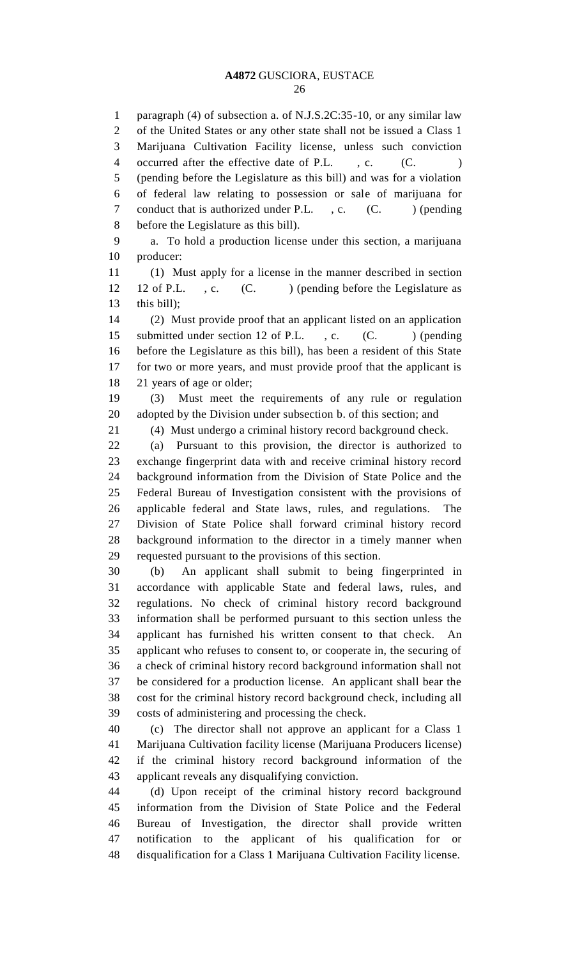paragraph (4) of subsection a. of N.J.S.2C:35-10, or any similar law of the United States or any other state shall not be issued a Class 1 Marijuana Cultivation Facility license, unless such conviction 4 occurred after the effective date of P.L., c. (C. ) (pending before the Legislature as this bill) and was for a violation of federal law relating to possession or sale of marijuana for 7 conduct that is authorized under P.L., c. (C. ) (pending before the Legislature as this bill). a. To hold a production license under this section, a marijuana producer: (1) Must apply for a license in the manner described in section 12 12 of P.L. , c. (C. ) (pending before the Legislature as this bill); (2) Must provide proof that an applicant listed on an application 15 submitted under section 12 of P.L., c. (C. ) (pending before the Legislature as this bill), has been a resident of this State for two or more years, and must provide proof that the applicant is 21 years of age or older; (3) Must meet the requirements of any rule or regulation adopted by the Division under subsection b. of this section; and (4) Must undergo a criminal history record background check. (a) Pursuant to this provision, the director is authorized to exchange fingerprint data with and receive criminal history record background information from the Division of State Police and the Federal Bureau of Investigation consistent with the provisions of applicable federal and State laws, rules, and regulations. The Division of State Police shall forward criminal history record background information to the director in a timely manner when requested pursuant to the provisions of this section. (b) An applicant shall submit to being fingerprinted in accordance with applicable State and federal laws, rules, and regulations. No check of criminal history record background information shall be performed pursuant to this section unless the applicant has furnished his written consent to that check. An applicant who refuses to consent to, or cooperate in, the securing of a check of criminal history record background information shall not be considered for a production license. An applicant shall bear the cost for the criminal history record background check, including all costs of administering and processing the check. (c) The director shall not approve an applicant for a Class 1 Marijuana Cultivation facility license (Marijuana Producers license) if the criminal history record background information of the applicant reveals any disqualifying conviction. (d) Upon receipt of the criminal history record background information from the Division of State Police and the Federal Bureau of Investigation, the director shall provide written notification to the applicant of his qualification for or disqualification for a Class 1 Marijuana Cultivation Facility license.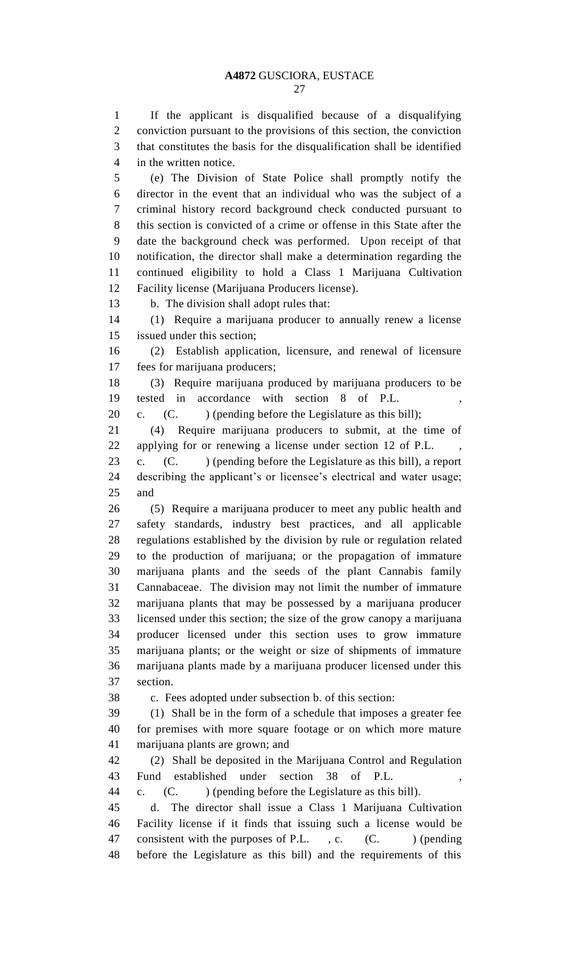If the applicant is disqualified because of a disqualifying conviction pursuant to the provisions of this section, the conviction that constitutes the basis for the disqualification shall be identified in the written notice.

 (e) The Division of State Police shall promptly notify the director in the event that an individual who was the subject of a criminal history record background check conducted pursuant to this section is convicted of a crime or offense in this State after the date the background check was performed. Upon receipt of that notification, the director shall make a determination regarding the continued eligibility to hold a Class 1 Marijuana Cultivation Facility license (Marijuana Producers license).

b. The division shall adopt rules that:

 (1) Require a marijuana producer to annually renew a license issued under this section;

 (2) Establish application, licensure, and renewal of licensure fees for marijuana producers;

 (3) Require marijuana produced by marijuana producers to be tested in accordance with section 8 of P.L. ,

20 c. (C. ) (pending before the Legislature as this bill);

 (4) Require marijuana producers to submit, at the time of 22 applying for or renewing a license under section 12 of P.L.

 c. (C. ) (pending before the Legislature as this bill), a report describing the applicant's or licensee's electrical and water usage; and

 (5) Require a marijuana producer to meet any public health and safety standards, industry best practices, and all applicable regulations established by the division by rule or regulation related to the production of marijuana; or the propagation of immature marijuana plants and the seeds of the plant Cannabis family Cannabaceae. The division may not limit the number of immature marijuana plants that may be possessed by a marijuana producer licensed under this section; the size of the grow canopy a marijuana producer licensed under this section uses to grow immature marijuana plants; or the weight or size of shipments of immature marijuana plants made by a marijuana producer licensed under this section.

c. Fees adopted under subsection b. of this section:

 (1) Shall be in the form of a schedule that imposes a greater fee for premises with more square footage or on which more mature marijuana plants are grown; and

 (2) Shall be deposited in the Marijuana Control and Regulation Fund established under section 38 of P.L. ,

c. (C. ) (pending before the Legislature as this bill).

 d. The director shall issue a Class 1 Marijuana Cultivation Facility license if it finds that issuing such a license would be 47 consistent with the purposes of P.L., c. (C. ) (pending before the Legislature as this bill) and the requirements of this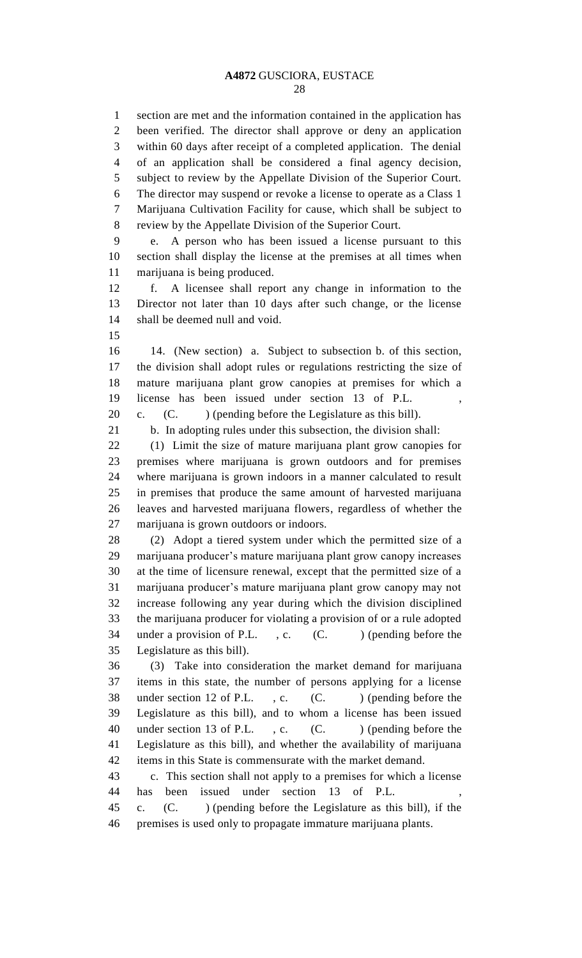section are met and the information contained in the application has been verified. The director shall approve or deny an application within 60 days after receipt of a completed application. The denial of an application shall be considered a final agency decision, subject to review by the Appellate Division of the Superior Court. The director may suspend or revoke a license to operate as a Class 1 Marijuana Cultivation Facility for cause, which shall be subject to review by the Appellate Division of the Superior Court.

 e. A person who has been issued a license pursuant to this section shall display the license at the premises at all times when marijuana is being produced.

 f. A licensee shall report any change in information to the Director not later than 10 days after such change, or the license shall be deemed null and void.

 14. (New section) a. Subject to subsection b. of this section, the division shall adopt rules or regulations restricting the size of mature marijuana plant grow canopies at premises for which a license has been issued under section 13 of P.L. ,

c. (C. ) (pending before the Legislature as this bill).

b. In adopting rules under this subsection, the division shall:

 (1) Limit the size of mature marijuana plant grow canopies for premises where marijuana is grown outdoors and for premises where marijuana is grown indoors in a manner calculated to result in premises that produce the same amount of harvested marijuana leaves and harvested marijuana flowers, regardless of whether the marijuana is grown outdoors or indoors.

 (2) Adopt a tiered system under which the permitted size of a marijuana producer's mature marijuana plant grow canopy increases at the time of licensure renewal, except that the permitted size of a marijuana producer's mature marijuana plant grow canopy may not increase following any year during which the division disciplined the marijuana producer for violating a provision of or a rule adopted 34 under a provision of P.L. , c. (C. ) (pending before the Legislature as this bill).

 (3) Take into consideration the market demand for marijuana items in this state, the number of persons applying for a license 38 under section 12 of P.L., c. (C. ) (pending before the Legislature as this bill), and to whom a license has been issued 40 under section 13 of P.L., c. (C. ) (pending before the Legislature as this bill), and whether the availability of marijuana items in this State is commensurate with the market demand.

 c. This section shall not apply to a premises for which a license has been issued under section 13 of P.L. ,

 c. (C. ) (pending before the Legislature as this bill), if the premises is used only to propagate immature marijuana plants.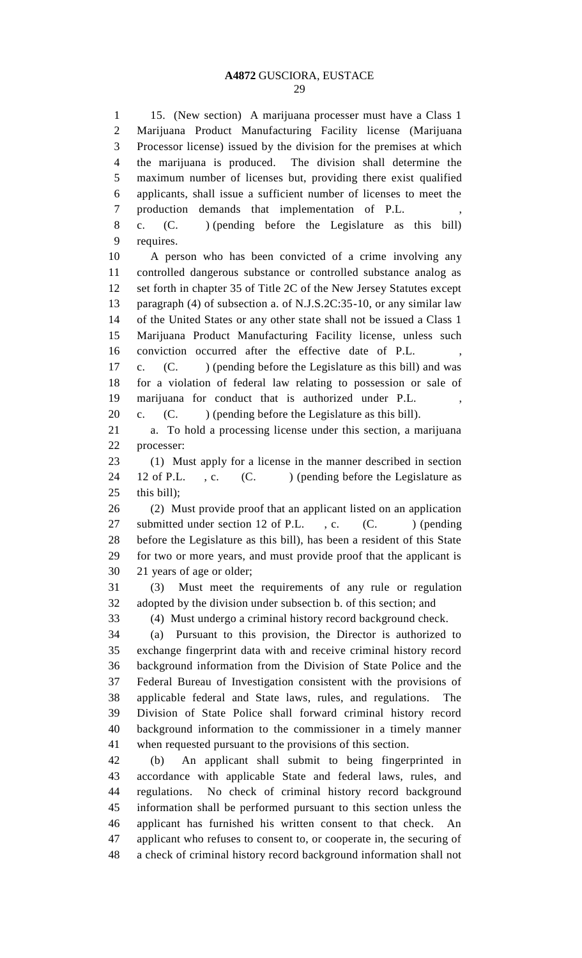15. (New section) A marijuana processer must have a Class 1 Marijuana Product Manufacturing Facility license (Marijuana Processor license) issued by the division for the premises at which the marijuana is produced. The division shall determine the maximum number of licenses but, providing there exist qualified applicants, shall issue a sufficient number of licenses to meet the 7 production demands that implementation of P.L. c. (C. ) (pending before the Legislature as this bill) requires. A person who has been convicted of a crime involving any controlled dangerous substance or controlled substance analog as set forth in chapter 35 of Title 2C of the New Jersey Statutes except paragraph (4) of subsection a. of N.J.S.2C:35-10, or any similar law of the United States or any other state shall not be issued a Class 1 Marijuana Product Manufacturing Facility license, unless such conviction occurred after the effective date of P.L. , c. (C. ) (pending before the Legislature as this bill) and was for a violation of federal law relating to possession or sale of marijuana for conduct that is authorized under P.L. , c. (C. ) (pending before the Legislature as this bill). a. To hold a processing license under this section, a marijuana processer: (1) Must apply for a license in the manner described in section 24 12 of P.L. , c. (C. ) (pending before the Legislature as this bill); (2) Must provide proof that an applicant listed on an application 27 submitted under section 12 of P.L., c. (C. ) (pending before the Legislature as this bill), has been a resident of this State for two or more years, and must provide proof that the applicant is 21 years of age or older; (3) Must meet the requirements of any rule or regulation adopted by the division under subsection b. of this section; and (4) Must undergo a criminal history record background check. (a) Pursuant to this provision, the Director is authorized to exchange fingerprint data with and receive criminal history record background information from the Division of State Police and the Federal Bureau of Investigation consistent with the provisions of applicable federal and State laws, rules, and regulations. The Division of State Police shall forward criminal history record background information to the commissioner in a timely manner when requested pursuant to the provisions of this section. (b) An applicant shall submit to being fingerprinted in accordance with applicable State and federal laws, rules, and regulations. No check of criminal history record background information shall be performed pursuant to this section unless the applicant has furnished his written consent to that check. An applicant who refuses to consent to, or cooperate in, the securing of a check of criminal history record background information shall not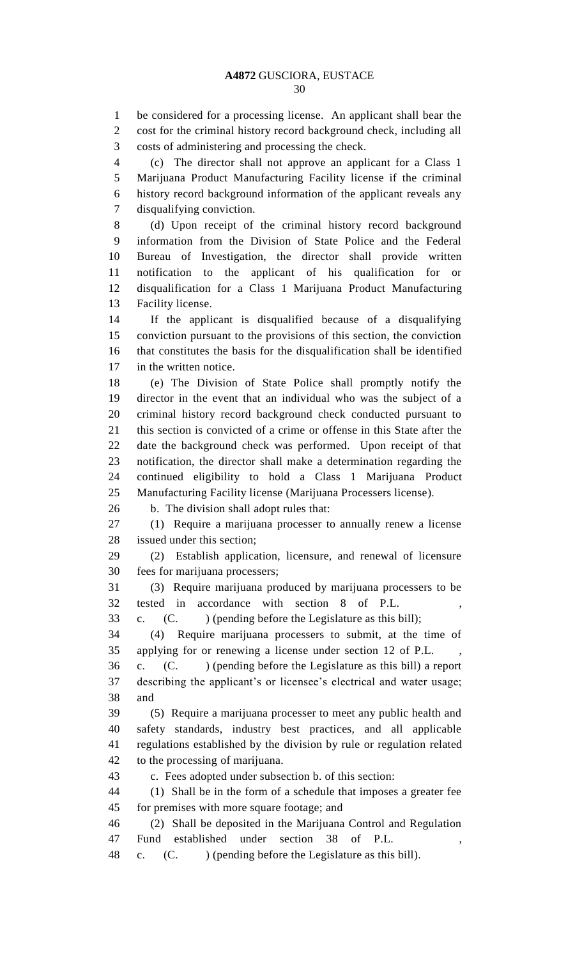be considered for a processing license. An applicant shall bear the cost for the criminal history record background check, including all costs of administering and processing the check.

 (c) The director shall not approve an applicant for a Class 1 Marijuana Product Manufacturing Facility license if the criminal history record background information of the applicant reveals any disqualifying conviction.

 (d) Upon receipt of the criminal history record background information from the Division of State Police and the Federal Bureau of Investigation, the director shall provide written notification to the applicant of his qualification for or disqualification for a Class 1 Marijuana Product Manufacturing Facility license.

 If the applicant is disqualified because of a disqualifying conviction pursuant to the provisions of this section, the conviction that constitutes the basis for the disqualification shall be identified in the written notice.

 (e) The Division of State Police shall promptly notify the director in the event that an individual who was the subject of a criminal history record background check conducted pursuant to this section is convicted of a crime or offense in this State after the date the background check was performed. Upon receipt of that notification, the director shall make a determination regarding the continued eligibility to hold a Class 1 Marijuana Product Manufacturing Facility license (Marijuana Processers license).

b. The division shall adopt rules that:

 (1) Require a marijuana processer to annually renew a license issued under this section;

 (2) Establish application, licensure, and renewal of licensure fees for marijuana processers;

 (3) Require marijuana produced by marijuana processers to be tested in accordance with section 8 of P.L. ,

c. (C. ) (pending before the Legislature as this bill);

 (4) Require marijuana processers to submit, at the time of applying for or renewing a license under section 12 of P.L. ,

 c. (C. ) (pending before the Legislature as this bill) a report describing the applicant's or licensee's electrical and water usage; and

 (5) Require a marijuana processer to meet any public health and safety standards, industry best practices, and all applicable regulations established by the division by rule or regulation related to the processing of marijuana.

c. Fees adopted under subsection b. of this section:

 (1) Shall be in the form of a schedule that imposes a greater fee for premises with more square footage; and

 (2) Shall be deposited in the Marijuana Control and Regulation Fund established under section 38 of P.L. ,

c. (C. ) (pending before the Legislature as this bill).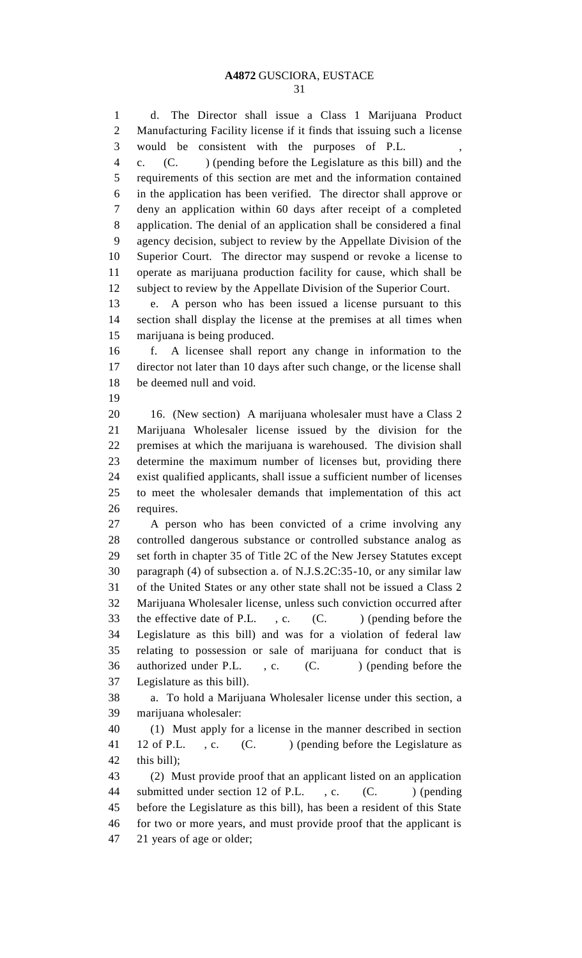d. The Director shall issue a Class 1 Marijuana Product Manufacturing Facility license if it finds that issuing such a license would be consistent with the purposes of P.L. , c. (C. ) (pending before the Legislature as this bill) and the requirements of this section are met and the information contained in the application has been verified. The director shall approve or deny an application within 60 days after receipt of a completed application. The denial of an application shall be considered a final agency decision, subject to review by the Appellate Division of the Superior Court. The director may suspend or revoke a license to operate as marijuana production facility for cause, which shall be subject to review by the Appellate Division of the Superior Court. e. A person who has been issued a license pursuant to this section shall display the license at the premises at all times when marijuana is being produced. f. A licensee shall report any change in information to the director not later than 10 days after such change, or the license shall be deemed null and void. 16. (New section) A marijuana wholesaler must have a Class 2 Marijuana Wholesaler license issued by the division for the premises at which the marijuana is warehoused. The division shall determine the maximum number of licenses but, providing there exist qualified applicants, shall issue a sufficient number of licenses to meet the wholesaler demands that implementation of this act requires. A person who has been convicted of a crime involving any controlled dangerous substance or controlled substance analog as set forth in chapter 35 of Title 2C of the New Jersey Statutes except paragraph (4) of subsection a. of N.J.S.2C:35-10, or any similar law of the United States or any other state shall not be issued a Class 2 Marijuana Wholesaler license, unless such conviction occurred after 33 the effective date of P.L. , c. (C. ) (pending before the Legislature as this bill) and was for a violation of federal law relating to possession or sale of marijuana for conduct that is 36 authorized under P.L., c. (C.) (pending before the Legislature as this bill). a. To hold a Marijuana Wholesaler license under this section, a marijuana wholesaler: (1) Must apply for a license in the manner described in section 41 12 of P.L. , c. (C. ) (pending before the Legislature as this bill); (2) Must provide proof that an applicant listed on an application 44 submitted under section 12 of P.L. c. (C. ) (pending before the Legislature as this bill), has been a resident of this State for two or more years, and must provide proof that the applicant is 21 years of age or older;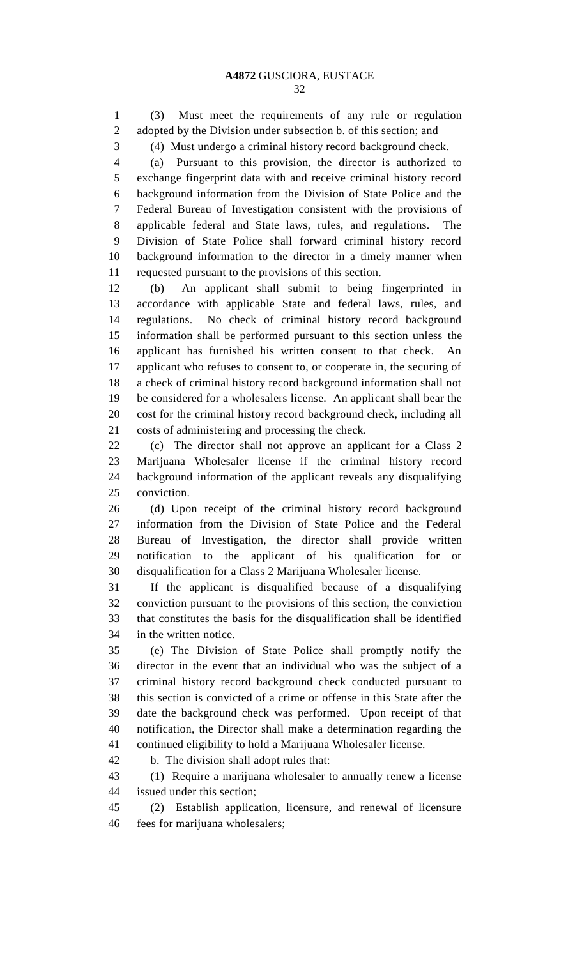(3) Must meet the requirements of any rule or regulation adopted by the Division under subsection b. of this section; and

(4) Must undergo a criminal history record background check.

 (a) Pursuant to this provision, the director is authorized to exchange fingerprint data with and receive criminal history record background information from the Division of State Police and the Federal Bureau of Investigation consistent with the provisions of applicable federal and State laws, rules, and regulations. The Division of State Police shall forward criminal history record background information to the director in a timely manner when requested pursuant to the provisions of this section.

 (b) An applicant shall submit to being fingerprinted in accordance with applicable State and federal laws, rules, and regulations. No check of criminal history record background information shall be performed pursuant to this section unless the applicant has furnished his written consent to that check. An applicant who refuses to consent to, or cooperate in, the securing of a check of criminal history record background information shall not be considered for a wholesalers license. An applicant shall bear the cost for the criminal history record background check, including all costs of administering and processing the check.

 (c) The director shall not approve an applicant for a Class 2 Marijuana Wholesaler license if the criminal history record background information of the applicant reveals any disqualifying conviction.

 (d) Upon receipt of the criminal history record background information from the Division of State Police and the Federal Bureau of Investigation, the director shall provide written notification to the applicant of his qualification for or disqualification for a Class 2 Marijuana Wholesaler license.

 If the applicant is disqualified because of a disqualifying conviction pursuant to the provisions of this section, the conviction that constitutes the basis for the disqualification shall be identified in the written notice.

 (e) The Division of State Police shall promptly notify the director in the event that an individual who was the subject of a criminal history record background check conducted pursuant to this section is convicted of a crime or offense in this State after the date the background check was performed. Upon receipt of that notification, the Director shall make a determination regarding the continued eligibility to hold a Marijuana Wholesaler license.

b. The division shall adopt rules that:

 (1) Require a marijuana wholesaler to annually renew a license issued under this section;

 (2) Establish application, licensure, and renewal of licensure fees for marijuana wholesalers;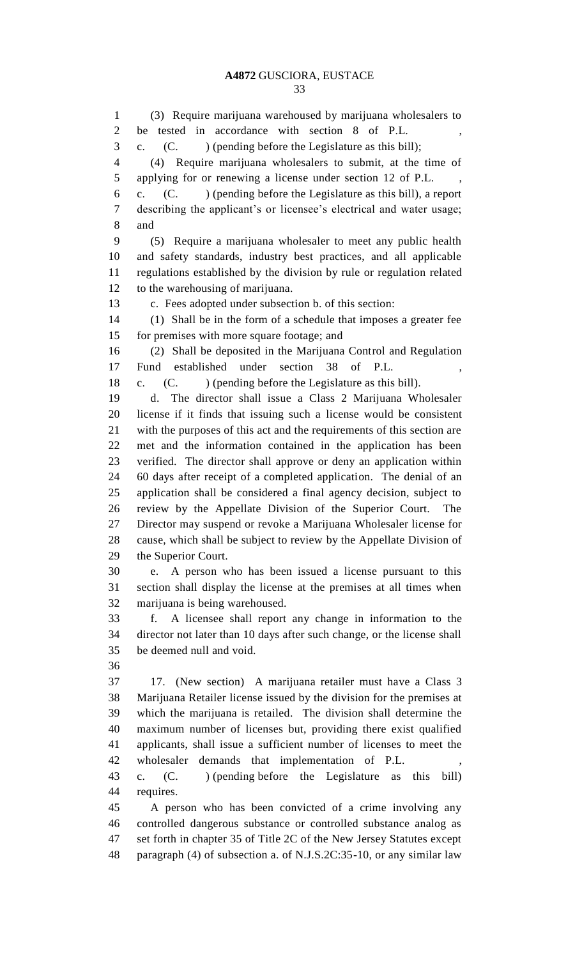(3) Require marijuana warehoused by marijuana wholesalers to be tested in accordance with section 8 of P.L. , c. (C. ) (pending before the Legislature as this bill); (4) Require marijuana wholesalers to submit, at the time of 5 applying for or renewing a license under section 12 of P.L. c. (C. ) (pending before the Legislature as this bill), a report describing the applicant's or licensee's electrical and water usage; and (5) Require a marijuana wholesaler to meet any public health and safety standards, industry best practices, and all applicable regulations established by the division by rule or regulation related to the warehousing of marijuana. c. Fees adopted under subsection b. of this section: (1) Shall be in the form of a schedule that imposes a greater fee for premises with more square footage; and (2) Shall be deposited in the Marijuana Control and Regulation Fund established under section 38 of P.L. , c. (C. ) (pending before the Legislature as this bill). d. The director shall issue a Class 2 Marijuana Wholesaler license if it finds that issuing such a license would be consistent with the purposes of this act and the requirements of this section are met and the information contained in the application has been verified. The director shall approve or deny an application within 60 days after receipt of a completed application. The denial of an application shall be considered a final agency decision, subject to review by the Appellate Division of the Superior Court. The Director may suspend or revoke a Marijuana Wholesaler license for cause, which shall be subject to review by the Appellate Division of the Superior Court. e. A person who has been issued a license pursuant to this section shall display the license at the premises at all times when marijuana is being warehoused. f. A licensee shall report any change in information to the director not later than 10 days after such change, or the license shall be deemed null and void. 17. (New section) A marijuana retailer must have a Class 3 Marijuana Retailer license issued by the division for the premises at which the marijuana is retailed. The division shall determine the maximum number of licenses but, providing there exist qualified applicants, shall issue a sufficient number of licenses to meet the 42 wholesaler demands that implementation of P.L. c. (C. ) (pending before the Legislature as this bill) requires. A person who has been convicted of a crime involving any controlled dangerous substance or controlled substance analog as set forth in chapter 35 of Title 2C of the New Jersey Statutes except paragraph (4) of subsection a. of N.J.S.2C:35-10, or any similar law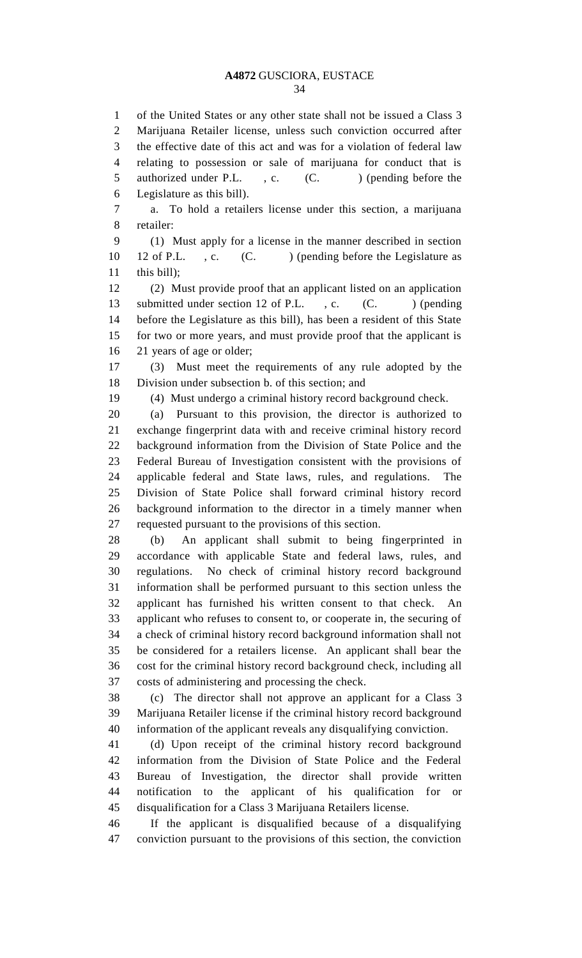of the United States or any other state shall not be issued a Class 3 Marijuana Retailer license, unless such conviction occurred after the effective date of this act and was for a violation of federal law relating to possession or sale of marijuana for conduct that is 5 authorized under P.L., c. (C. ) (pending before the Legislature as this bill).

 a. To hold a retailers license under this section, a marijuana retailer:

 (1) Must apply for a license in the manner described in section 10 12 of P.L. , c. (C. ) (pending before the Legislature as this bill);

 (2) Must provide proof that an applicant listed on an application 13 submitted under section 12 of P.L., c. (C. ) (pending before the Legislature as this bill), has been a resident of this State for two or more years, and must provide proof that the applicant is 21 years of age or older;

 (3) Must meet the requirements of any rule adopted by the Division under subsection b. of this section; and

(4) Must undergo a criminal history record background check.

 (a) Pursuant to this provision, the director is authorized to exchange fingerprint data with and receive criminal history record background information from the Division of State Police and the Federal Bureau of Investigation consistent with the provisions of applicable federal and State laws, rules, and regulations. The Division of State Police shall forward criminal history record background information to the director in a timely manner when requested pursuant to the provisions of this section.

 (b) An applicant shall submit to being fingerprinted in accordance with applicable State and federal laws, rules, and regulations. No check of criminal history record background information shall be performed pursuant to this section unless the applicant has furnished his written consent to that check. An applicant who refuses to consent to, or cooperate in, the securing of a check of criminal history record background information shall not be considered for a retailers license. An applicant shall bear the cost for the criminal history record background check, including all costs of administering and processing the check.

 (c) The director shall not approve an applicant for a Class 3 Marijuana Retailer license if the criminal history record background information of the applicant reveals any disqualifying conviction.

 (d) Upon receipt of the criminal history record background information from the Division of State Police and the Federal Bureau of Investigation, the director shall provide written notification to the applicant of his qualification for or disqualification for a Class 3 Marijuana Retailers license.

 If the applicant is disqualified because of a disqualifying conviction pursuant to the provisions of this section, the conviction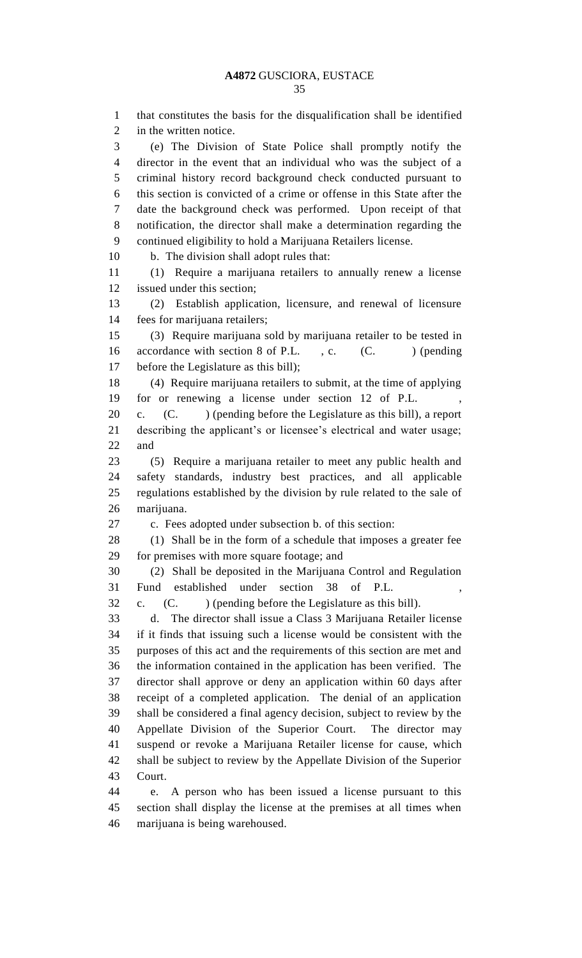that constitutes the basis for the disqualification shall be identified in the written notice. (e) The Division of State Police shall promptly notify the director in the event that an individual who was the subject of a criminal history record background check conducted pursuant to this section is convicted of a crime or offense in this State after the date the background check was performed. Upon receipt of that notification, the director shall make a determination regarding the continued eligibility to hold a Marijuana Retailers license. b. The division shall adopt rules that: (1) Require a marijuana retailers to annually renew a license issued under this section; (2) Establish application, licensure, and renewal of licensure fees for marijuana retailers; (3) Require marijuana sold by marijuana retailer to be tested in 16 accordance with section 8 of P.L., c. (C. ) (pending before the Legislature as this bill); (4) Require marijuana retailers to submit, at the time of applying for or renewing a license under section 12 of P.L. , c. (C. ) (pending before the Legislature as this bill), a report describing the applicant's or licensee's electrical and water usage; and (5) Require a marijuana retailer to meet any public health and safety standards, industry best practices, and all applicable regulations established by the division by rule related to the sale of marijuana. c. Fees adopted under subsection b. of this section: 28 (1) Shall be in the form of a schedule that imposes a greater fee for premises with more square footage; and (2) Shall be deposited in the Marijuana Control and Regulation Fund established under section 38 of P.L. , c. (C. ) (pending before the Legislature as this bill). d. The director shall issue a Class 3 Marijuana Retailer license if it finds that issuing such a license would be consistent with the purposes of this act and the requirements of this section are met and the information contained in the application has been verified. The director shall approve or deny an application within 60 days after receipt of a completed application. The denial of an application shall be considered a final agency decision, subject to review by the Appellate Division of the Superior Court. The director may suspend or revoke a Marijuana Retailer license for cause, which shall be subject to review by the Appellate Division of the Superior Court. e. A person who has been issued a license pursuant to this

 section shall display the license at the premises at all times when marijuana is being warehoused.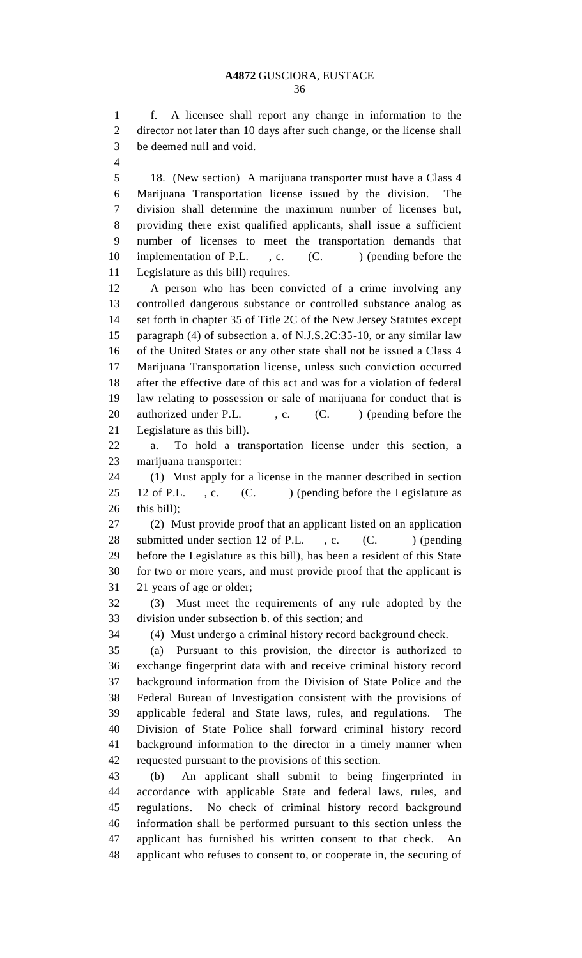f. A licensee shall report any change in information to the director not later than 10 days after such change, or the license shall be deemed null and void.

 18. (New section) A marijuana transporter must have a Class 4 Marijuana Transportation license issued by the division. The division shall determine the maximum number of licenses but, providing there exist qualified applicants, shall issue a sufficient number of licenses to meet the transportation demands that 10 implementation of P.L., c. (C. ) (pending before the Legislature as this bill) requires.

 A person who has been convicted of a crime involving any controlled dangerous substance or controlled substance analog as set forth in chapter 35 of Title 2C of the New Jersey Statutes except paragraph (4) of subsection a. of N.J.S.2C:35-10, or any similar law of the United States or any other state shall not be issued a Class 4 Marijuana Transportation license, unless such conviction occurred after the effective date of this act and was for a violation of federal law relating to possession or sale of marijuana for conduct that is 20 authorized under P.L., c. (C. ) (pending before the Legislature as this bill).

 a. To hold a transportation license under this section, a marijuana transporter:

 (1) Must apply for a license in the manner described in section 25 12 of P.L. , c.  $(C.$  ) (pending before the Legislature as 26 this bill);

 (2) Must provide proof that an applicant listed on an application 28 submitted under section 12 of P.L. , c. (C. ) (pending before the Legislature as this bill), has been a resident of this State for two or more years, and must provide proof that the applicant is 21 years of age or older;

 (3) Must meet the requirements of any rule adopted by the division under subsection b. of this section; and

(4) Must undergo a criminal history record background check.

 (a) Pursuant to this provision, the director is authorized to exchange fingerprint data with and receive criminal history record background information from the Division of State Police and the Federal Bureau of Investigation consistent with the provisions of applicable federal and State laws, rules, and regulations. The Division of State Police shall forward criminal history record background information to the director in a timely manner when requested pursuant to the provisions of this section.

 (b) An applicant shall submit to being fingerprinted in accordance with applicable State and federal laws, rules, and regulations. No check of criminal history record background information shall be performed pursuant to this section unless the applicant has furnished his written consent to that check. An applicant who refuses to consent to, or cooperate in, the securing of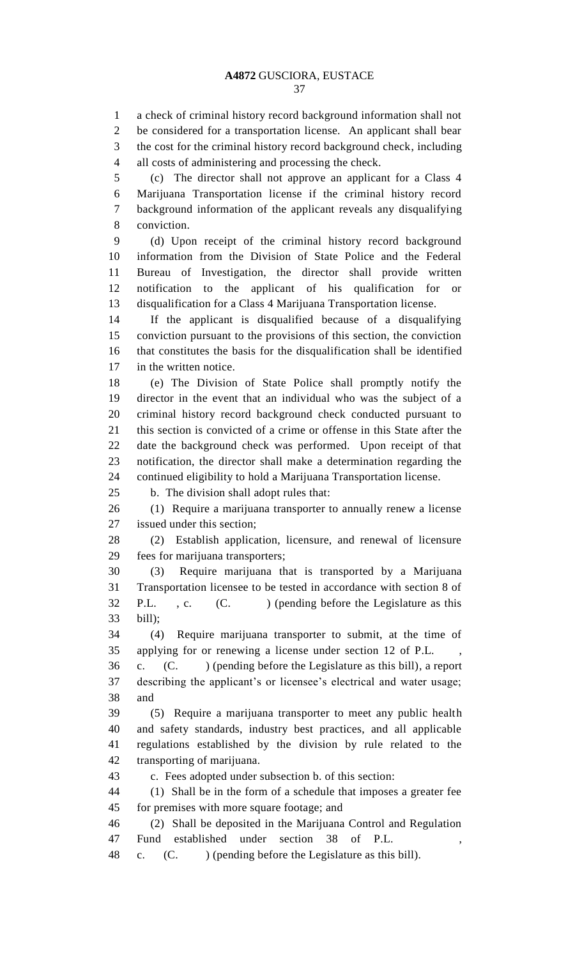a check of criminal history record background information shall not be considered for a transportation license. An applicant shall bear the cost for the criminal history record background check, including all costs of administering and processing the check.

 (c) The director shall not approve an applicant for a Class 4 Marijuana Transportation license if the criminal history record background information of the applicant reveals any disqualifying conviction.

 (d) Upon receipt of the criminal history record background information from the Division of State Police and the Federal Bureau of Investigation, the director shall provide written notification to the applicant of his qualification for or disqualification for a Class 4 Marijuana Transportation license.

 If the applicant is disqualified because of a disqualifying conviction pursuant to the provisions of this section, the conviction that constitutes the basis for the disqualification shall be identified in the written notice.

 (e) The Division of State Police shall promptly notify the director in the event that an individual who was the subject of a criminal history record background check conducted pursuant to this section is convicted of a crime or offense in this State after the date the background check was performed. Upon receipt of that notification, the director shall make a determination regarding the continued eligibility to hold a Marijuana Transportation license.

b. The division shall adopt rules that:

 (1) Require a marijuana transporter to annually renew a license issued under this section;

 (2) Establish application, licensure, and renewal of licensure fees for marijuana transporters;

 (3) Require marijuana that is transported by a Marijuana Transportation licensee to be tested in accordance with section 8 of 32 P.L. , c. (C. ) (pending before the Legislature as this bill);

 (4) Require marijuana transporter to submit, at the time of applying for or renewing a license under section 12 of P.L. ,

 c. (C. ) (pending before the Legislature as this bill), a report describing the applicant's or licensee's electrical and water usage; and

 (5) Require a marijuana transporter to meet any public health and safety standards, industry best practices, and all applicable regulations established by the division by rule related to the transporting of marijuana.

c. Fees adopted under subsection b. of this section:

 (1) Shall be in the form of a schedule that imposes a greater fee for premises with more square footage; and

 (2) Shall be deposited in the Marijuana Control and Regulation Fund established under section 38 of P.L. ,

c. (C. ) (pending before the Legislature as this bill).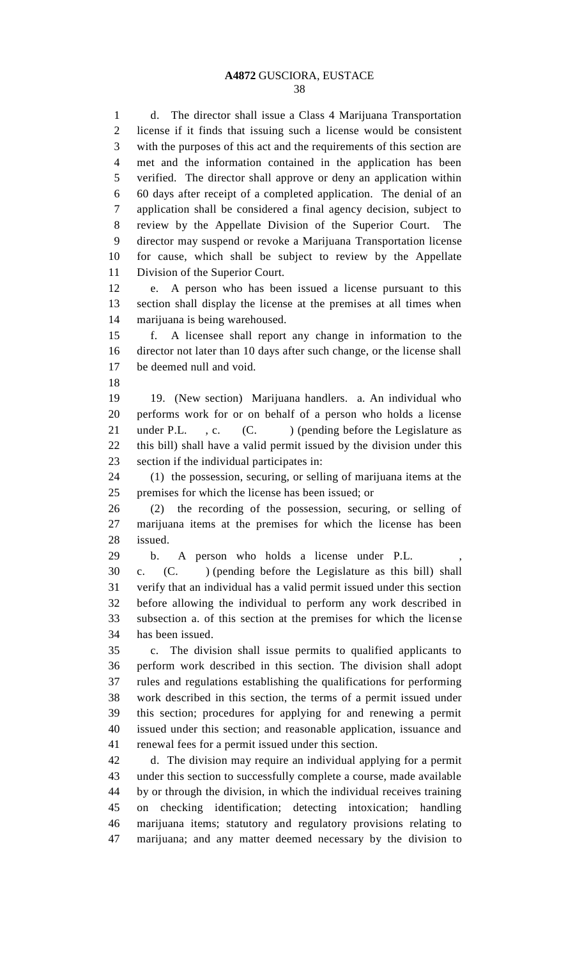d. The director shall issue a Class 4 Marijuana Transportation license if it finds that issuing such a license would be consistent with the purposes of this act and the requirements of this section are met and the information contained in the application has been verified. The director shall approve or deny an application within 60 days after receipt of a completed application. The denial of an application shall be considered a final agency decision, subject to review by the Appellate Division of the Superior Court. The director may suspend or revoke a Marijuana Transportation license for cause, which shall be subject to review by the Appellate Division of the Superior Court.

 e. A person who has been issued a license pursuant to this section shall display the license at the premises at all times when marijuana is being warehoused.

 f. A licensee shall report any change in information to the director not later than 10 days after such change, or the license shall be deemed null and void.

 19. (New section) Marijuana handlers. a. An individual who performs work for or on behalf of a person who holds a license 21 under P.L. , c. (C. ) (pending before the Legislature as this bill) shall have a valid permit issued by the division under this section if the individual participates in:

 (1) the possession, securing, or selling of marijuana items at the premises for which the license has been issued; or

 (2) the recording of the possession, securing, or selling of marijuana items at the premises for which the license has been issued.

29 b. A person who holds a license under P.L.

 c. (C. ) (pending before the Legislature as this bill) shall verify that an individual has a valid permit issued under this section before allowing the individual to perform any work described in subsection a. of this section at the premises for which the license has been issued.

 c. The division shall issue permits to qualified applicants to perform work described in this section. The division shall adopt rules and regulations establishing the qualifications for performing work described in this section, the terms of a permit issued under this section; procedures for applying for and renewing a permit issued under this section; and reasonable application, issuance and renewal fees for a permit issued under this section.

 d. The division may require an individual applying for a permit under this section to successfully complete a course, made available by or through the division, in which the individual receives training on checking identification; detecting intoxication; handling marijuana items; statutory and regulatory provisions relating to marijuana; and any matter deemed necessary by the division to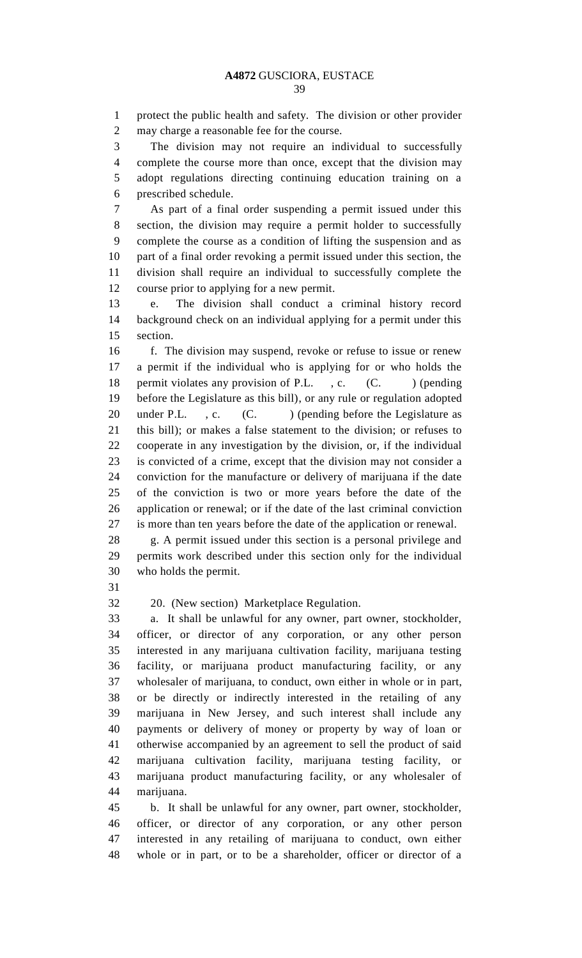protect the public health and safety. The division or other provider may charge a reasonable fee for the course.

 The division may not require an individual to successfully complete the course more than once, except that the division may adopt regulations directing continuing education training on a prescribed schedule.

 As part of a final order suspending a permit issued under this section, the division may require a permit holder to successfully complete the course as a condition of lifting the suspension and as part of a final order revoking a permit issued under this section, the division shall require an individual to successfully complete the course prior to applying for a new permit.

 e. The division shall conduct a criminal history record background check on an individual applying for a permit under this section.

16 f. The division may suspend, revoke or refuse to issue or renew a permit if the individual who is applying for or who holds the 18 permit violates any provision of P.L., c. (C. ) (pending before the Legislature as this bill), or any rule or regulation adopted 20 under P.L. , c. (C. ) (pending before the Legislature as this bill); or makes a false statement to the division; or refuses to cooperate in any investigation by the division, or, if the individual is convicted of a crime, except that the division may not consider a conviction for the manufacture or delivery of marijuana if the date of the conviction is two or more years before the date of the application or renewal; or if the date of the last criminal conviction is more than ten years before the date of the application or renewal.

 g. A permit issued under this section is a personal privilege and permits work described under this section only for the individual who holds the permit.

20. (New section) Marketplace Regulation.

 a. It shall be unlawful for any owner, part owner, stockholder, officer, or director of any corporation, or any other person interested in any marijuana cultivation facility, marijuana testing facility, or marijuana product manufacturing facility, or any wholesaler of marijuana, to conduct, own either in whole or in part, or be directly or indirectly interested in the retailing of any marijuana in New Jersey, and such interest shall include any payments or delivery of money or property by way of loan or otherwise accompanied by an agreement to sell the product of said marijuana cultivation facility, marijuana testing facility, or marijuana product manufacturing facility, or any wholesaler of marijuana.

 b. It shall be unlawful for any owner, part owner, stockholder, officer, or director of any corporation, or any other person interested in any retailing of marijuana to conduct, own either whole or in part, or to be a shareholder, officer or director of a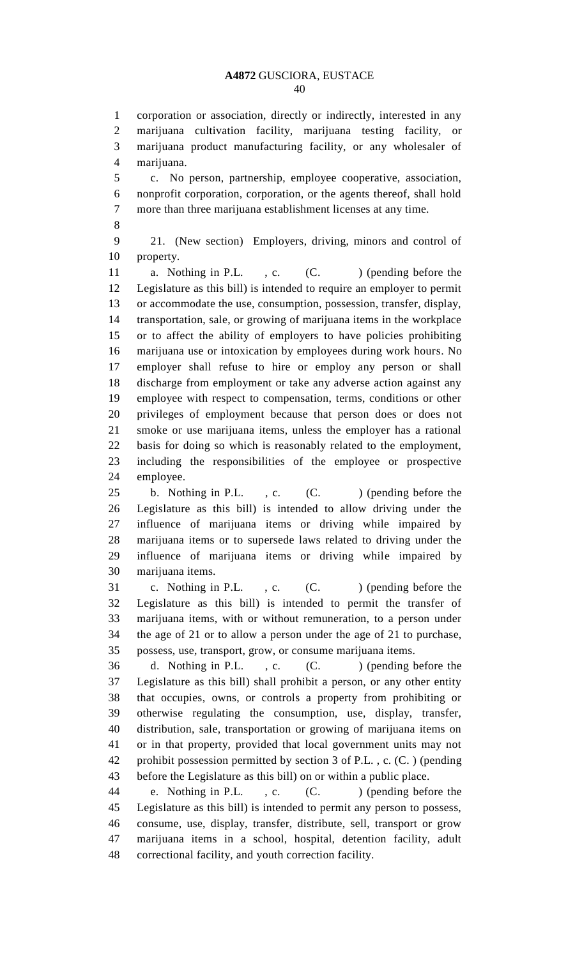corporation or association, directly or indirectly, interested in any marijuana cultivation facility, marijuana testing facility, or marijuana product manufacturing facility, or any wholesaler of marijuana.

 c. No person, partnership, employee cooperative, association, nonprofit corporation, corporation, or the agents thereof, shall hold more than three marijuana establishment licenses at any time.

 21. (New section) Employers, driving, minors and control of property.

11 a. Nothing in P.L., c. (C.) (pending before the Legislature as this bill) is intended to require an employer to permit or accommodate the use, consumption, possession, transfer, display, transportation, sale, or growing of marijuana items in the workplace or to affect the ability of employers to have policies prohibiting marijuana use or intoxication by employees during work hours. No employer shall refuse to hire or employ any person or shall discharge from employment or take any adverse action against any employee with respect to compensation, terms, conditions or other privileges of employment because that person does or does not smoke or use marijuana items, unless the employer has a rational basis for doing so which is reasonably related to the employment, including the responsibilities of the employee or prospective employee.

25 b. Nothing in P.L. , c. (C. ) (pending before the Legislature as this bill) is intended to allow driving under the influence of marijuana items or driving while impaired by marijuana items or to supersede laws related to driving under the influence of marijuana items or driving while impaired by marijuana items.

31 c. Nothing in P.L. , c. (C. ) (pending before the Legislature as this bill) is intended to permit the transfer of marijuana items, with or without remuneration, to a person under the age of 21 or to allow a person under the age of 21 to purchase, possess, use, transport, grow, or consume marijuana items.

36 d. Nothing in P.L. , c. (C. ) (pending before the Legislature as this bill) shall prohibit a person, or any other entity that occupies, owns, or controls a property from prohibiting or otherwise regulating the consumption, use, display, transfer, distribution, sale, transportation or growing of marijuana items on or in that property, provided that local government units may not prohibit possession permitted by section 3 of P.L. , c. (C. ) (pending before the Legislature as this bill) on or within a public place.

44 e. Nothing in P.L. , c. (C. ) (pending before the Legislature as this bill) is intended to permit any person to possess, consume, use, display, transfer, distribute, sell, transport or grow marijuana items in a school, hospital, detention facility, adult correctional facility, and youth correction facility.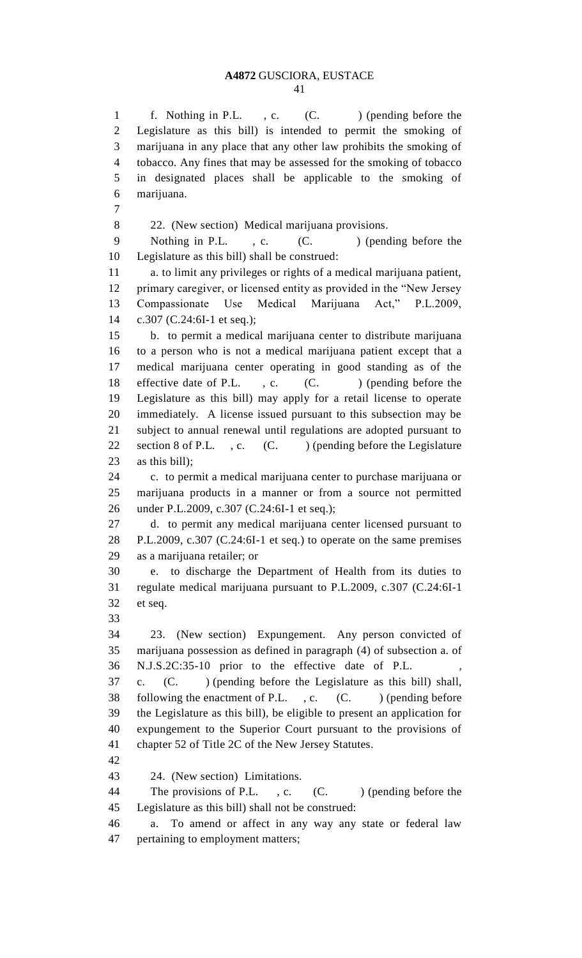1 f. Nothing in P.L., c. (C. ) (pending before the Legislature as this bill) is intended to permit the smoking of marijuana in any place that any other law prohibits the smoking of tobacco. Any fines that may be assessed for the smoking of tobacco in designated places shall be applicable to the smoking of marijuana. 22. (New section) Medical marijuana provisions. 9 Nothing in P.L., c. (C. ) (pending before the Legislature as this bill) shall be construed: a. to limit any privileges or rights of a medical marijuana patient, primary caregiver, or licensed entity as provided in the "New Jersey Compassionate Use Medical Marijuana Act," P.L.2009, c.307 (C.24:6I-1 et seq.); b. to permit a medical marijuana center to distribute marijuana to a person who is not a medical marijuana patient except that a medical marijuana center operating in good standing as of the 18 effective date of P.L., c. (C. ) (pending before the Legislature as this bill) may apply for a retail license to operate immediately. A license issued pursuant to this subsection may be subject to annual renewal until regulations are adopted pursuant to 22 section 8 of P.L. , c.  $(C.$  ) (pending before the Legislature as this bill); c. to permit a medical marijuana center to purchase marijuana or marijuana products in a manner or from a source not permitted under P.L.2009, c.307 (C.24:6I-1 et seq.); d. to permit any medical marijuana center licensed pursuant to P.L.2009, c.307 (C.24:6I-1 et seq.) to operate on the same premises as a marijuana retailer; or e. to discharge the Department of Health from its duties to regulate medical marijuana pursuant to P.L.2009, c.307 (C.24:6I-1 et seq. 23. (New section) Expungement. Any person convicted of marijuana possession as defined in paragraph (4) of subsection a. of N.J.S.2C:35-10 prior to the effective date of P.L. , c. (C. ) (pending before the Legislature as this bill) shall, 38 following the enactment of P.L., c. (C. ) (pending before the Legislature as this bill), be eligible to present an application for expungement to the Superior Court pursuant to the provisions of chapter 52 of Title 2C of the New Jersey Statutes. 24. (New section) Limitations. 44 The provisions of P.L. , c. (C. ) (pending before the Legislature as this bill) shall not be construed: a. To amend or affect in any way any state or federal law pertaining to employment matters;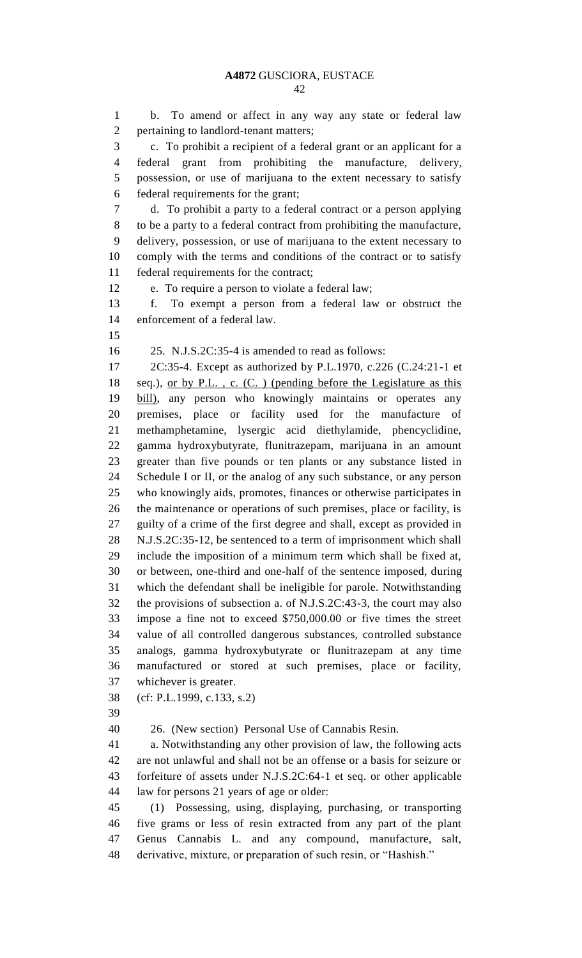b. To amend or affect in any way any state or federal law pertaining to landlord-tenant matters; c. To prohibit a recipient of a federal grant or an applicant for a federal grant from prohibiting the manufacture, delivery, possession, or use of marijuana to the extent necessary to satisfy federal requirements for the grant; d. To prohibit a party to a federal contract or a person applying to be a party to a federal contract from prohibiting the manufacture, delivery, possession, or use of marijuana to the extent necessary to comply with the terms and conditions of the contract or to satisfy federal requirements for the contract; e. To require a person to violate a federal law; f. To exempt a person from a federal law or obstruct the enforcement of a federal law. 25. N.J.S.2C:35-4 is amended to read as follows: 2C:35-4. Except as authorized by P.L.1970, c.226 (C.24:21-1 et seq.), or by P.L. , c. (C. ) (pending before the Legislature as this bill), any person who knowingly maintains or operates any premises, place or facility used for the manufacture of methamphetamine, lysergic acid diethylamide, phencyclidine, gamma hydroxybutyrate, flunitrazepam, marijuana in an amount greater than five pounds or ten plants or any substance listed in Schedule I or II, or the analog of any such substance, or any person who knowingly aids, promotes, finances or otherwise participates in the maintenance or operations of such premises, place or facility, is guilty of a crime of the first degree and shall, except as provided in N.J.S.2C:35-12, be sentenced to a term of imprisonment which shall include the imposition of a minimum term which shall be fixed at, or between, one-third and one-half of the sentence imposed, during which the defendant shall be ineligible for parole. Notwithstanding the provisions of subsection a. of N.J.S.2C:43-3, the court may also impose a fine not to exceed \$750,000.00 or five times the street value of all controlled dangerous substances, controlled substance analogs, gamma hydroxybutyrate or flunitrazepam at any time manufactured or stored at such premises, place or facility, whichever is greater. (cf: P.L.1999, c.133, s.2) 26. (New section) Personal Use of Cannabis Resin. a. Notwithstanding any other provision of law, the following acts are not unlawful and shall not be an offense or a basis for seizure or forfeiture of assets under N.J.S.2C:64-1 et seq. or other applicable law for persons 21 years of age or older: (1) Possessing, using, displaying, purchasing, or transporting five grams or less of resin extracted from any part of the plant Genus Cannabis L. and any compound, manufacture, salt, derivative, mixture, or preparation of such resin, or "Hashish."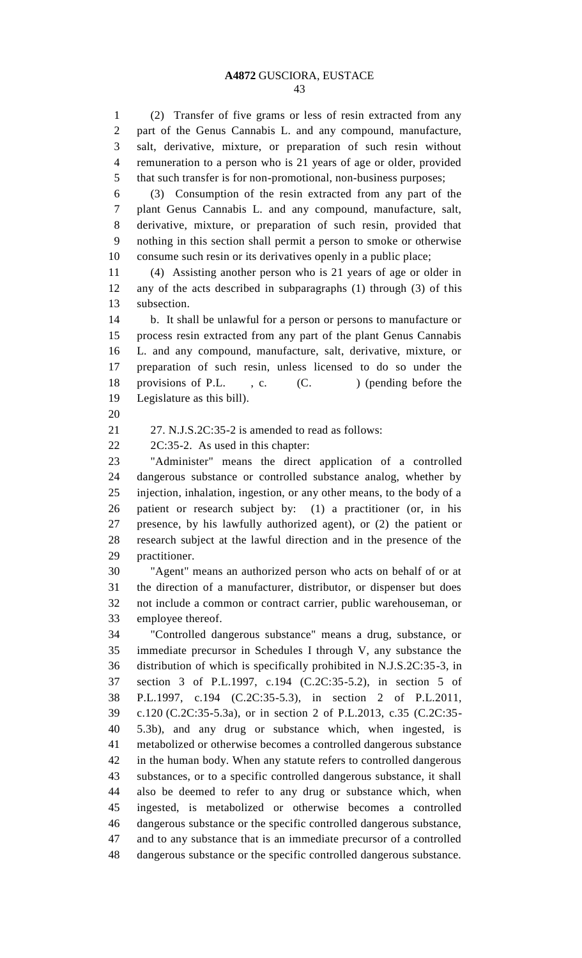(2) Transfer of five grams or less of resin extracted from any part of the Genus Cannabis L. and any compound, manufacture, salt, derivative, mixture, or preparation of such resin without remuneration to a person who is 21 years of age or older, provided that such transfer is for non-promotional, non-business purposes;

 (3) Consumption of the resin extracted from any part of the plant Genus Cannabis L. and any compound, manufacture, salt, derivative, mixture, or preparation of such resin, provided that nothing in this section shall permit a person to smoke or otherwise consume such resin or its derivatives openly in a public place;

 (4) Assisting another person who is 21 years of age or older in any of the acts described in subparagraphs (1) through (3) of this subsection.

 b. It shall be unlawful for a person or persons to manufacture or process resin extracted from any part of the plant Genus Cannabis L. and any compound, manufacture, salt, derivative, mixture, or preparation of such resin, unless licensed to do so under the 18 provisions of P.L., c. (C.) (pending before the Legislature as this bill).

27. N.J.S.2C:35-2 is amended to read as follows:

2C:35-2. As used in this chapter:

 "Administer" means the direct application of a controlled dangerous substance or controlled substance analog, whether by injection, inhalation, ingestion, or any other means, to the body of a patient or research subject by: (1) a practitioner (or, in his presence, by his lawfully authorized agent), or (2) the patient or research subject at the lawful direction and in the presence of the practitioner.

 "Agent" means an authorized person who acts on behalf of or at the direction of a manufacturer, distributor, or dispenser but does not include a common or contract carrier, public warehouseman, or employee thereof.

 "Controlled dangerous substance" means a drug, substance, or immediate precursor in Schedules I through V, any substance the distribution of which is specifically prohibited in N.J.S.2C:35-3, in section 3 of P.L.1997, c.194 (C.2C:35-5.2), in section 5 of P.L.1997, c.194 (C.2C:35-5.3), in section 2 of P.L.2011, c.120 (C.2C:35-5.3a), or in section 2 of P.L.2013, c.35 (C.2C:35- 5.3b), and any drug or substance which, when ingested, is metabolized or otherwise becomes a controlled dangerous substance in the human body. When any statute refers to controlled dangerous substances, or to a specific controlled dangerous substance, it shall also be deemed to refer to any drug or substance which, when ingested, is metabolized or otherwise becomes a controlled dangerous substance or the specific controlled dangerous substance, and to any substance that is an immediate precursor of a controlled dangerous substance or the specific controlled dangerous substance.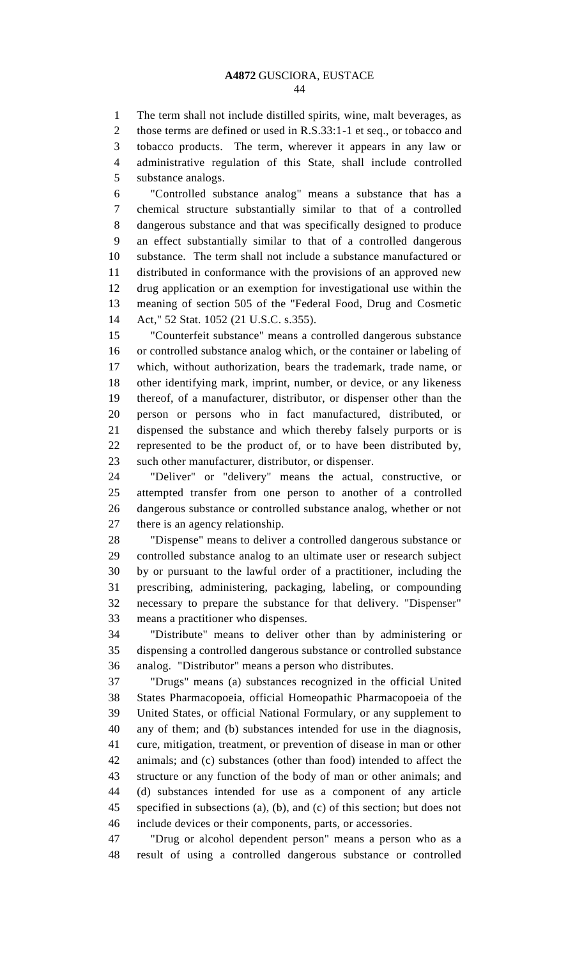The term shall not include distilled spirits, wine, malt beverages, as those terms are defined or used in R.S.33:1-1 et seq., or tobacco and tobacco products. The term, wherever it appears in any law or administrative regulation of this State, shall include controlled substance analogs.

 "Controlled substance analog" means a substance that has a chemical structure substantially similar to that of a controlled dangerous substance and that was specifically designed to produce an effect substantially similar to that of a controlled dangerous substance. The term shall not include a substance manufactured or distributed in conformance with the provisions of an approved new drug application or an exemption for investigational use within the meaning of section 505 of the "Federal Food, Drug and Cosmetic Act," 52 Stat. 1052 (21 U.S.C. s.355).

 "Counterfeit substance" means a controlled dangerous substance or controlled substance analog which, or the container or labeling of which, without authorization, bears the trademark, trade name, or other identifying mark, imprint, number, or device, or any likeness thereof, of a manufacturer, distributor, or dispenser other than the person or persons who in fact manufactured, distributed, or dispensed the substance and which thereby falsely purports or is represented to be the product of, or to have been distributed by, such other manufacturer, distributor, or dispenser.

 "Deliver" or "delivery" means the actual, constructive, or attempted transfer from one person to another of a controlled dangerous substance or controlled substance analog, whether or not there is an agency relationship.

 "Dispense" means to deliver a controlled dangerous substance or controlled substance analog to an ultimate user or research subject by or pursuant to the lawful order of a practitioner, including the prescribing, administering, packaging, labeling, or compounding necessary to prepare the substance for that delivery. "Dispenser" means a practitioner who dispenses.

 "Distribute" means to deliver other than by administering or dispensing a controlled dangerous substance or controlled substance analog. "Distributor" means a person who distributes.

 "Drugs" means (a) substances recognized in the official United States Pharmacopoeia, official Homeopathic Pharmacopoeia of the United States, or official National Formulary, or any supplement to any of them; and (b) substances intended for use in the diagnosis, cure, mitigation, treatment, or prevention of disease in man or other animals; and (c) substances (other than food) intended to affect the structure or any function of the body of man or other animals; and (d) substances intended for use as a component of any article specified in subsections (a), (b), and (c) of this section; but does not include devices or their components, parts, or accessories.

 "Drug or alcohol dependent person" means a person who as a result of using a controlled dangerous substance or controlled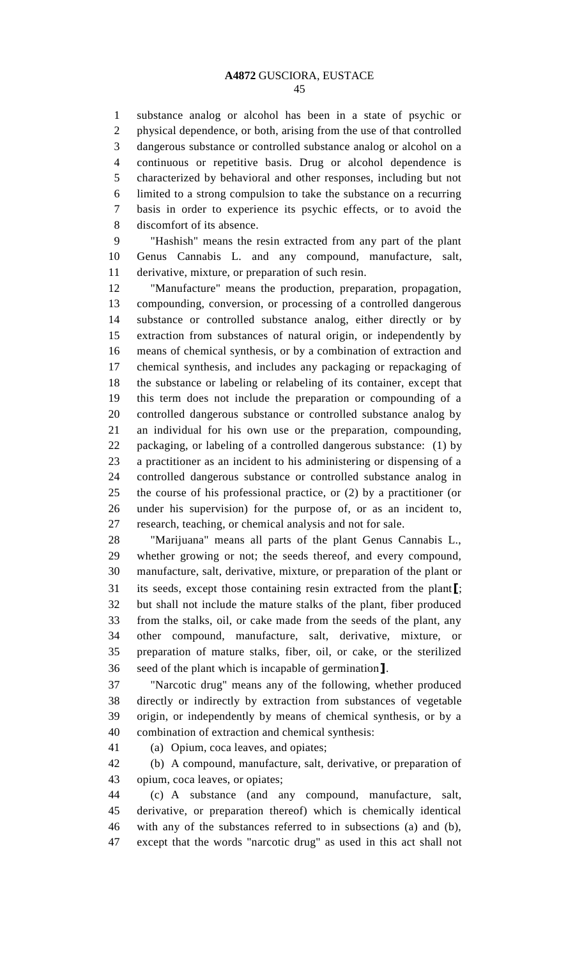substance analog or alcohol has been in a state of psychic or physical dependence, or both, arising from the use of that controlled dangerous substance or controlled substance analog or alcohol on a continuous or repetitive basis. Drug or alcohol dependence is characterized by behavioral and other responses, including but not limited to a strong compulsion to take the substance on a recurring basis in order to experience its psychic effects, or to avoid the discomfort of its absence.

 "Hashish" means the resin extracted from any part of the plant Genus Cannabis L. and any compound, manufacture, salt, derivative, mixture, or preparation of such resin.

 "Manufacture" means the production, preparation, propagation, compounding, conversion, or processing of a controlled dangerous substance or controlled substance analog, either directly or by extraction from substances of natural origin, or independently by means of chemical synthesis, or by a combination of extraction and chemical synthesis, and includes any packaging or repackaging of the substance or labeling or relabeling of its container, except that this term does not include the preparation or compounding of a controlled dangerous substance or controlled substance analog by an individual for his own use or the preparation, compounding, packaging, or labeling of a controlled dangerous substance: (1) by a practitioner as an incident to his administering or dispensing of a controlled dangerous substance or controlled substance analog in the course of his professional practice, or (2) by a practitioner (or under his supervision) for the purpose of, or as an incident to, research, teaching, or chemical analysis and not for sale.

 "Marijuana" means all parts of the plant Genus Cannabis L., whether growing or not; the seeds thereof, and every compound, manufacture, salt, derivative, mixture, or preparation of the plant or its seeds, except those containing resin extracted from the plant**[**; but shall not include the mature stalks of the plant, fiber produced from the stalks, oil, or cake made from the seeds of the plant, any other compound, manufacture, salt, derivative, mixture, or preparation of mature stalks, fiber, oil, or cake, or the sterilized seed of the plant which is incapable of germination**]**.

 "Narcotic drug" means any of the following, whether produced directly or indirectly by extraction from substances of vegetable origin, or independently by means of chemical synthesis, or by a combination of extraction and chemical synthesis:

(a) Opium, coca leaves, and opiates;

 (b) A compound, manufacture, salt, derivative, or preparation of opium, coca leaves, or opiates;

 (c) A substance (and any compound, manufacture, salt, derivative, or preparation thereof) which is chemically identical with any of the substances referred to in subsections (a) and (b), except that the words "narcotic drug" as used in this act shall not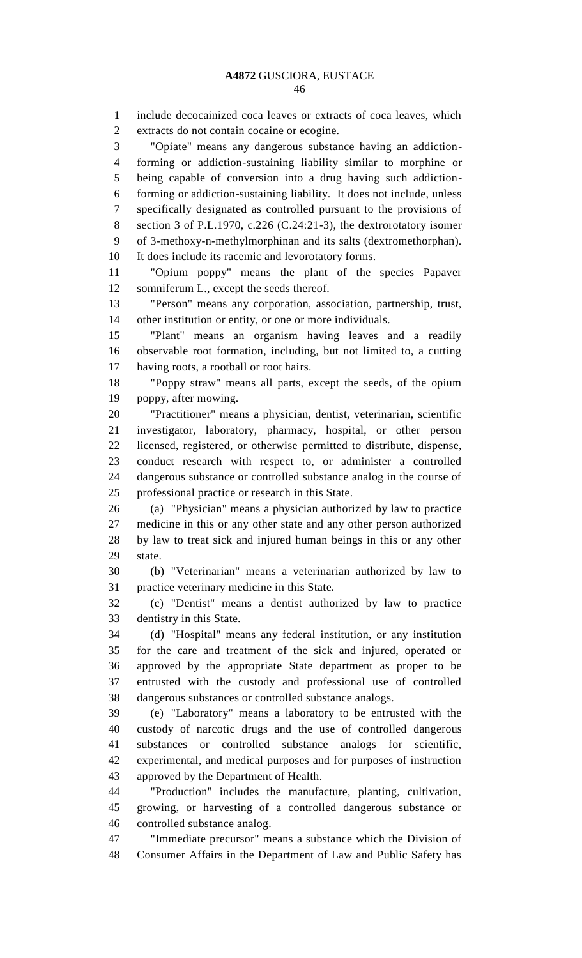include decocainized coca leaves or extracts of coca leaves, which extracts do not contain cocaine or ecogine. "Opiate" means any dangerous substance having an addiction- forming or addiction-sustaining liability similar to morphine or being capable of conversion into a drug having such addiction- forming or addiction-sustaining liability. It does not include, unless specifically designated as controlled pursuant to the provisions of section 3 of P.L.1970, c.226 (C.24:21-3), the dextrorotatory isomer of 3-methoxy-n-methylmorphinan and its salts (dextromethorphan). It does include its racemic and levorotatory forms. "Opium poppy" means the plant of the species Papaver somniferum L., except the seeds thereof. "Person" means any corporation, association, partnership, trust, other institution or entity, or one or more individuals. "Plant" means an organism having leaves and a readily observable root formation, including, but not limited to, a cutting having roots, a rootball or root hairs. "Poppy straw" means all parts, except the seeds, of the opium poppy, after mowing. "Practitioner" means a physician, dentist, veterinarian, scientific investigator, laboratory, pharmacy, hospital, or other person licensed, registered, or otherwise permitted to distribute, dispense, conduct research with respect to, or administer a controlled dangerous substance or controlled substance analog in the course of professional practice or research in this State. (a) "Physician" means a physician authorized by law to practice medicine in this or any other state and any other person authorized by law to treat sick and injured human beings in this or any other state. (b) "Veterinarian" means a veterinarian authorized by law to practice veterinary medicine in this State. (c) "Dentist" means a dentist authorized by law to practice dentistry in this State. (d) "Hospital" means any federal institution, or any institution for the care and treatment of the sick and injured, operated or approved by the appropriate State department as proper to be entrusted with the custody and professional use of controlled dangerous substances or controlled substance analogs. (e) "Laboratory" means a laboratory to be entrusted with the custody of narcotic drugs and the use of controlled dangerous substances or controlled substance analogs for scientific, experimental, and medical purposes and for purposes of instruction approved by the Department of Health. "Production" includes the manufacture, planting, cultivation, growing, or harvesting of a controlled dangerous substance or controlled substance analog. "Immediate precursor" means a substance which the Division of Consumer Affairs in the Department of Law and Public Safety has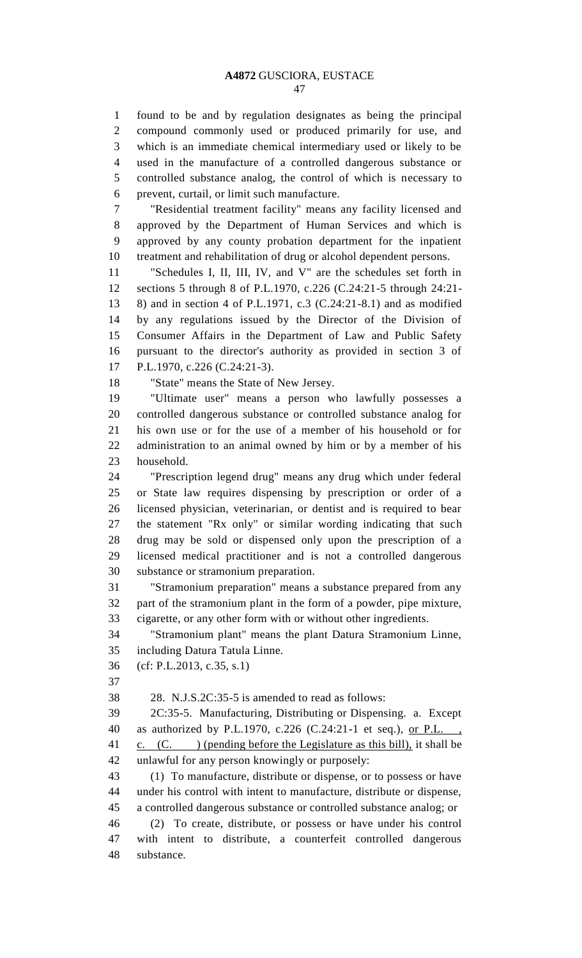found to be and by regulation designates as being the principal compound commonly used or produced primarily for use, and which is an immediate chemical intermediary used or likely to be used in the manufacture of a controlled dangerous substance or controlled substance analog, the control of which is necessary to prevent, curtail, or limit such manufacture.

 "Residential treatment facility" means any facility licensed and approved by the Department of Human Services and which is approved by any county probation department for the inpatient treatment and rehabilitation of drug or alcohol dependent persons.

 "Schedules I, II, III, IV, and V" are the schedules set forth in sections 5 through 8 of P.L.1970, c.226 (C.24:21-5 through 24:21- 8) and in section 4 of P.L.1971, c.3 (C.24:21-8.1) and as modified by any regulations issued by the Director of the Division of Consumer Affairs in the Department of Law and Public Safety pursuant to the director's authority as provided in section 3 of P.L.1970, c.226 (C.24:21-3).

"State" means the State of New Jersey.

 "Ultimate user" means a person who lawfully possesses a controlled dangerous substance or controlled substance analog for his own use or for the use of a member of his household or for administration to an animal owned by him or by a member of his household.

 "Prescription legend drug" means any drug which under federal or State law requires dispensing by prescription or order of a licensed physician, veterinarian, or dentist and is required to bear the statement "Rx only" or similar wording indicating that such drug may be sold or dispensed only upon the prescription of a licensed medical practitioner and is not a controlled dangerous substance or stramonium preparation.

 "Stramonium preparation" means a substance prepared from any part of the stramonium plant in the form of a powder, pipe mixture, cigarette, or any other form with or without other ingredients.

 "Stramonium plant" means the plant Datura Stramonium Linne, including Datura Tatula Linne.

(cf: P.L.2013, c.35, s.1)

28. N.J.S.2C:35-5 is amended to read as follows:

 2C:35-5. Manufacturing, Distributing or Dispensing. a. Except 40 as authorized by P.L.1970, c.226 (C.24:21-1 et seq.), or P.L. c. (C. ) (pending before the Legislature as this bill), it shall be unlawful for any person knowingly or purposely:

 (1) To manufacture, distribute or dispense, or to possess or have under his control with intent to manufacture, distribute or dispense, a controlled dangerous substance or controlled substance analog; or (2) To create, distribute, or possess or have under his control with intent to distribute, a counterfeit controlled dangerous substance.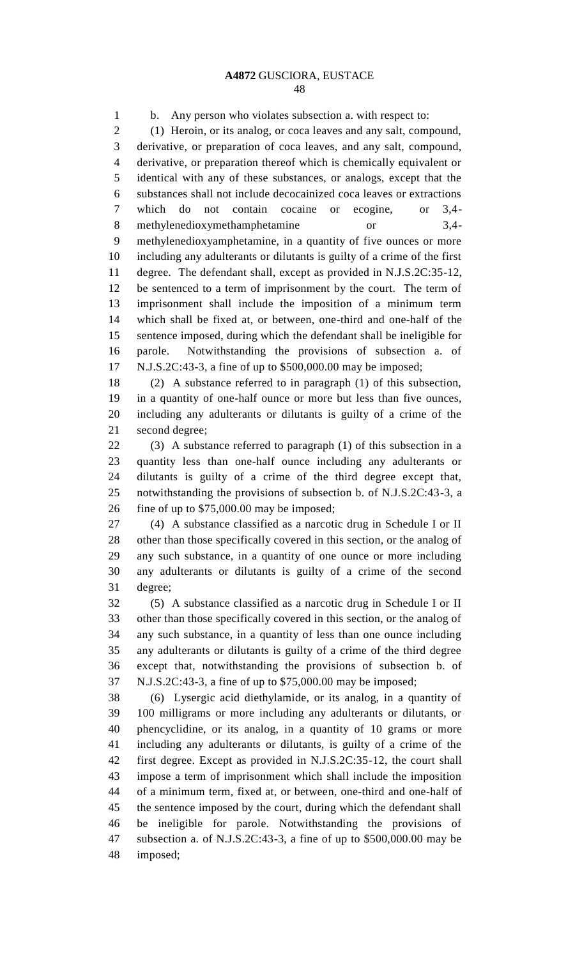b. Any person who violates subsection a. with respect to:

 (1) Heroin, or its analog, or coca leaves and any salt, compound, derivative, or preparation of coca leaves, and any salt, compound, derivative, or preparation thereof which is chemically equivalent or identical with any of these substances, or analogs, except that the substances shall not include decocainized coca leaves or extractions which do not contain cocaine or ecogine, or 3,4- methylenedioxymethamphetamine or 3,4- methylenedioxyamphetamine, in a quantity of five ounces or more including any adulterants or dilutants is guilty of a crime of the first degree. The defendant shall, except as provided in N.J.S.2C:35-12, be sentenced to a term of imprisonment by the court. The term of imprisonment shall include the imposition of a minimum term which shall be fixed at, or between, one-third and one-half of the sentence imposed, during which the defendant shall be ineligible for parole. Notwithstanding the provisions of subsection a. of N.J.S.2C:43-3, a fine of up to \$500,000.00 may be imposed;

 (2) A substance referred to in paragraph (1) of this subsection, in a quantity of one-half ounce or more but less than five ounces, including any adulterants or dilutants is guilty of a crime of the second degree;

 (3) A substance referred to paragraph (1) of this subsection in a quantity less than one-half ounce including any adulterants or dilutants is guilty of a crime of the third degree except that, notwithstanding the provisions of subsection b. of N.J.S.2C:43-3, a fine of up to \$75,000.00 may be imposed;

 (4) A substance classified as a narcotic drug in Schedule I or II other than those specifically covered in this section, or the analog of any such substance, in a quantity of one ounce or more including any adulterants or dilutants is guilty of a crime of the second degree;

 (5) A substance classified as a narcotic drug in Schedule I or II other than those specifically covered in this section, or the analog of any such substance, in a quantity of less than one ounce including any adulterants or dilutants is guilty of a crime of the third degree except that, notwithstanding the provisions of subsection b. of N.J.S.2C:43-3, a fine of up to \$75,000.00 may be imposed;

 (6) Lysergic acid diethylamide, or its analog, in a quantity of 100 milligrams or more including any adulterants or dilutants, or phencyclidine, or its analog, in a quantity of 10 grams or more including any adulterants or dilutants, is guilty of a crime of the first degree. Except as provided in N.J.S.2C:35-12, the court shall impose a term of imprisonment which shall include the imposition of a minimum term, fixed at, or between, one-third and one-half of the sentence imposed by the court, during which the defendant shall be ineligible for parole. Notwithstanding the provisions of subsection a. of N.J.S.2C:43-3, a fine of up to \$500,000.00 may be imposed;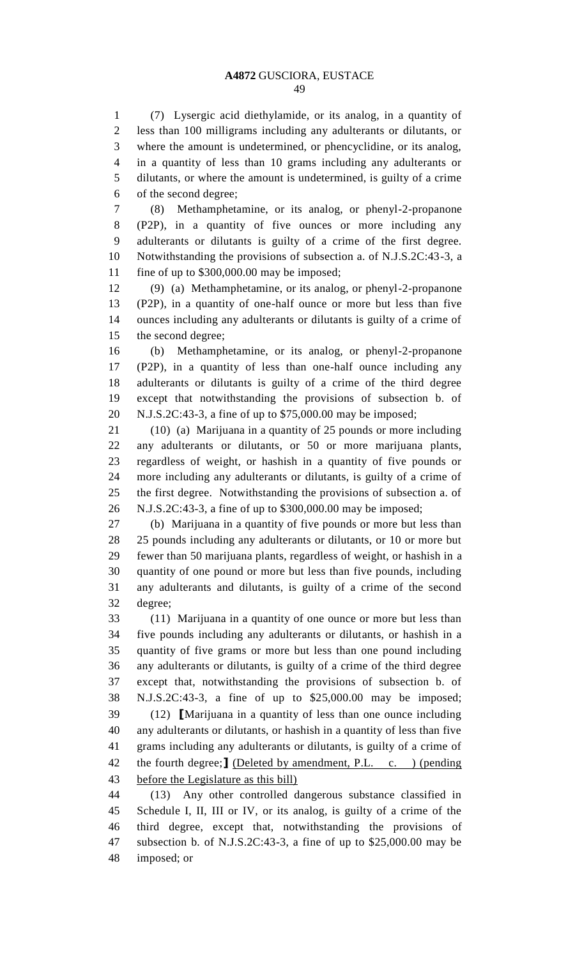(7) Lysergic acid diethylamide, or its analog, in a quantity of less than 100 milligrams including any adulterants or dilutants, or where the amount is undetermined, or phencyclidine, or its analog, in a quantity of less than 10 grams including any adulterants or dilutants, or where the amount is undetermined, is guilty of a crime of the second degree;

 (8) Methamphetamine, or its analog, or phenyl-2-propanone (P2P), in a quantity of five ounces or more including any adulterants or dilutants is guilty of a crime of the first degree. Notwithstanding the provisions of subsection a. of N.J.S.2C:43-3, a fine of up to \$300,000.00 may be imposed;

 (9) (a) Methamphetamine, or its analog, or phenyl-2-propanone (P2P), in a quantity of one-half ounce or more but less than five ounces including any adulterants or dilutants is guilty of a crime of the second degree;

 (b) Methamphetamine, or its analog, or phenyl-2-propanone (P2P), in a quantity of less than one-half ounce including any adulterants or dilutants is guilty of a crime of the third degree except that notwithstanding the provisions of subsection b. of N.J.S.2C:43-3, a fine of up to \$75,000.00 may be imposed;

 (10) (a) Marijuana in a quantity of 25 pounds or more including any adulterants or dilutants, or 50 or more marijuana plants, regardless of weight, or hashish in a quantity of five pounds or more including any adulterants or dilutants, is guilty of a crime of the first degree. Notwithstanding the provisions of subsection a. of N.J.S.2C:43-3, a fine of up to \$300,000.00 may be imposed;

 (b) Marijuana in a quantity of five pounds or more but less than 25 pounds including any adulterants or dilutants, or 10 or more but fewer than 50 marijuana plants, regardless of weight, or hashish in a quantity of one pound or more but less than five pounds, including any adulterants and dilutants, is guilty of a crime of the second degree;

 (11) Marijuana in a quantity of one ounce or more but less than five pounds including any adulterants or dilutants, or hashish in a quantity of five grams or more but less than one pound including any adulterants or dilutants, is guilty of a crime of the third degree except that, notwithstanding the provisions of subsection b. of N.J.S.2C:43-3, a fine of up to \$25,000.00 may be imposed; (12) **[**Marijuana in a quantity of less than one ounce including any adulterants or dilutants, or hashish in a quantity of less than five grams including any adulterants or dilutants, is guilty of a crime of the fourth degree;**]** (Deleted by amendment, P.L. c. ) (pending before the Legislature as this bill)

 (13) Any other controlled dangerous substance classified in Schedule I, II, III or IV, or its analog, is guilty of a crime of the third degree, except that, notwithstanding the provisions of subsection b. of N.J.S.2C:43-3, a fine of up to \$25,000.00 may be imposed; or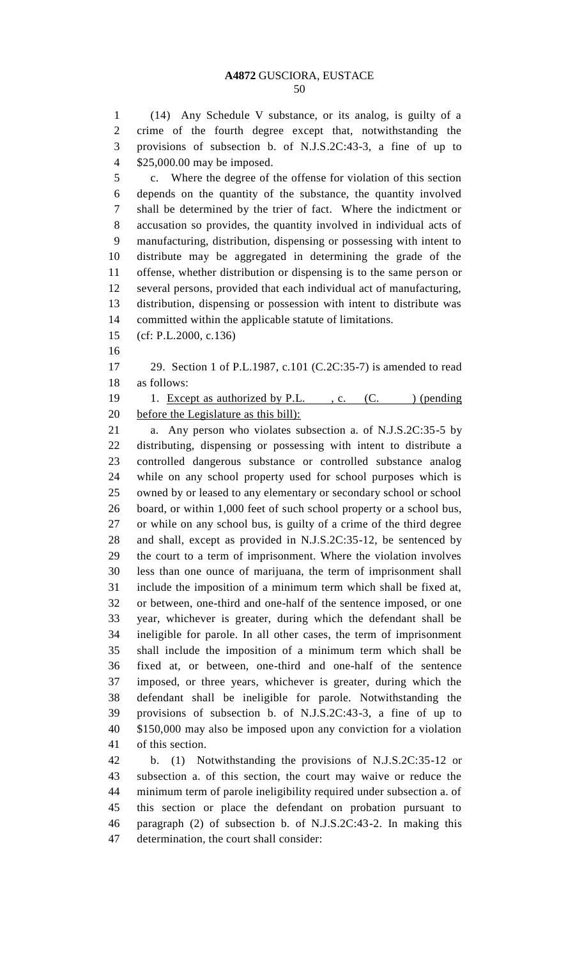(14) Any Schedule V substance, or its analog, is guilty of a crime of the fourth degree except that, notwithstanding the provisions of subsection b. of N.J.S.2C:43-3, a fine of up to \$25,000.00 may be imposed.

 c. Where the degree of the offense for violation of this section depends on the quantity of the substance, the quantity involved shall be determined by the trier of fact. Where the indictment or accusation so provides, the quantity involved in individual acts of manufacturing, distribution, dispensing or possessing with intent to distribute may be aggregated in determining the grade of the offense, whether distribution or dispensing is to the same person or several persons, provided that each individual act of manufacturing, distribution, dispensing or possession with intent to distribute was committed within the applicable statute of limitations.

- (cf: P.L.2000, c.136)
- 

 29. Section 1 of P.L.1987, c.101 (C.2C:35-7) is amended to read as follows:

19 1. Except as authorized by P.L., c. (C. ) (pending 20 before the Legislature as this bill):

 a. Any person who violates subsection a. of N.J.S.2C:35-5 by distributing, dispensing or possessing with intent to distribute a controlled dangerous substance or controlled substance analog while on any school property used for school purposes which is owned by or leased to any elementary or secondary school or school board, or within 1,000 feet of such school property or a school bus, or while on any school bus, is guilty of a crime of the third degree and shall, except as provided in N.J.S.2C:35-12, be sentenced by the court to a term of imprisonment. Where the violation involves less than one ounce of marijuana, the term of imprisonment shall include the imposition of a minimum term which shall be fixed at, or between, one-third and one-half of the sentence imposed, or one year, whichever is greater, during which the defendant shall be ineligible for parole. In all other cases, the term of imprisonment shall include the imposition of a minimum term which shall be fixed at, or between, one-third and one-half of the sentence imposed, or three years, whichever is greater, during which the defendant shall be ineligible for parole. Notwithstanding the provisions of subsection b. of N.J.S.2C:43-3, a fine of up to \$150,000 may also be imposed upon any conviction for a violation of this section.

 b. (1) Notwithstanding the provisions of N.J.S.2C:35-12 or subsection a. of this section, the court may waive or reduce the minimum term of parole ineligibility required under subsection a. of this section or place the defendant on probation pursuant to paragraph (2) of subsection b. of N.J.S.2C:43-2. In making this determination, the court shall consider: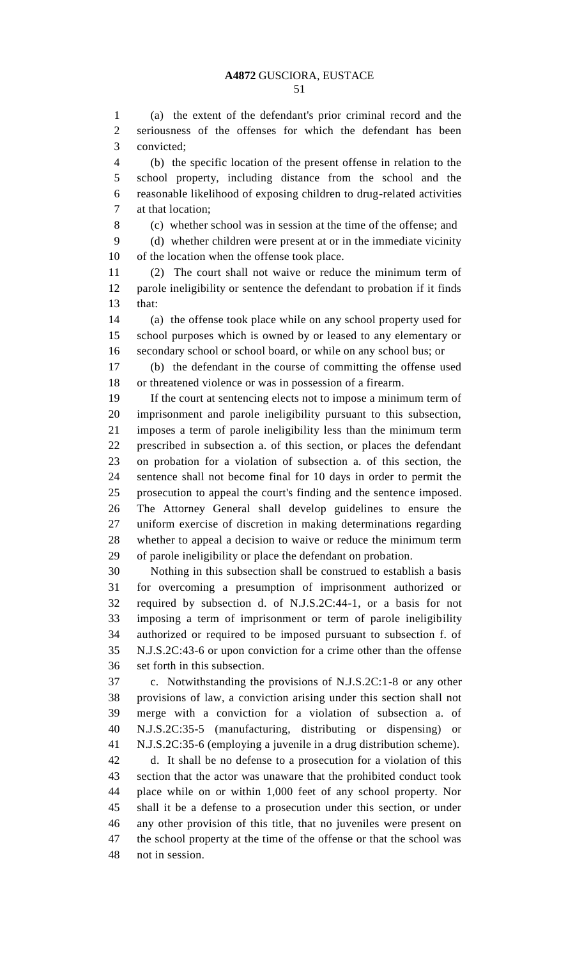(a) the extent of the defendant's prior criminal record and the seriousness of the offenses for which the defendant has been convicted;

 (b) the specific location of the present offense in relation to the school property, including distance from the school and the reasonable likelihood of exposing children to drug-related activities at that location;

(c) whether school was in session at the time of the offense; and

 (d) whether children were present at or in the immediate vicinity of the location when the offense took place.

 (2) The court shall not waive or reduce the minimum term of parole ineligibility or sentence the defendant to probation if it finds that:

 (a) the offense took place while on any school property used for school purposes which is owned by or leased to any elementary or secondary school or school board, or while on any school bus; or

 (b) the defendant in the course of committing the offense used or threatened violence or was in possession of a firearm.

 If the court at sentencing elects not to impose a minimum term of imprisonment and parole ineligibility pursuant to this subsection, imposes a term of parole ineligibility less than the minimum term prescribed in subsection a. of this section, or places the defendant on probation for a violation of subsection a. of this section, the sentence shall not become final for 10 days in order to permit the prosecution to appeal the court's finding and the sentence imposed. The Attorney General shall develop guidelines to ensure the uniform exercise of discretion in making determinations regarding whether to appeal a decision to waive or reduce the minimum term of parole ineligibility or place the defendant on probation.

 Nothing in this subsection shall be construed to establish a basis for overcoming a presumption of imprisonment authorized or required by subsection d. of N.J.S.2C:44-1, or a basis for not imposing a term of imprisonment or term of parole ineligibility authorized or required to be imposed pursuant to subsection f. of N.J.S.2C:43-6 or upon conviction for a crime other than the offense set forth in this subsection.

 c. Notwithstanding the provisions of N.J.S.2C:1-8 or any other provisions of law, a conviction arising under this section shall not merge with a conviction for a violation of subsection a. of N.J.S.2C:35-5 (manufacturing, distributing or dispensing) or N.J.S.2C:35-6 (employing a juvenile in a drug distribution scheme). d. It shall be no defense to a prosecution for a violation of this section that the actor was unaware that the prohibited conduct took place while on or within 1,000 feet of any school property. Nor

 shall it be a defense to a prosecution under this section, or under any other provision of this title, that no juveniles were present on the school property at the time of the offense or that the school was

not in session.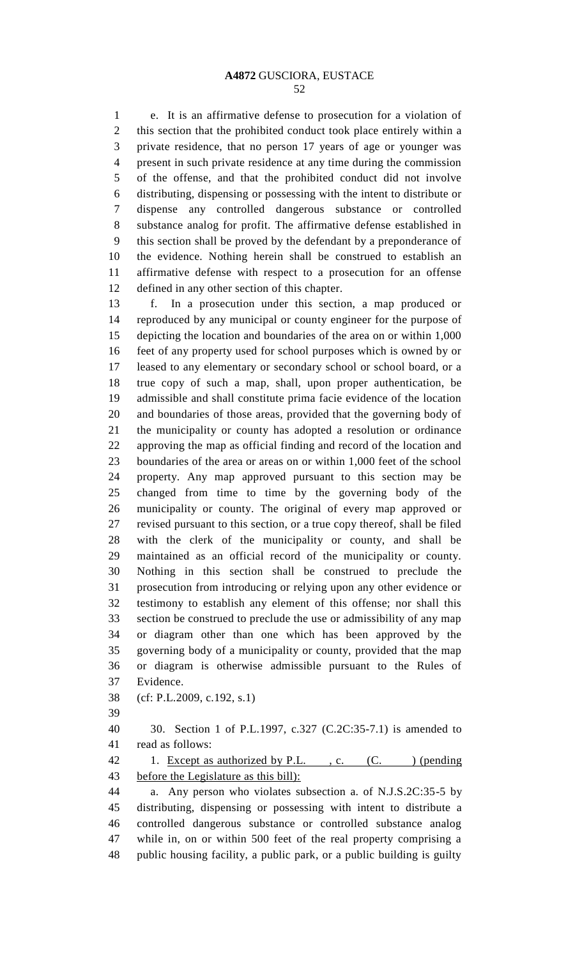e. It is an affirmative defense to prosecution for a violation of this section that the prohibited conduct took place entirely within a private residence, that no person 17 years of age or younger was present in such private residence at any time during the commission of the offense, and that the prohibited conduct did not involve distributing, dispensing or possessing with the intent to distribute or dispense any controlled dangerous substance or controlled substance analog for profit. The affirmative defense established in this section shall be proved by the defendant by a preponderance of the evidence. Nothing herein shall be construed to establish an affirmative defense with respect to a prosecution for an offense defined in any other section of this chapter.

 f. In a prosecution under this section, a map produced or reproduced by any municipal or county engineer for the purpose of depicting the location and boundaries of the area on or within 1,000 feet of any property used for school purposes which is owned by or leased to any elementary or secondary school or school board, or a true copy of such a map, shall, upon proper authentication, be admissible and shall constitute prima facie evidence of the location and boundaries of those areas, provided that the governing body of the municipality or county has adopted a resolution or ordinance approving the map as official finding and record of the location and boundaries of the area or areas on or within 1,000 feet of the school property. Any map approved pursuant to this section may be changed from time to time by the governing body of the municipality or county. The original of every map approved or revised pursuant to this section, or a true copy thereof, shall be filed with the clerk of the municipality or county, and shall be maintained as an official record of the municipality or county. Nothing in this section shall be construed to preclude the prosecution from introducing or relying upon any other evidence or testimony to establish any element of this offense; nor shall this section be construed to preclude the use or admissibility of any map or diagram other than one which has been approved by the governing body of a municipality or county, provided that the map or diagram is otherwise admissible pursuant to the Rules of Evidence.

(cf: P.L.2009, c.192, s.1)

 30. Section 1 of P.L.1997, c.327 (C.2C:35-7.1) is amended to read as follows:

42 1. Except as authorized by P.L., c. (C. ) (pending before the Legislature as this bill):

 a. Any person who violates subsection a. of N.J.S.2C:35-5 by distributing, dispensing or possessing with intent to distribute a controlled dangerous substance or controlled substance analog while in, on or within 500 feet of the real property comprising a public housing facility, a public park, or a public building is guilty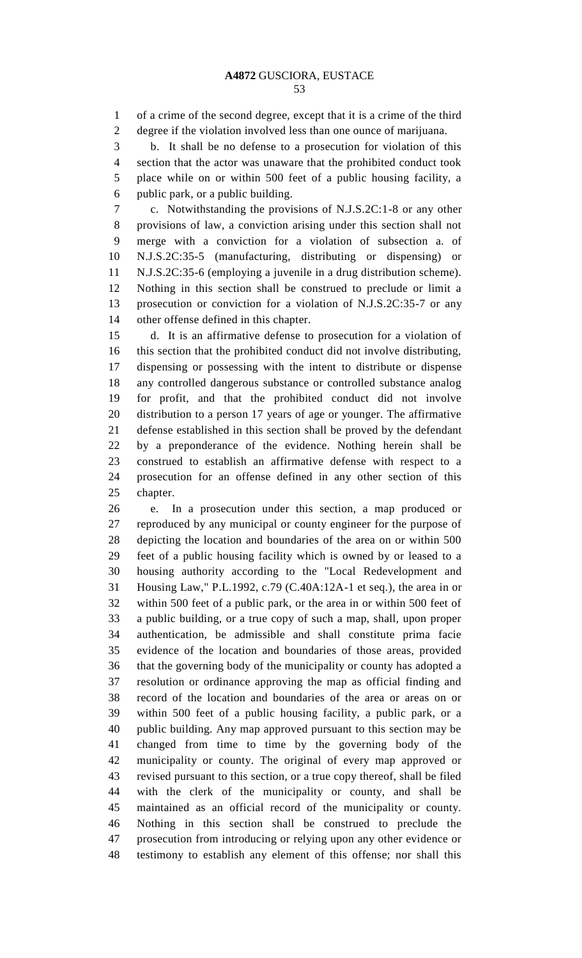of a crime of the second degree, except that it is a crime of the third degree if the violation involved less than one ounce of marijuana.

 b. It shall be no defense to a prosecution for violation of this section that the actor was unaware that the prohibited conduct took place while on or within 500 feet of a public housing facility, a public park, or a public building.

 c. Notwithstanding the provisions of N.J.S.2C:1-8 or any other provisions of law, a conviction arising under this section shall not merge with a conviction for a violation of subsection a. of N.J.S.2C:35-5 (manufacturing, distributing or dispensing) or N.J.S.2C:35-6 (employing a juvenile in a drug distribution scheme). Nothing in this section shall be construed to preclude or limit a prosecution or conviction for a violation of N.J.S.2C:35-7 or any other offense defined in this chapter.

 d. It is an affirmative defense to prosecution for a violation of this section that the prohibited conduct did not involve distributing, dispensing or possessing with the intent to distribute or dispense any controlled dangerous substance or controlled substance analog for profit, and that the prohibited conduct did not involve distribution to a person 17 years of age or younger. The affirmative defense established in this section shall be proved by the defendant by a preponderance of the evidence. Nothing herein shall be construed to establish an affirmative defense with respect to a prosecution for an offense defined in any other section of this chapter.

 e. In a prosecution under this section, a map produced or reproduced by any municipal or county engineer for the purpose of depicting the location and boundaries of the area on or within 500 feet of a public housing facility which is owned by or leased to a housing authority according to the "Local Redevelopment and Housing Law," P.L.1992, c.79 (C.40A:12A-1 et seq.), the area in or within 500 feet of a public park, or the area in or within 500 feet of a public building, or a true copy of such a map, shall, upon proper authentication, be admissible and shall constitute prima facie evidence of the location and boundaries of those areas, provided that the governing body of the municipality or county has adopted a resolution or ordinance approving the map as official finding and record of the location and boundaries of the area or areas on or within 500 feet of a public housing facility, a public park, or a public building. Any map approved pursuant to this section may be changed from time to time by the governing body of the municipality or county. The original of every map approved or revised pursuant to this section, or a true copy thereof, shall be filed with the clerk of the municipality or county, and shall be maintained as an official record of the municipality or county. Nothing in this section shall be construed to preclude the prosecution from introducing or relying upon any other evidence or testimony to establish any element of this offense; nor shall this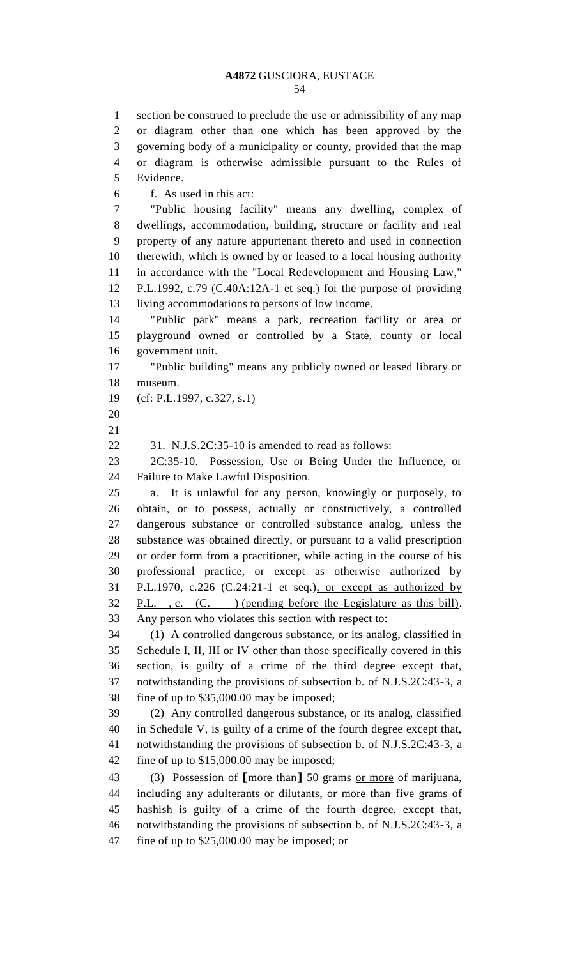section be construed to preclude the use or admissibility of any map or diagram other than one which has been approved by the governing body of a municipality or county, provided that the map or diagram is otherwise admissible pursuant to the Rules of Evidence. f. As used in this act: "Public housing facility" means any dwelling, complex of dwellings, accommodation, building, structure or facility and real property of any nature appurtenant thereto and used in connection therewith, which is owned by or leased to a local housing authority in accordance with the "Local Redevelopment and Housing Law," P.L.1992, c.79 (C.40A:12A-1 et seq.) for the purpose of providing living accommodations to persons of low income. "Public park" means a park, recreation facility or area or playground owned or controlled by a State, county or local government unit. "Public building" means any publicly owned or leased library or museum. (cf: P.L.1997, c.327, s.1) 31. N.J.S.2C:35-10 is amended to read as follows: 2C:35-10. Possession, Use or Being Under the Influence, or Failure to Make Lawful Disposition. a. It is unlawful for any person, knowingly or purposely, to obtain, or to possess, actually or constructively, a controlled dangerous substance or controlled substance analog, unless the substance was obtained directly, or pursuant to a valid prescription or order form from a practitioner, while acting in the course of his professional practice, or except as otherwise authorized by P.L.1970, c.226 (C.24:21-1 et seq.), or except as authorized by P.L. , c. (C. ) (pending before the Legislature as this bill). Any person who violates this section with respect to: (1) A controlled dangerous substance, or its analog, classified in Schedule I, II, III or IV other than those specifically covered in this section, is guilty of a crime of the third degree except that, notwithstanding the provisions of subsection b. of N.J.S.2C:43-3, a fine of up to \$35,000.00 may be imposed; (2) Any controlled dangerous substance, or its analog, classified in Schedule V, is guilty of a crime of the fourth degree except that, notwithstanding the provisions of subsection b. of N.J.S.2C:43-3, a fine of up to \$15,000.00 may be imposed; (3) Possession of **[**more than**]** 50 grams or more of marijuana, including any adulterants or dilutants, or more than five grams of hashish is guilty of a crime of the fourth degree, except that, notwithstanding the provisions of subsection b. of N.J.S.2C:43-3, a fine of up to \$25,000.00 may be imposed; or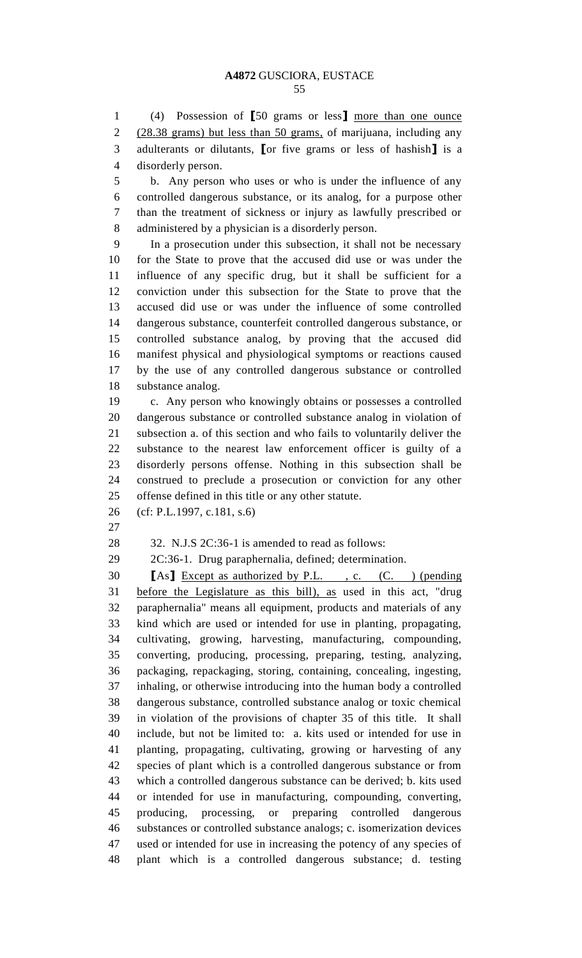(4) Possession of **[**50 grams or less**]** more than one ounce (28.38 grams) but less than 50 grams, of marijuana, including any adulterants or dilutants, **[**or five grams or less of hashish**]** is a disorderly person.

 b. Any person who uses or who is under the influence of any controlled dangerous substance, or its analog, for a purpose other than the treatment of sickness or injury as lawfully prescribed or administered by a physician is a disorderly person.

 In a prosecution under this subsection, it shall not be necessary for the State to prove that the accused did use or was under the influence of any specific drug, but it shall be sufficient for a conviction under this subsection for the State to prove that the accused did use or was under the influence of some controlled dangerous substance, counterfeit controlled dangerous substance, or controlled substance analog, by proving that the accused did manifest physical and physiological symptoms or reactions caused by the use of any controlled dangerous substance or controlled substance analog.

 c. Any person who knowingly obtains or possesses a controlled dangerous substance or controlled substance analog in violation of subsection a. of this section and who fails to voluntarily deliver the substance to the nearest law enforcement officer is guilty of a disorderly persons offense. Nothing in this subsection shall be construed to preclude a prosecution or conviction for any other offense defined in this title or any other statute.

(cf: P.L.1997, c.181, s.6)

32. N.J.S 2C:36-1 is amended to read as follows:

2C:36-1. Drug paraphernalia, defined; determination.

 **[**As**]** Except as authorized by P.L. , c. (C. ) (pending before the Legislature as this bill), as used in this act, "drug paraphernalia" means all equipment, products and materials of any kind which are used or intended for use in planting, propagating, cultivating, growing, harvesting, manufacturing, compounding, converting, producing, processing, preparing, testing, analyzing, packaging, repackaging, storing, containing, concealing, ingesting, inhaling, or otherwise introducing into the human body a controlled dangerous substance, controlled substance analog or toxic chemical in violation of the provisions of chapter 35 of this title. It shall include, but not be limited to: a. kits used or intended for use in planting, propagating, cultivating, growing or harvesting of any species of plant which is a controlled dangerous substance or from which a controlled dangerous substance can be derived; b. kits used or intended for use in manufacturing, compounding, converting, producing, processing, or preparing controlled dangerous substances or controlled substance analogs; c. isomerization devices used or intended for use in increasing the potency of any species of plant which is a controlled dangerous substance; d. testing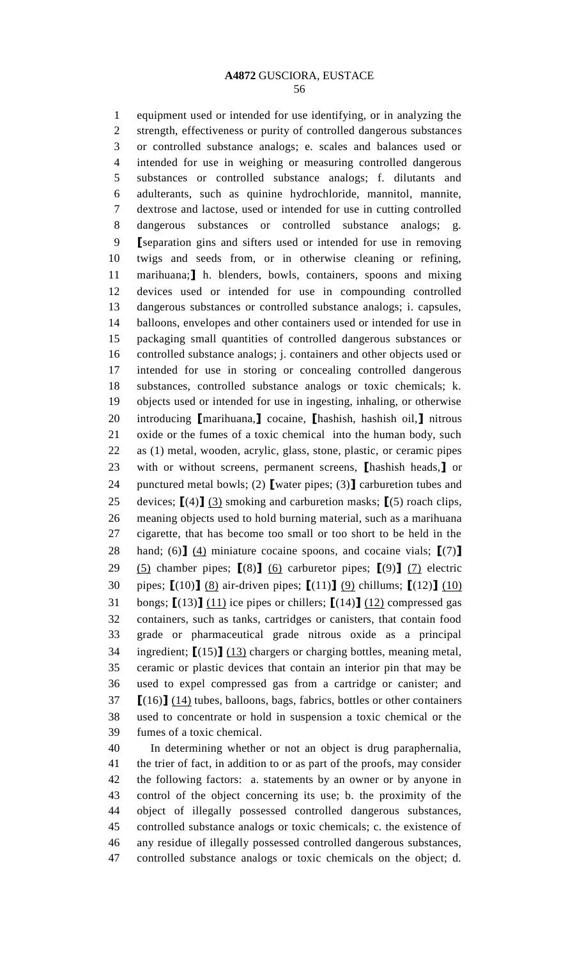equipment used or intended for use identifying, or in analyzing the strength, effectiveness or purity of controlled dangerous substances or controlled substance analogs; e. scales and balances used or intended for use in weighing or measuring controlled dangerous substances or controlled substance analogs; f. dilutants and adulterants, such as quinine hydrochloride, mannitol, mannite, dextrose and lactose, used or intended for use in cutting controlled dangerous substances or controlled substance analogs; g. **[**separation gins and sifters used or intended for use in removing twigs and seeds from, or in otherwise cleaning or refining, marihuana;**]** h. blenders, bowls, containers, spoons and mixing devices used or intended for use in compounding controlled dangerous substances or controlled substance analogs; i. capsules, balloons, envelopes and other containers used or intended for use in packaging small quantities of controlled dangerous substances or controlled substance analogs; j. containers and other objects used or intended for use in storing or concealing controlled dangerous substances, controlled substance analogs or toxic chemicals; k. objects used or intended for use in ingesting, inhaling, or otherwise introducing **[**marihuana,**]** cocaine, **[**hashish, hashish oil,**]** nitrous oxide or the fumes of a toxic chemical into the human body, such as (1) metal, wooden, acrylic, glass, stone, plastic, or ceramic pipes with or without screens, permanent screens, **[**hashish heads,**]** or punctured metal bowls; (2) **[**water pipes; (3)**]** carburetion tubes and devices; **[**(4)**]** (3) smoking and carburetion masks; **[**(5) roach clips, meaning objects used to hold burning material, such as a marihuana cigarette, that has become too small or too short to be held in the hand; (6)**]** (4) miniature cocaine spoons, and cocaine vials; **[**(7)**]** (5) chamber pipes; **[**(8)**]** (6) carburetor pipes; **[**(9)**]** (7) electric pipes; **[**(10)**]** (8) air-driven pipes; **[**(11)**]** (9) chillums; **[**(12)**]** (10) 31 bongs;  $[(13)]$   $(11)$  ice pipes or chillers;  $[(14)]$   $(12)$  compressed gas containers, such as tanks, cartridges or canisters, that contain food grade or pharmaceutical grade nitrous oxide as a principal ingredient; **[**(15)**]** (13) chargers or charging bottles, meaning metal, ceramic or plastic devices that contain an interior pin that may be used to expel compressed gas from a cartridge or canister; and **[**(16)**]** (14) tubes, balloons, bags, fabrics, bottles or other containers used to concentrate or hold in suspension a toxic chemical or the fumes of a toxic chemical.

 In determining whether or not an object is drug paraphernalia, the trier of fact, in addition to or as part of the proofs, may consider the following factors: a. statements by an owner or by anyone in control of the object concerning its use; b. the proximity of the object of illegally possessed controlled dangerous substances, controlled substance analogs or toxic chemicals; c. the existence of any residue of illegally possessed controlled dangerous substances, controlled substance analogs or toxic chemicals on the object; d.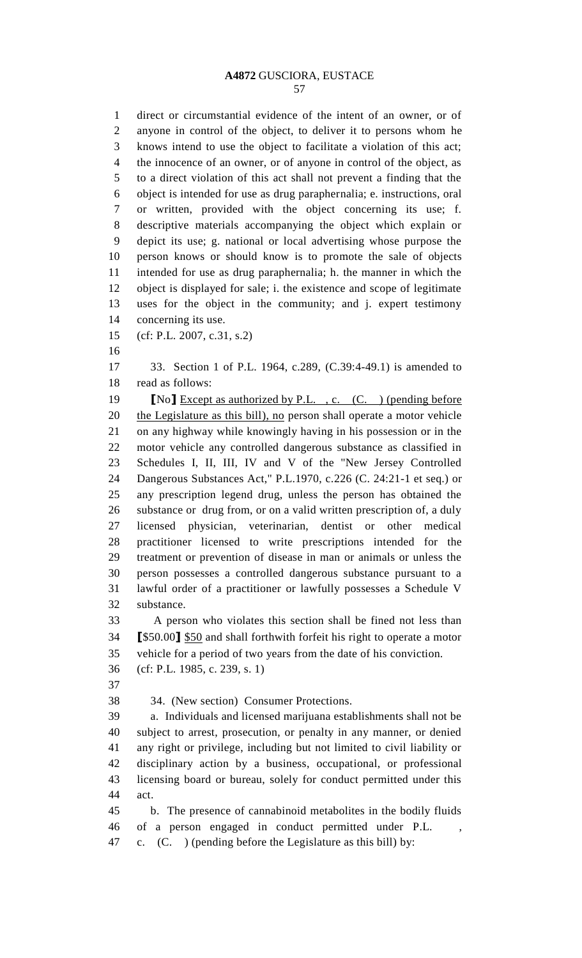direct or circumstantial evidence of the intent of an owner, or of anyone in control of the object, to deliver it to persons whom he knows intend to use the object to facilitate a violation of this act; the innocence of an owner, or of anyone in control of the object, as to a direct violation of this act shall not prevent a finding that the object is intended for use as drug paraphernalia; e. instructions, oral or written, provided with the object concerning its use; f. descriptive materials accompanying the object which explain or depict its use; g. national or local advertising whose purpose the person knows or should know is to promote the sale of objects intended for use as drug paraphernalia; h. the manner in which the object is displayed for sale; i. the existence and scope of legitimate uses for the object in the community; and j. expert testimony concerning its use. (cf: P.L. 2007, c.31, s.2) 33. Section 1 of P.L. 1964, c.289, (C.39:4-49.1) is amended to read as follows: **[**No**]** Except as authorized by P.L. , c. (C. ) (pending before 20 the Legislature as this bill), no person shall operate a motor vehicle on any highway while knowingly having in his possession or in the motor vehicle any controlled dangerous substance as classified in Schedules I, II, III, IV and V of the "New Jersey Controlled

 Dangerous Substances Act," P.L.1970, c.226 (C. 24:21-1 et seq.) or any prescription legend drug, unless the person has obtained the substance or drug from, or on a valid written prescription of, a duly licensed physician, veterinarian, dentist or other medical practitioner licensed to write prescriptions intended for the treatment or prevention of disease in man or animals or unless the person possesses a controlled dangerous substance pursuant to a lawful order of a practitioner or lawfully possesses a Schedule V substance.

 A person who violates this section shall be fined not less than **[**\$50.00**]** \$50 and shall forthwith forfeit his right to operate a motor vehicle for a period of two years from the date of his conviction.

(cf: P.L. 1985, c. 239, s. 1)

34. (New section) Consumer Protections.

 a. Individuals and licensed marijuana establishments shall not be subject to arrest, prosecution, or penalty in any manner, or denied any right or privilege, including but not limited to civil liability or disciplinary action by a business, occupational, or professional licensing board or bureau, solely for conduct permitted under this act.

 b. The presence of cannabinoid metabolites in the bodily fluids of a person engaged in conduct permitted under P.L. , c. (C. ) (pending before the Legislature as this bill) by: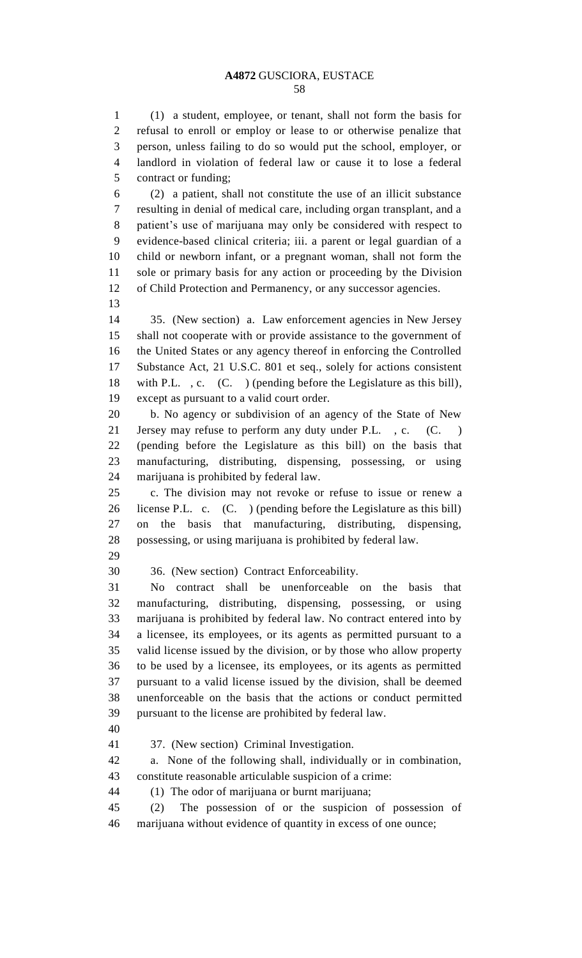(1) a student, employee, or tenant, shall not form the basis for refusal to enroll or employ or lease to or otherwise penalize that person, unless failing to do so would put the school, employer, or landlord in violation of federal law or cause it to lose a federal contract or funding;

 (2) a patient, shall not constitute the use of an illicit substance resulting in denial of medical care, including organ transplant, and a patient's use of marijuana may only be considered with respect to evidence-based clinical criteria; iii. a parent or legal guardian of a child or newborn infant, or a pregnant woman, shall not form the sole or primary basis for any action or proceeding by the Division of Child Protection and Permanency, or any successor agencies.

 35. (New section) a. Law enforcement agencies in New Jersey shall not cooperate with or provide assistance to the government of the United States or any agency thereof in enforcing the Controlled Substance Act, 21 U.S.C. 801 et seq., solely for actions consistent with P.L. , c. (C. ) (pending before the Legislature as this bill), except as pursuant to a valid court order.

 b. No agency or subdivision of an agency of the State of New 21 Jersey may refuse to perform any duty under P.L., c. (C.) (pending before the Legislature as this bill) on the basis that manufacturing, distributing, dispensing, possessing, or using marijuana is prohibited by federal law.

 c. The division may not revoke or refuse to issue or renew a license P.L. c. (C. ) (pending before the Legislature as this bill) on the basis that manufacturing, distributing, dispensing, possessing, or using marijuana is prohibited by federal law.

36. (New section) Contract Enforceability.

 No contract shall be unenforceable on the basis that manufacturing, distributing, dispensing, possessing, or using marijuana is prohibited by federal law. No contract entered into by a licensee, its employees, or its agents as permitted pursuant to a valid license issued by the division, or by those who allow property to be used by a licensee, its employees, or its agents as permitted pursuant to a valid license issued by the division, shall be deemed unenforceable on the basis that the actions or conduct permitted pursuant to the license are prohibited by federal law.

37. (New section) Criminal Investigation.

 a. None of the following shall, individually or in combination, constitute reasonable articulable suspicion of a crime:

(1) The odor of marijuana or burnt marijuana;

 (2) The possession of or the suspicion of possession of marijuana without evidence of quantity in excess of one ounce;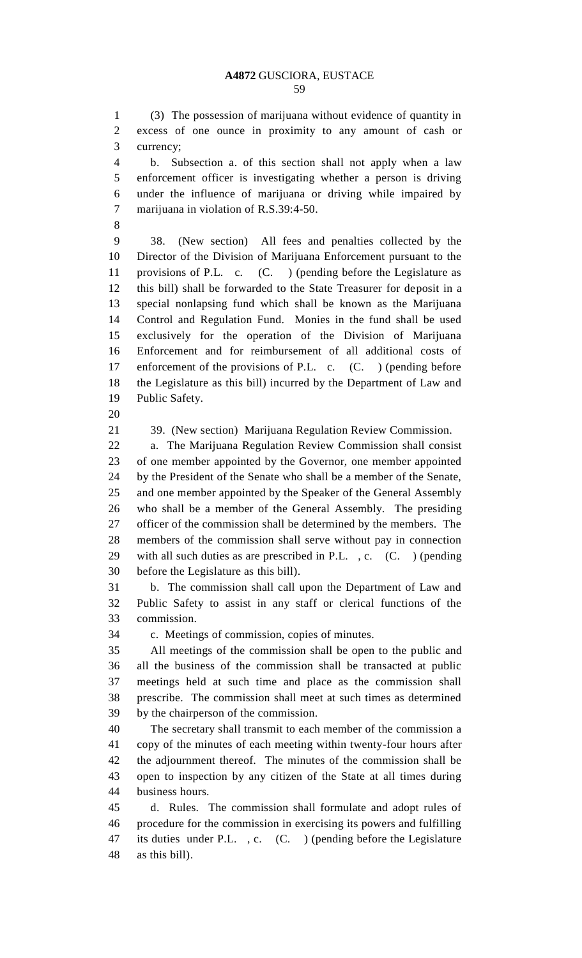(3) The possession of marijuana without evidence of quantity in excess of one ounce in proximity to any amount of cash or currency;

 b. Subsection a. of this section shall not apply when a law enforcement officer is investigating whether a person is driving under the influence of marijuana or driving while impaired by marijuana in violation of R.S.39:4-50.

 38. (New section) All fees and penalties collected by the Director of the Division of Marijuana Enforcement pursuant to the provisions of P.L. c. (C. ) (pending before the Legislature as this bill) shall be forwarded to the State Treasurer for deposit in a special nonlapsing fund which shall be known as the Marijuana Control and Regulation Fund. Monies in the fund shall be used exclusively for the operation of the Division of Marijuana Enforcement and for reimbursement of all additional costs of enforcement of the provisions of P.L. c. (C. ) (pending before the Legislature as this bill) incurred by the Department of Law and Public Safety.

39. (New section) Marijuana Regulation Review Commission.

 a. The Marijuana Regulation Review Commission shall consist of one member appointed by the Governor, one member appointed by the President of the Senate who shall be a member of the Senate, and one member appointed by the Speaker of the General Assembly who shall be a member of the General Assembly. The presiding officer of the commission shall be determined by the members. The members of the commission shall serve without pay in connection with all such duties as are prescribed in P.L. , c. (C. ) (pending before the Legislature as this bill).

 b. The commission shall call upon the Department of Law and Public Safety to assist in any staff or clerical functions of the commission.

c. Meetings of commission, copies of minutes.

 All meetings of the commission shall be open to the public and all the business of the commission shall be transacted at public meetings held at such time and place as the commission shall prescribe. The commission shall meet at such times as determined by the chairperson of the commission.

 The secretary shall transmit to each member of the commission a copy of the minutes of each meeting within twenty-four hours after the adjournment thereof. The minutes of the commission shall be open to inspection by any citizen of the State at all times during business hours.

 d. Rules. The commission shall formulate and adopt rules of procedure for the commission in exercising its powers and fulfilling its duties under P.L. , c. (C. ) (pending before the Legislature as this bill).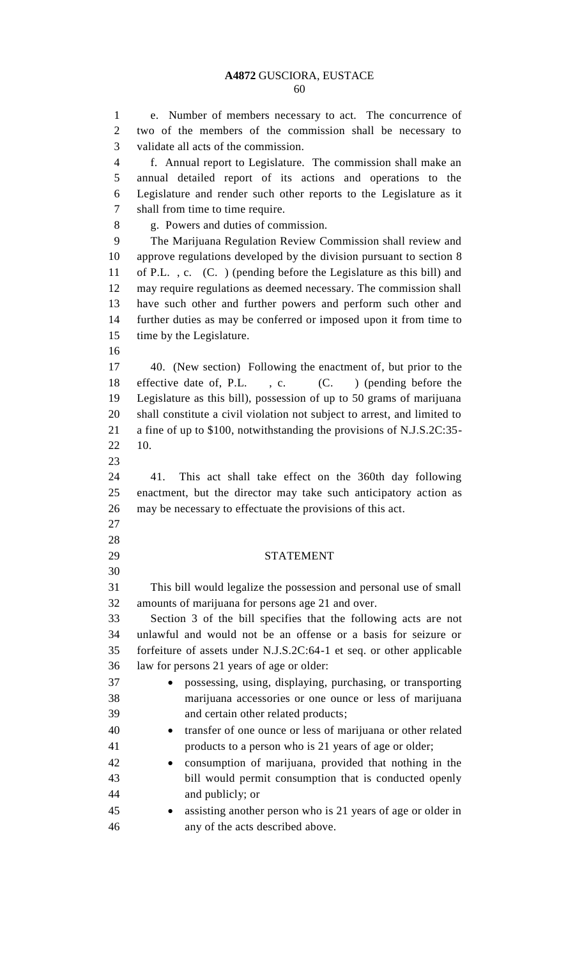e. Number of members necessary to act. The concurrence of two of the members of the commission shall be necessary to validate all acts of the commission. f. Annual report to Legislature. The commission shall make an annual detailed report of its actions and operations to the Legislature and render such other reports to the Legislature as it shall from time to time require. g. Powers and duties of commission. The Marijuana Regulation Review Commission shall review and approve regulations developed by the division pursuant to section 8 of P.L. , c. (C. ) (pending before the Legislature as this bill) and may require regulations as deemed necessary. The commission shall have such other and further powers and perform such other and further duties as may be conferred or imposed upon it from time to time by the Legislature. 40. (New section) Following the enactment of, but prior to the effective date of, P.L. , c. (C. ) (pending before the Legislature as this bill), possession of up to 50 grams of marijuana shall constitute a civil violation not subject to arrest, and limited to a fine of up to \$100, notwithstanding the provisions of N.J.S.2C:35- 10. 41. This act shall take effect on the 360th day following enactment, but the director may take such anticipatory action as may be necessary to effectuate the provisions of this act. STATEMENT This bill would legalize the possession and personal use of small amounts of marijuana for persons age 21 and over. Section 3 of the bill specifies that the following acts are not unlawful and would not be an offense or a basis for seizure or forfeiture of assets under N.J.S.2C:64-1 et seq. or other applicable law for persons 21 years of age or older: possessing, using, displaying, purchasing, or transporting marijuana accessories or one ounce or less of marijuana and certain other related products; transfer of one ounce or less of marijuana or other related products to a person who is 21 years of age or older; consumption of marijuana, provided that nothing in the bill would permit consumption that is conducted openly and publicly; or assisting another person who is 21 years of age or older in any of the acts described above.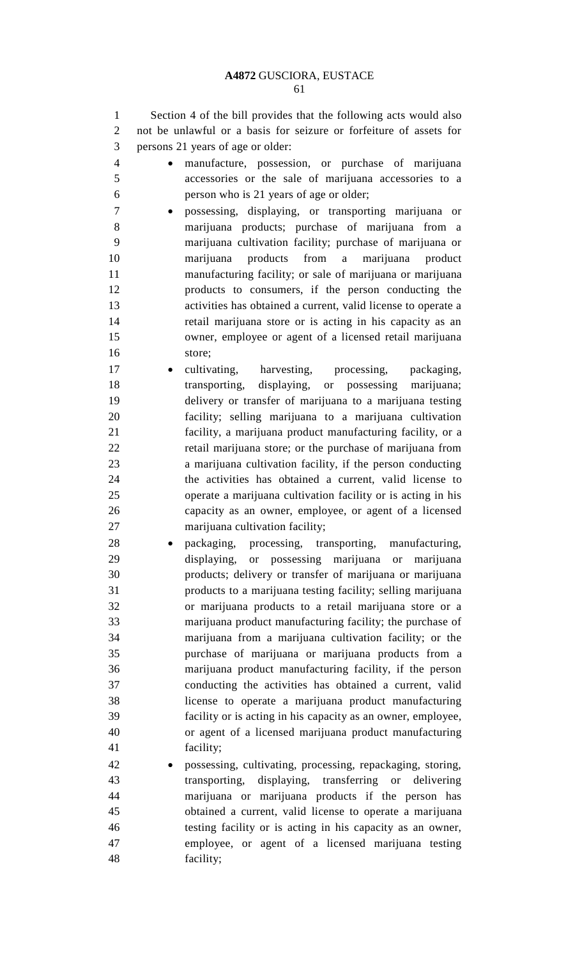Section 4 of the bill provides that the following acts would also not be unlawful or a basis for seizure or forfeiture of assets for persons 21 years of age or older:

- manufacture, possession, or purchase of marijuana accessories or the sale of marijuana accessories to a person who is 21 years of age or older;
- possessing, displaying, or transporting marijuana or marijuana products; purchase of marijuana from a marijuana cultivation facility; purchase of marijuana or marijuana products from a marijuana product manufacturing facility; or sale of marijuana or marijuana products to consumers, if the person conducting the activities has obtained a current, valid license to operate a retail marijuana store or is acting in his capacity as an owner, employee or agent of a licensed retail marijuana store;
- 17 cultivating, harvesting, processing, packaging, transporting, displaying, or possessing marijuana; delivery or transfer of marijuana to a marijuana testing facility; selling marijuana to a marijuana cultivation facility, a marijuana product manufacturing facility, or a retail marijuana store; or the purchase of marijuana from a marijuana cultivation facility, if the person conducting the activities has obtained a current, valid license to operate a marijuana cultivation facility or is acting in his capacity as an owner, employee, or agent of a licensed marijuana cultivation facility;
- packaging, processing, transporting, manufacturing, displaying, or possessing marijuana or marijuana products; delivery or transfer of marijuana or marijuana products to a marijuana testing facility; selling marijuana or marijuana products to a retail marijuana store or a marijuana product manufacturing facility; the purchase of marijuana from a marijuana cultivation facility; or the purchase of marijuana or marijuana products from a marijuana product manufacturing facility, if the person conducting the activities has obtained a current, valid license to operate a marijuana product manufacturing facility or is acting in his capacity as an owner, employee, or agent of a licensed marijuana product manufacturing facility;
- possessing, cultivating, processing, repackaging, storing, transporting, displaying, transferring or delivering marijuana or marijuana products if the person has obtained a current, valid license to operate a marijuana testing facility or is acting in his capacity as an owner, employee, or agent of a licensed marijuana testing facility;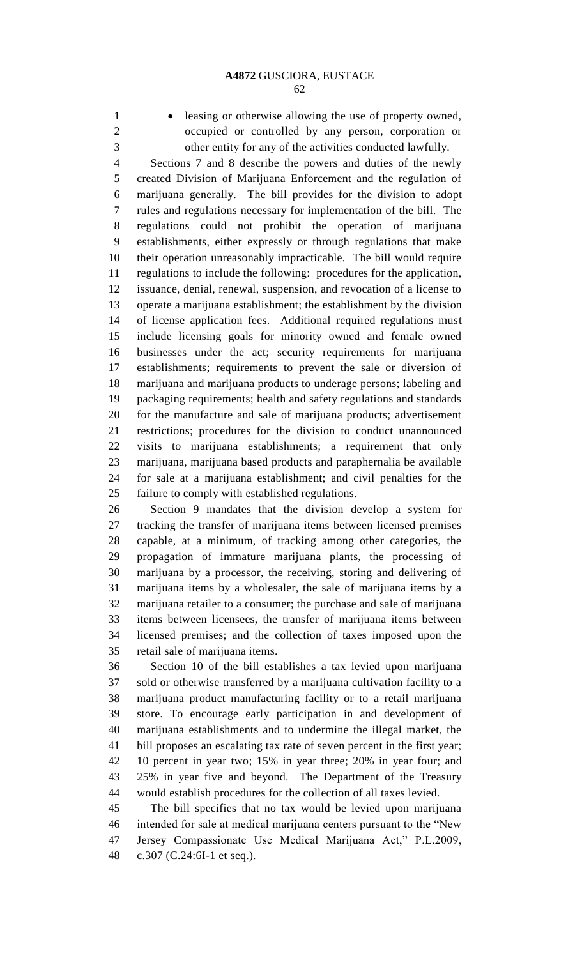1 • leasing or otherwise allowing the use of property owned, occupied or controlled by any person, corporation or other entity for any of the activities conducted lawfully.

 Sections 7 and 8 describe the powers and duties of the newly created Division of Marijuana Enforcement and the regulation of marijuana generally. The bill provides for the division to adopt rules and regulations necessary for implementation of the bill. The regulations could not prohibit the operation of marijuana establishments, either expressly or through regulations that make their operation unreasonably impracticable. The bill would require regulations to include the following: procedures for the application, issuance, denial, renewal, suspension, and revocation of a license to operate a marijuana establishment; the establishment by the division of license application fees. Additional required regulations must include licensing goals for minority owned and female owned businesses under the act; security requirements for marijuana establishments; requirements to prevent the sale or diversion of marijuana and marijuana products to underage persons; labeling and packaging requirements; health and safety regulations and standards for the manufacture and sale of marijuana products; advertisement restrictions; procedures for the division to conduct unannounced visits to marijuana establishments; a requirement that only marijuana, marijuana based products and paraphernalia be available for sale at a marijuana establishment; and civil penalties for the failure to comply with established regulations.

 Section 9 mandates that the division develop a system for tracking the transfer of marijuana items between licensed premises capable, at a minimum, of tracking among other categories, the propagation of immature marijuana plants, the processing of marijuana by a processor, the receiving, storing and delivering of marijuana items by a wholesaler, the sale of marijuana items by a marijuana retailer to a consumer; the purchase and sale of marijuana items between licensees, the transfer of marijuana items between licensed premises; and the collection of taxes imposed upon the retail sale of marijuana items.

 Section 10 of the bill establishes a tax levied upon marijuana sold or otherwise transferred by a marijuana cultivation facility to a marijuana product manufacturing facility or to a retail marijuana store. To encourage early participation in and development of marijuana establishments and to undermine the illegal market, the bill proposes an escalating tax rate of seven percent in the first year; 10 percent in year two; 15% in year three; 20% in year four; and 25% in year five and beyond. The Department of the Treasury would establish procedures for the collection of all taxes levied.

 The bill specifies that no tax would be levied upon marijuana intended for sale at medical marijuana centers pursuant to the "New Jersey Compassionate Use Medical Marijuana Act," P.L.2009, c.307 (C.24:6I-1 et seq.).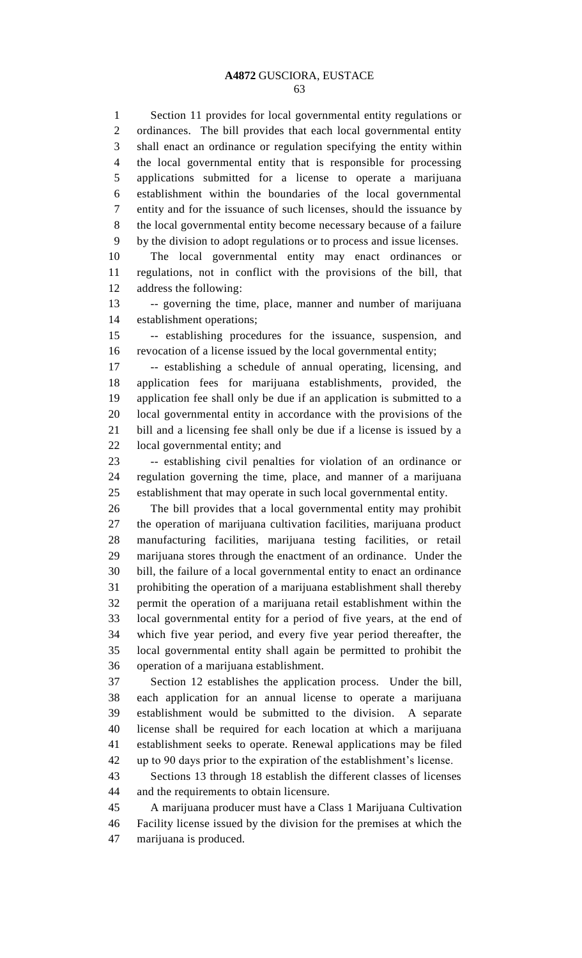Section 11 provides for local governmental entity regulations or ordinances. The bill provides that each local governmental entity shall enact an ordinance or regulation specifying the entity within the local governmental entity that is responsible for processing applications submitted for a license to operate a marijuana establishment within the boundaries of the local governmental entity and for the issuance of such licenses, should the issuance by the local governmental entity become necessary because of a failure by the division to adopt regulations or to process and issue licenses.

 The local governmental entity may enact ordinances or regulations, not in conflict with the provisions of the bill, that address the following:

13 -- governing the time, place, manner and number of marijuana establishment operations;

 -- establishing procedures for the issuance, suspension, and revocation of a license issued by the local governmental entity;

 -- establishing a schedule of annual operating, licensing, and application fees for marijuana establishments, provided, the application fee shall only be due if an application is submitted to a local governmental entity in accordance with the provisions of the bill and a licensing fee shall only be due if a license is issued by a local governmental entity; and

 -- establishing civil penalties for violation of an ordinance or regulation governing the time, place, and manner of a marijuana establishment that may operate in such local governmental entity.

 The bill provides that a local governmental entity may prohibit the operation of marijuana cultivation facilities, marijuana product manufacturing facilities, marijuana testing facilities, or retail marijuana stores through the enactment of an ordinance. Under the bill, the failure of a local governmental entity to enact an ordinance prohibiting the operation of a marijuana establishment shall thereby permit the operation of a marijuana retail establishment within the local governmental entity for a period of five years, at the end of which five year period, and every five year period thereafter, the local governmental entity shall again be permitted to prohibit the operation of a marijuana establishment.

 Section 12 establishes the application process. Under the bill, each application for an annual license to operate a marijuana establishment would be submitted to the division. A separate license shall be required for each location at which a marijuana establishment seeks to operate. Renewal applications may be filed up to 90 days prior to the expiration of the establishment's license.

 Sections 13 through 18 establish the different classes of licenses and the requirements to obtain licensure.

 A marijuana producer must have a Class 1 Marijuana Cultivation Facility license issued by the division for the premises at which the marijuana is produced.